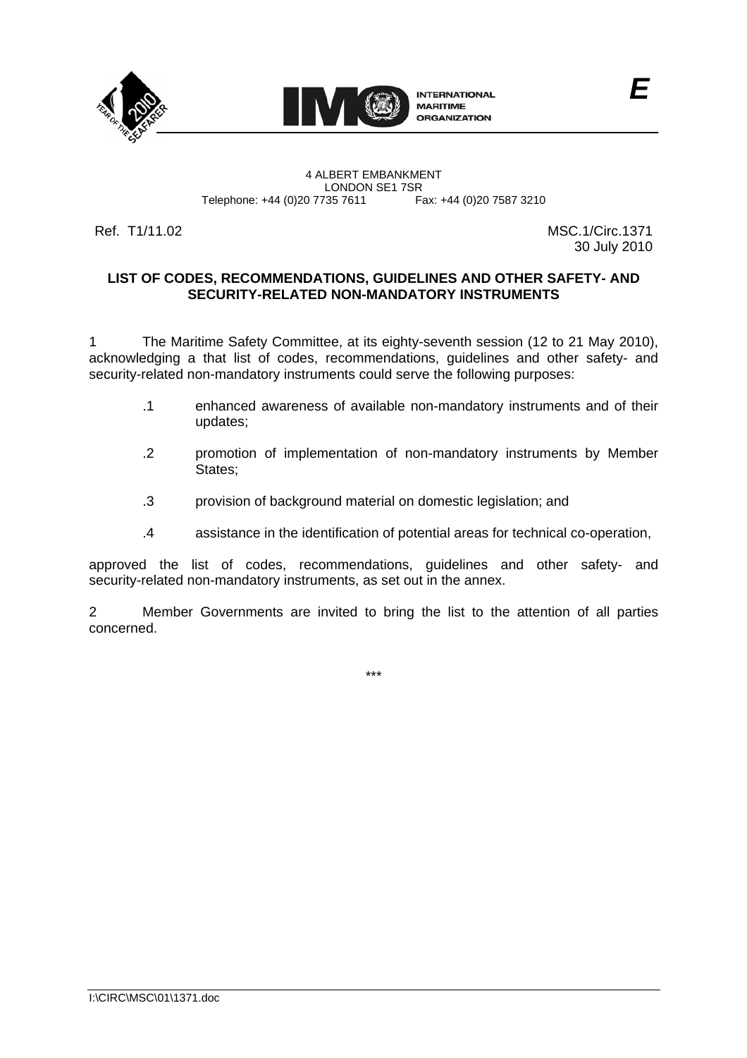



4 ALBERT EMBANKMENT Telephone: +44 (0)20 7735 7611

LONDON SE1 7SR<br>735 7611 Fax: +44 (0)20 7587 3210

Ref. T1/11.02 MSC.1/Circ.1371 30 July 2010

*E*

### **LIST OF CODES, RECOMMENDATIONS, GUIDELINES AND OTHER SAFETY- AND SECURITY-RELATED NON-MANDATORY INSTRUMENTS**

1 The Maritime Safety Committee, at its eighty-seventh session (12 to 21 May 2010), acknowledging a that list of codes, recommendations, guidelines and other safety- and security-related non-mandatory instruments could serve the following purposes:

- .1 enhanced awareness of available non-mandatory instruments and of their updates;
- .2 promotion of implementation of non-mandatory instruments by Member States;
- .3 provision of background material on domestic legislation; and
- .4 assistance in the identification of potential areas for technical co-operation,

approved the list of codes, recommendations, guidelines and other safety- and security-related non-mandatory instruments, as set out in the annex.

2 Member Governments are invited to bring the list to the attention of all parties concerned.

\*\*\*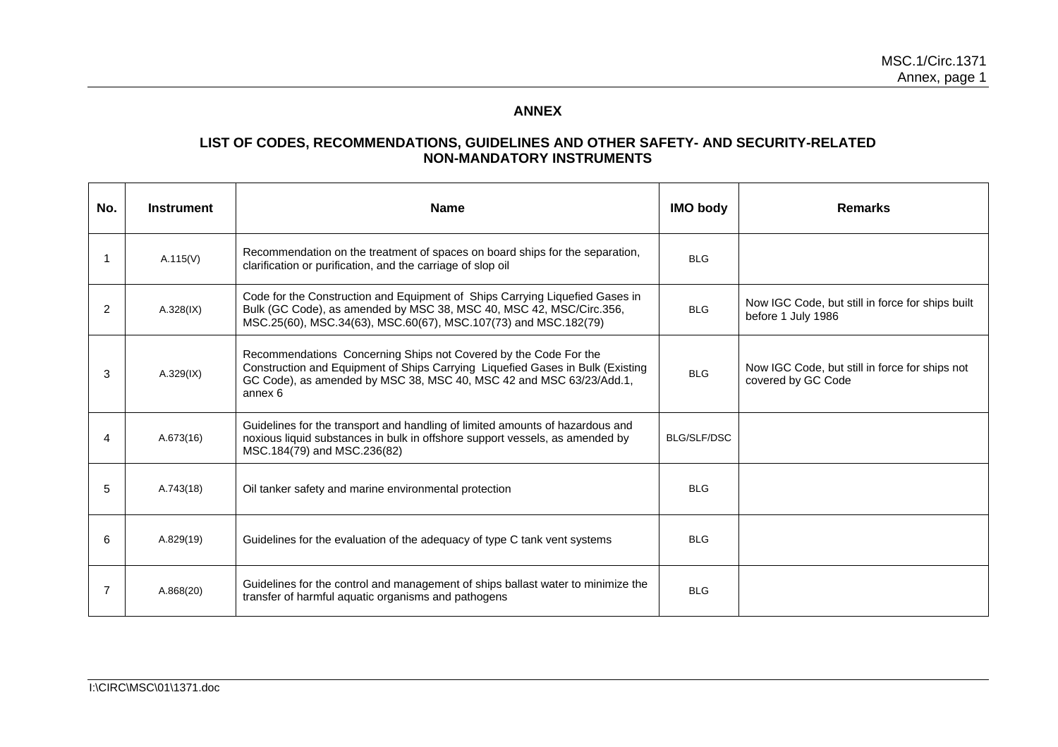## **ANNEX**

# **LIST OF CODES, RECOMMENDATIONS, GUIDELINES AND OTHER SAFETY- AND SECURITY-RELATED NON-MANDATORY INSTRUMENTS**

| No. | <b>Instrument</b> | <b>Name</b>                                                                                                                                                                                                                          | <b>IMO body</b>    | <b>Remarks</b>                                                         |
|-----|-------------------|--------------------------------------------------------------------------------------------------------------------------------------------------------------------------------------------------------------------------------------|--------------------|------------------------------------------------------------------------|
|     | A.115(V)          | Recommendation on the treatment of spaces on board ships for the separation,<br>clarification or purification, and the carriage of slop oil                                                                                          | <b>BLG</b>         |                                                                        |
| 2   | $A.328$ (IX)      | Code for the Construction and Equipment of Ships Carrying Liquefied Gases in<br>Bulk (GC Code), as amended by MSC 38, MSC 40, MSC 42, MSC/Circ.356,<br>MSC.25(60), MSC.34(63), MSC.60(67), MSC.107(73) and MSC.182(79)               | <b>BLG</b>         | Now IGC Code, but still in force for ships built<br>before 1 July 1986 |
| 3   | A.329(IX)         | Recommendations Concerning Ships not Covered by the Code For the<br>Construction and Equipment of Ships Carrying Liquefied Gases in Bulk (Existing<br>GC Code), as amended by MSC 38, MSC 40, MSC 42 and MSC 63/23/Add.1,<br>annex 6 | <b>BLG</b>         | Now IGC Code, but still in force for ships not<br>covered by GC Code   |
| 4   | A.673(16)         | Guidelines for the transport and handling of limited amounts of hazardous and<br>noxious liquid substances in bulk in offshore support vessels, as amended by<br>MSC.184(79) and MSC.236(82)                                         | <b>BLG/SLF/DSC</b> |                                                                        |
| 5   | A.743(18)         | Oil tanker safety and marine environmental protection                                                                                                                                                                                | <b>BLG</b>         |                                                                        |
| 6   | A.829(19)         | Guidelines for the evaluation of the adequacy of type C tank vent systems                                                                                                                                                            | <b>BLG</b>         |                                                                        |
|     | A.868(20)         | Guidelines for the control and management of ships ballast water to minimize the<br>transfer of harmful aquatic organisms and pathogens                                                                                              | <b>BLG</b>         |                                                                        |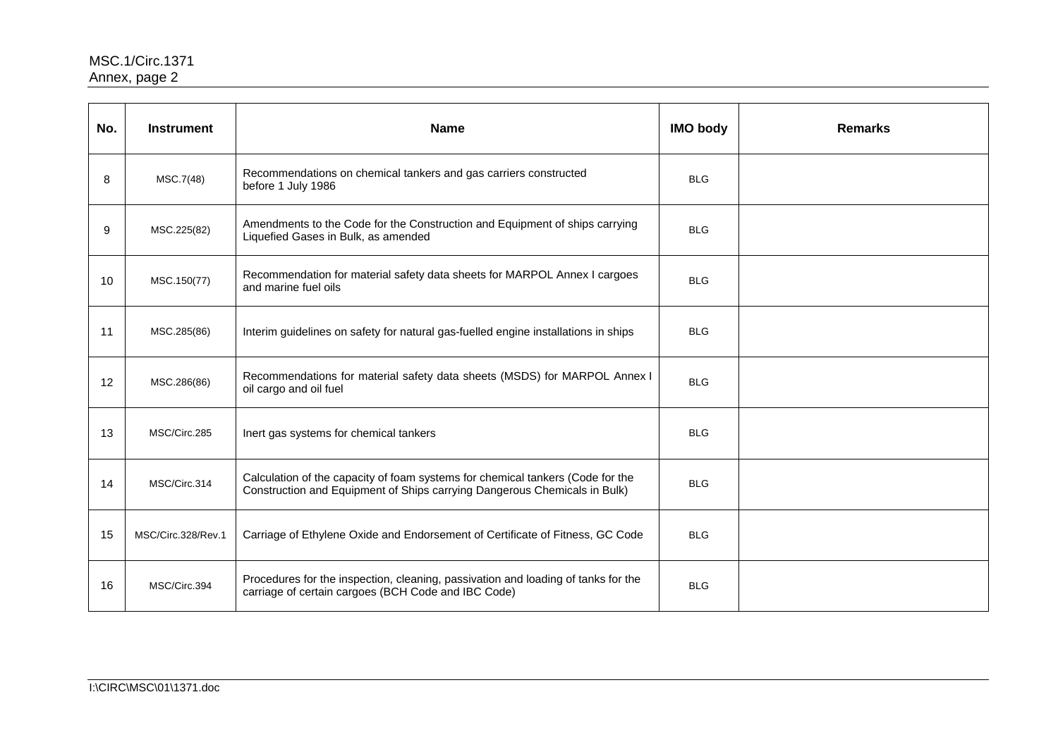| No. | <b>Instrument</b>  | <b>Name</b>                                                                                                                                                 | <b>IMO body</b> | <b>Remarks</b> |
|-----|--------------------|-------------------------------------------------------------------------------------------------------------------------------------------------------------|-----------------|----------------|
| 8   | MSC.7(48)          | Recommendations on chemical tankers and gas carriers constructed<br>before 1 July 1986                                                                      | <b>BLG</b>      |                |
| 9   | MSC.225(82)        | Amendments to the Code for the Construction and Equipment of ships carrying<br>Liquefied Gases in Bulk, as amended                                          | <b>BLG</b>      |                |
| 10  | MSC.150(77)        | Recommendation for material safety data sheets for MARPOL Annex I cargoes<br>and marine fuel oils                                                           | <b>BLG</b>      |                |
| 11  | MSC.285(86)        | Interim guidelines on safety for natural gas-fuelled engine installations in ships                                                                          | <b>BLG</b>      |                |
| 12  | MSC.286(86)        | Recommendations for material safety data sheets (MSDS) for MARPOL Annex I<br>oil cargo and oil fuel                                                         | <b>BLG</b>      |                |
| 13  | MSC/Circ.285       | Inert gas systems for chemical tankers                                                                                                                      | <b>BLG</b>      |                |
| 14  | MSC/Circ.314       | Calculation of the capacity of foam systems for chemical tankers (Code for the<br>Construction and Equipment of Ships carrying Dangerous Chemicals in Bulk) | <b>BLG</b>      |                |
| 15  | MSC/Circ.328/Rev.1 | Carriage of Ethylene Oxide and Endorsement of Certificate of Fitness, GC Code                                                                               | <b>BLG</b>      |                |
| 16  | MSC/Circ.394       | Procedures for the inspection, cleaning, passivation and loading of tanks for the<br>carriage of certain cargoes (BCH Code and IBC Code)                    | <b>BLG</b>      |                |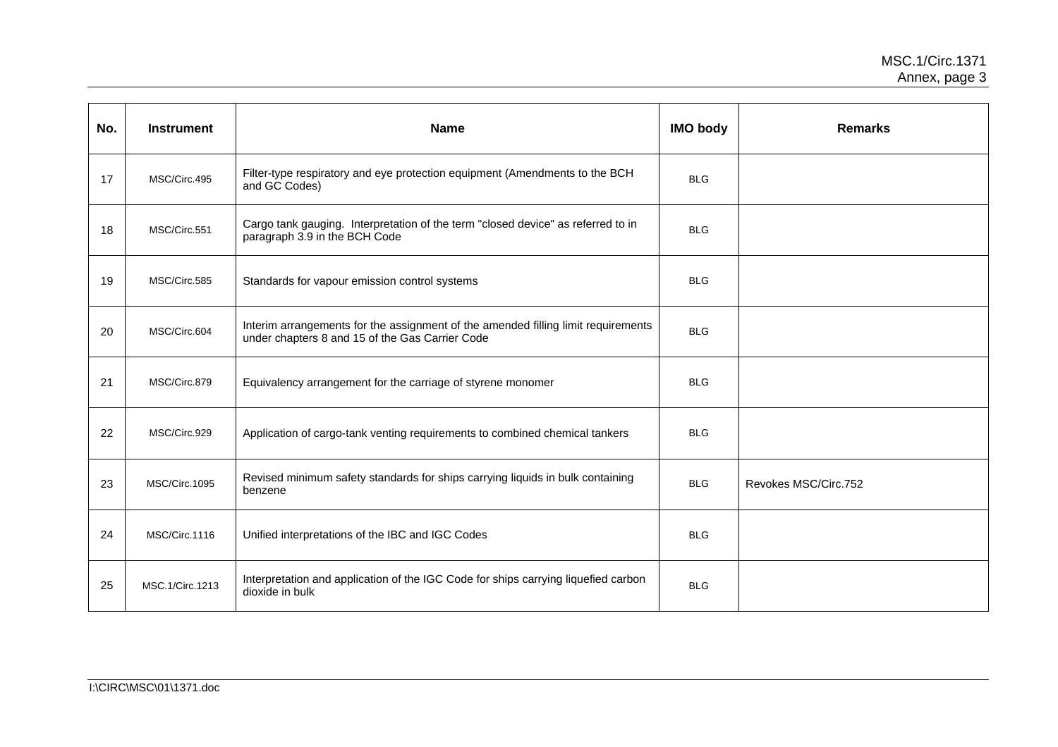| No. | <b>Instrument</b> | <b>Name</b>                                                                                                                          | <b>IMO body</b> | <b>Remarks</b>       |
|-----|-------------------|--------------------------------------------------------------------------------------------------------------------------------------|-----------------|----------------------|
| 17  | MSC/Circ.495      | Filter-type respiratory and eye protection equipment (Amendments to the BCH<br>and GC Codes)                                         | <b>BLG</b>      |                      |
| 18  | MSC/Circ.551      | Cargo tank gauging. Interpretation of the term "closed device" as referred to in<br>paragraph 3.9 in the BCH Code                    | <b>BLG</b>      |                      |
| 19  | MSC/Circ.585      | Standards for vapour emission control systems                                                                                        | <b>BLG</b>      |                      |
| 20  | MSC/Circ.604      | Interim arrangements for the assignment of the amended filling limit requirements<br>under chapters 8 and 15 of the Gas Carrier Code | <b>BLG</b>      |                      |
| 21  | MSC/Circ.879      | Equivalency arrangement for the carriage of styrene monomer                                                                          | <b>BLG</b>      |                      |
| 22  | MSC/Circ.929      | Application of cargo-tank venting requirements to combined chemical tankers                                                          | <b>BLG</b>      |                      |
| 23  | MSC/Circ.1095     | Revised minimum safety standards for ships carrying liquids in bulk containing<br>benzene                                            | <b>BLG</b>      | Revokes MSC/Circ.752 |
| 24  | MSC/Circ.1116     | Unified interpretations of the IBC and IGC Codes                                                                                     | <b>BLG</b>      |                      |
| 25  | MSC.1/Circ.1213   | Interpretation and application of the IGC Code for ships carrying liquefied carbon<br>dioxide in bulk                                | <b>BLG</b>      |                      |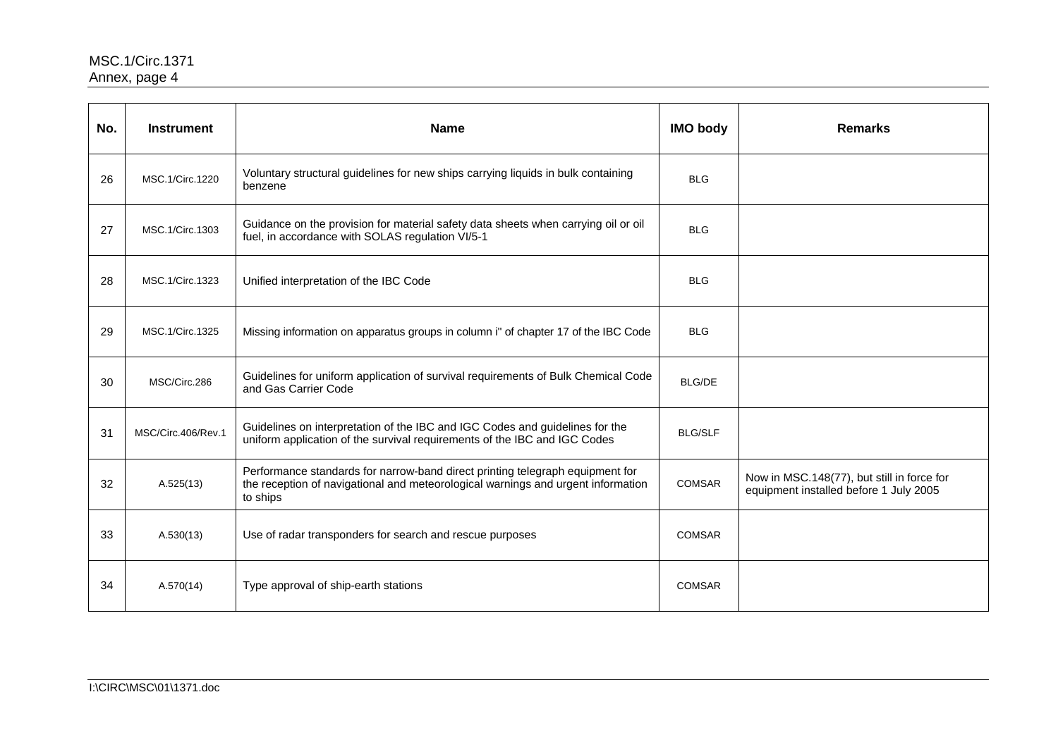| No. | <b>Instrument</b>  | <b>Name</b>                                                                                                                                                                   | <b>IMO body</b> | <b>Remarks</b>                                                                       |
|-----|--------------------|-------------------------------------------------------------------------------------------------------------------------------------------------------------------------------|-----------------|--------------------------------------------------------------------------------------|
| 26  | MSC.1/Circ.1220    | Voluntary structural guidelines for new ships carrying liquids in bulk containing<br>benzene                                                                                  | <b>BLG</b>      |                                                                                      |
| 27  | MSC.1/Circ.1303    | Guidance on the provision for material safety data sheets when carrying oil or oil<br>fuel, in accordance with SOLAS regulation VI/5-1                                        | <b>BLG</b>      |                                                                                      |
| 28  | MSC.1/Circ.1323    | Unified interpretation of the IBC Code                                                                                                                                        | <b>BLG</b>      |                                                                                      |
| 29  | MSC.1/Circ.1325    | Missing information on apparatus groups in column i" of chapter 17 of the IBC Code                                                                                            | <b>BLG</b>      |                                                                                      |
| 30  | MSC/Circ.286       | Guidelines for uniform application of survival requirements of Bulk Chemical Code<br>and Gas Carrier Code                                                                     | <b>BLG/DE</b>   |                                                                                      |
| 31  | MSC/Circ.406/Rev.1 | Guidelines on interpretation of the IBC and IGC Codes and guidelines for the<br>uniform application of the survival requirements of the IBC and IGC Codes                     | <b>BLG/SLF</b>  |                                                                                      |
| 32  | A.525(13)          | Performance standards for narrow-band direct printing telegraph equipment for<br>the reception of navigational and meteorological warnings and urgent information<br>to ships | COMSAR          | Now in MSC.148(77), but still in force for<br>equipment installed before 1 July 2005 |
| 33  | A.530(13)          | Use of radar transponders for search and rescue purposes                                                                                                                      | <b>COMSAR</b>   |                                                                                      |
| 34  | A.570(14)          | Type approval of ship-earth stations                                                                                                                                          | <b>COMSAR</b>   |                                                                                      |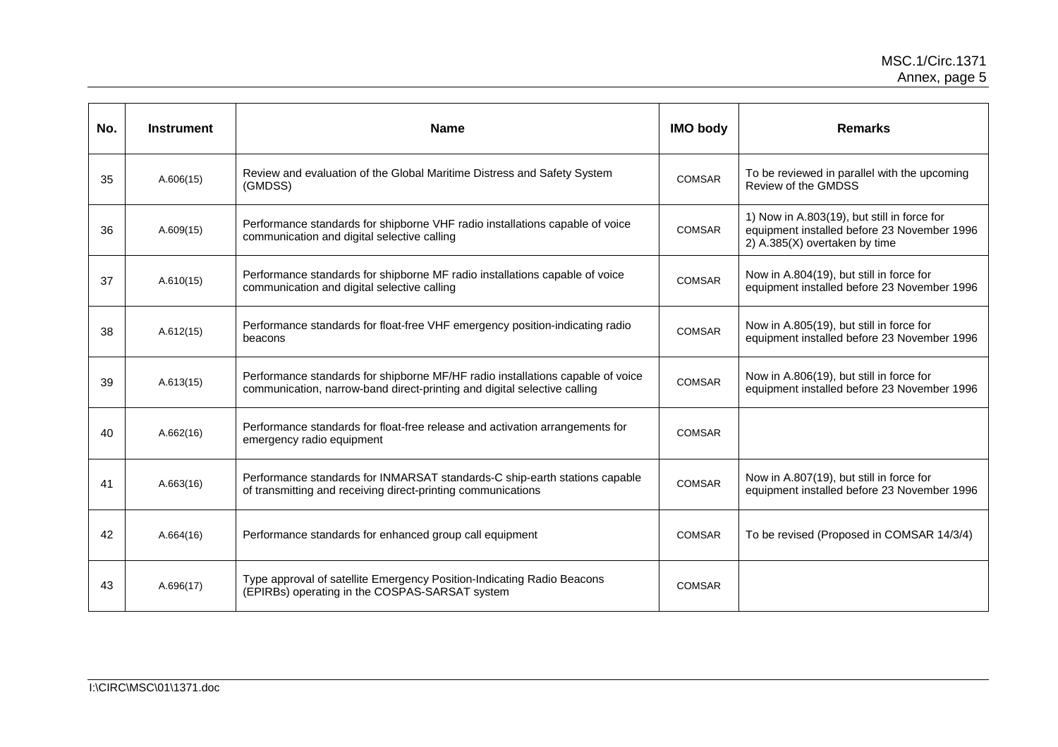| No. | <b>Instrument</b> | <b>Name</b>                                                                                                                                                | <b>IMO body</b> | <b>Remarks</b>                                                                                                              |
|-----|-------------------|------------------------------------------------------------------------------------------------------------------------------------------------------------|-----------------|-----------------------------------------------------------------------------------------------------------------------------|
| 35  | A.606(15)         | Review and evaluation of the Global Maritime Distress and Safety System<br>(GMDSS)                                                                         | <b>COMSAR</b>   | To be reviewed in parallel with the upcoming<br>Review of the GMDSS                                                         |
| 36  | A.609(15)         | Performance standards for shipborne VHF radio installations capable of voice<br>communication and digital selective calling                                | <b>COMSAR</b>   | 1) Now in A.803(19), but still in force for<br>equipment installed before 23 November 1996<br>2) A.385(X) overtaken by time |
| 37  | A.610(15)         | Performance standards for shipborne MF radio installations capable of voice<br>communication and digital selective calling                                 | <b>COMSAR</b>   | Now in A.804(19), but still in force for<br>equipment installed before 23 November 1996                                     |
| 38  | A.612(15)         | Performance standards for float-free VHF emergency position-indicating radio<br>beacons                                                                    | <b>COMSAR</b>   | Now in A.805(19), but still in force for<br>equipment installed before 23 November 1996                                     |
| 39  | A.613(15)         | Performance standards for shipborne MF/HF radio installations capable of voice<br>communication, narrow-band direct-printing and digital selective calling | <b>COMSAR</b>   | Now in A.806(19), but still in force for<br>equipment installed before 23 November 1996                                     |
| 40  | A.662(16)         | Performance standards for float-free release and activation arrangements for<br>emergency radio equipment                                                  | <b>COMSAR</b>   |                                                                                                                             |
| 41  | A.663(16)         | Performance standards for INMARSAT standards-C ship-earth stations capable<br>of transmitting and receiving direct-printing communications                 | <b>COMSAR</b>   | Now in A.807(19), but still in force for<br>equipment installed before 23 November 1996                                     |
| 42  | A.664(16)         | Performance standards for enhanced group call equipment                                                                                                    | <b>COMSAR</b>   | To be revised (Proposed in COMSAR 14/3/4)                                                                                   |
| 43  | A.696(17)         | Type approval of satellite Emergency Position-Indicating Radio Beacons<br>(EPIRBs) operating in the COSPAS-SARSAT system                                   | <b>COMSAR</b>   |                                                                                                                             |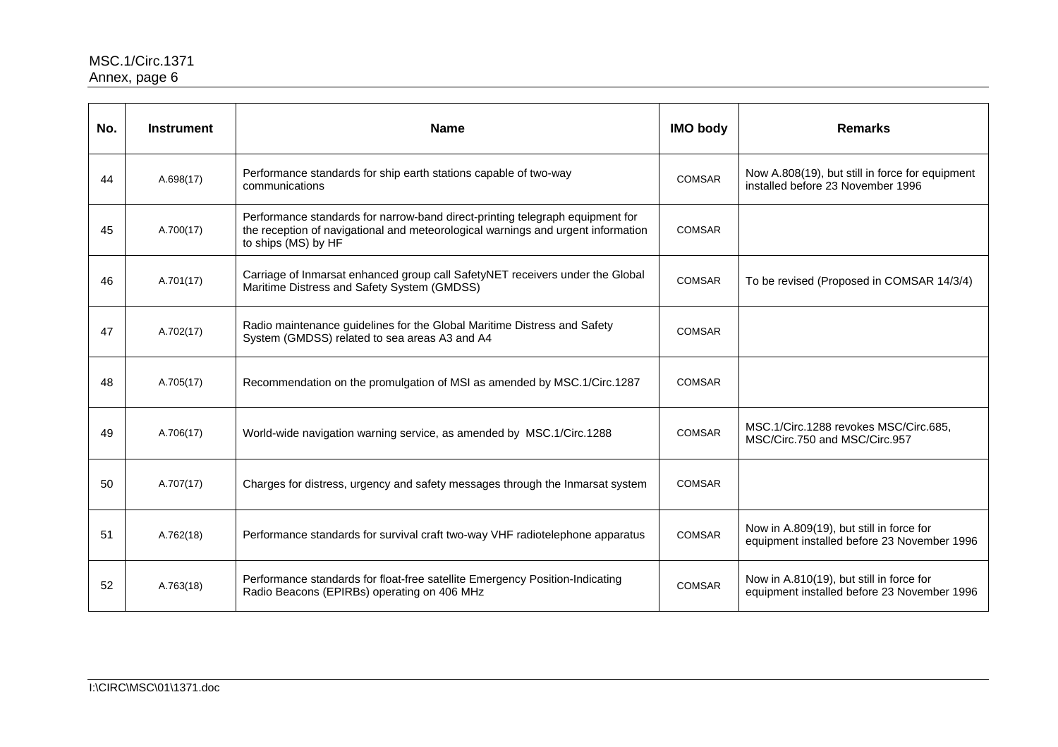| No. | <b>Instrument</b> | <b>Name</b>                                                                                                                                                                              | <b>IMO body</b> | <b>Remarks</b>                                                                          |
|-----|-------------------|------------------------------------------------------------------------------------------------------------------------------------------------------------------------------------------|-----------------|-----------------------------------------------------------------------------------------|
| 44  | A.698(17)         | Performance standards for ship earth stations capable of two-way<br>communications                                                                                                       | <b>COMSAR</b>   | Now A.808(19), but still in force for equipment<br>installed before 23 November 1996    |
| 45  | A.700(17)         | Performance standards for narrow-band direct-printing telegraph equipment for<br>the reception of navigational and meteorological warnings and urgent information<br>to ships (MS) by HF | <b>COMSAR</b>   |                                                                                         |
| 46  | A.701(17)         | Carriage of Inmarsat enhanced group call SafetyNET receivers under the Global<br>Maritime Distress and Safety System (GMDSS)                                                             | <b>COMSAR</b>   | To be revised (Proposed in COMSAR 14/3/4)                                               |
| 47  | A.702(17)         | Radio maintenance guidelines for the Global Maritime Distress and Safety<br>System (GMDSS) related to sea areas A3 and A4                                                                | <b>COMSAR</b>   |                                                                                         |
| 48  | A.705(17)         | Recommendation on the promulgation of MSI as amended by MSC.1/Circ.1287                                                                                                                  | <b>COMSAR</b>   |                                                                                         |
| 49  | A.706(17)         | World-wide navigation warning service, as amended by MSC.1/Circ.1288                                                                                                                     | <b>COMSAR</b>   | MSC.1/Circ.1288 revokes MSC/Circ.685,<br>MSC/Circ.750 and MSC/Circ.957                  |
| 50  | A.707(17)         | Charges for distress, urgency and safety messages through the Inmarsat system                                                                                                            | <b>COMSAR</b>   |                                                                                         |
| 51  | A.762(18)         | Performance standards for survival craft two-way VHF radiotelephone apparatus                                                                                                            | <b>COMSAR</b>   | Now in A.809(19), but still in force for<br>equipment installed before 23 November 1996 |
| 52  | A.763(18)         | Performance standards for float-free satellite Emergency Position-Indicating<br>Radio Beacons (EPIRBs) operating on 406 MHz                                                              | <b>COMSAR</b>   | Now in A.810(19), but still in force for<br>equipment installed before 23 November 1996 |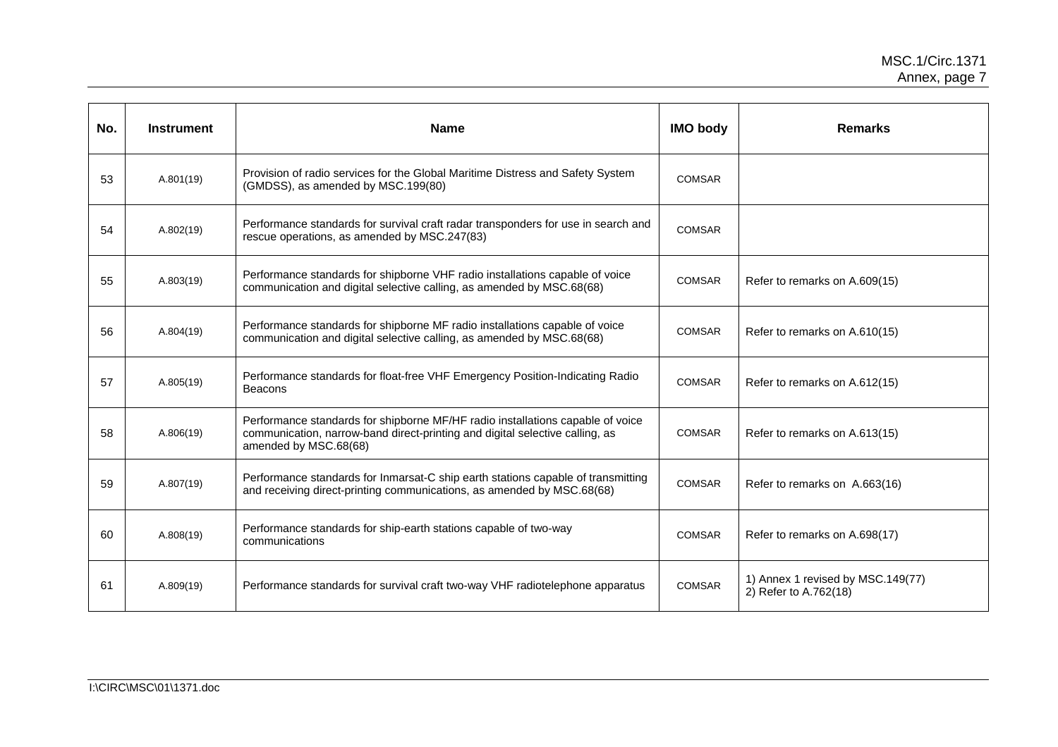| No. | <b>Instrument</b> | <b>Name</b>                                                                                                                                                                             | <b>IMO body</b> | <b>Remarks</b>                                             |
|-----|-------------------|-----------------------------------------------------------------------------------------------------------------------------------------------------------------------------------------|-----------------|------------------------------------------------------------|
| 53  | A.801(19)         | Provision of radio services for the Global Maritime Distress and Safety System<br>(GMDSS), as amended by MSC.199(80)                                                                    | <b>COMSAR</b>   |                                                            |
| 54  | A.802(19)         | Performance standards for survival craft radar transponders for use in search and<br>rescue operations, as amended by MSC.247(83)                                                       | <b>COMSAR</b>   |                                                            |
| 55  | A.803(19)         | Performance standards for shipborne VHF radio installations capable of voice<br>communication and digital selective calling, as amended by MSC.68(68)                                   | <b>COMSAR</b>   | Refer to remarks on A.609(15)                              |
| 56  | A.804(19)         | Performance standards for shipborne MF radio installations capable of voice<br>communication and digital selective calling, as amended by MSC.68(68)                                    | <b>COMSAR</b>   | Refer to remarks on A.610(15)                              |
| 57  | A.805(19)         | Performance standards for float-free VHF Emergency Position-Indicating Radio<br><b>Beacons</b>                                                                                          | <b>COMSAR</b>   | Refer to remarks on A.612(15)                              |
| 58  | A.806(19)         | Performance standards for shipborne MF/HF radio installations capable of voice<br>communication, narrow-band direct-printing and digital selective calling, as<br>amended by MSC.68(68) | <b>COMSAR</b>   | Refer to remarks on A.613(15)                              |
| 59  | A.807(19)         | Performance standards for Inmarsat-C ship earth stations capable of transmitting<br>and receiving direct-printing communications, as amended by MSC.68(68)                              | <b>COMSAR</b>   | Refer to remarks on A.663(16)                              |
| 60  | A.808(19)         | Performance standards for ship-earth stations capable of two-way<br>communications                                                                                                      | <b>COMSAR</b>   | Refer to remarks on A.698(17)                              |
| 61  | A.809(19)         | Performance standards for survival craft two-way VHF radiotelephone apparatus                                                                                                           | <b>COMSAR</b>   | 1) Annex 1 revised by MSC.149(77)<br>2) Refer to A.762(18) |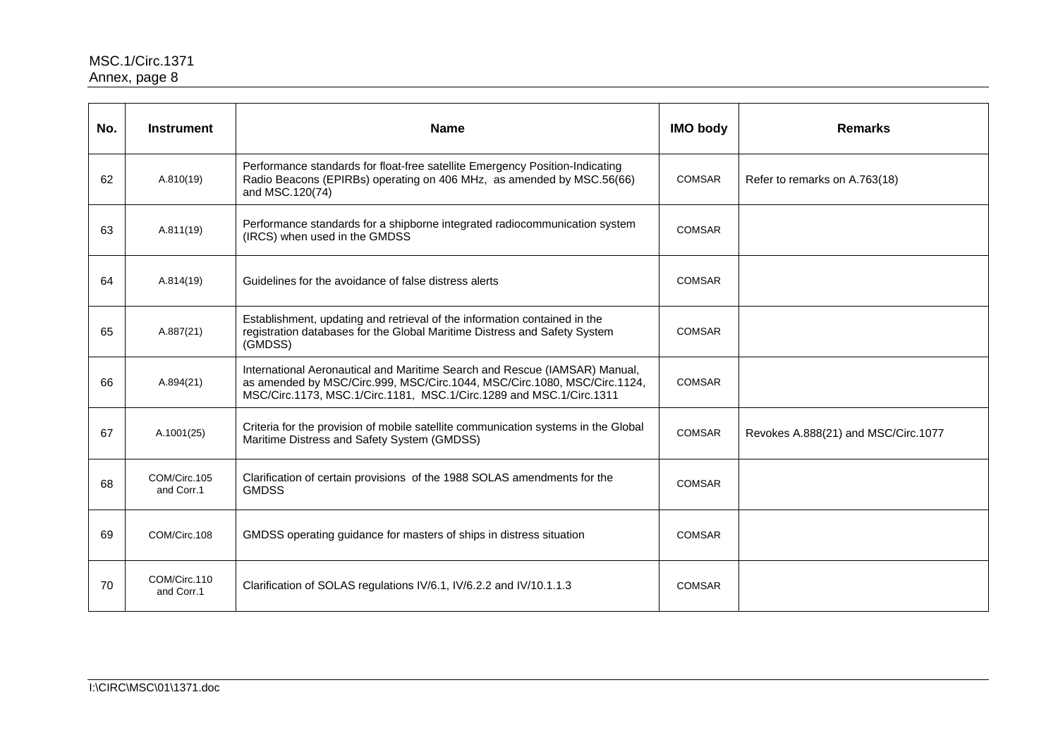| No. | <b>Instrument</b>          | <b>Name</b>                                                                                                                                                                                                                   | <b>IMO body</b> | <b>Remarks</b>                      |
|-----|----------------------------|-------------------------------------------------------------------------------------------------------------------------------------------------------------------------------------------------------------------------------|-----------------|-------------------------------------|
| 62  | A.810(19)                  | Performance standards for float-free satellite Emergency Position-Indicating<br>Radio Beacons (EPIRBs) operating on 406 MHz, as amended by MSC.56(66)<br>and MSC.120(74)                                                      | COMSAR          | Refer to remarks on A.763(18)       |
| 63  | A.811(19)                  | Performance standards for a shipborne integrated radiocommunication system<br>(IRCS) when used in the GMDSS                                                                                                                   | <b>COMSAR</b>   |                                     |
| 64  | A.814(19)                  | Guidelines for the avoidance of false distress alerts                                                                                                                                                                         | <b>COMSAR</b>   |                                     |
| 65  | A.887(21)                  | Establishment, updating and retrieval of the information contained in the<br>registration databases for the Global Maritime Distress and Safety System<br>(GMDSS)                                                             | <b>COMSAR</b>   |                                     |
| 66  | A.894(21)                  | International Aeronautical and Maritime Search and Rescue (IAMSAR) Manual,<br>as amended by MSC/Circ.999, MSC/Circ.1044, MSC/Circ.1080, MSC/Circ.1124,<br>MSC/Circ.1173, MSC.1/Circ.1181, MSC.1/Circ.1289 and MSC.1/Circ.1311 | <b>COMSAR</b>   |                                     |
| 67  | A.1001(25)                 | Criteria for the provision of mobile satellite communication systems in the Global<br>Maritime Distress and Safety System (GMDSS)                                                                                             | <b>COMSAR</b>   | Revokes A.888(21) and MSC/Circ.1077 |
| 68  | COM/Circ.105<br>and Corr.1 | Clarification of certain provisions of the 1988 SOLAS amendments for the<br><b>GMDSS</b>                                                                                                                                      | <b>COMSAR</b>   |                                     |
| 69  | COM/Circ.108               | GMDSS operating guidance for masters of ships in distress situation                                                                                                                                                           | <b>COMSAR</b>   |                                     |
| 70  | COM/Circ.110<br>and Corr.1 | Clarification of SOLAS regulations IV/6.1, IV/6.2.2 and IV/10.1.1.3                                                                                                                                                           | <b>COMSAR</b>   |                                     |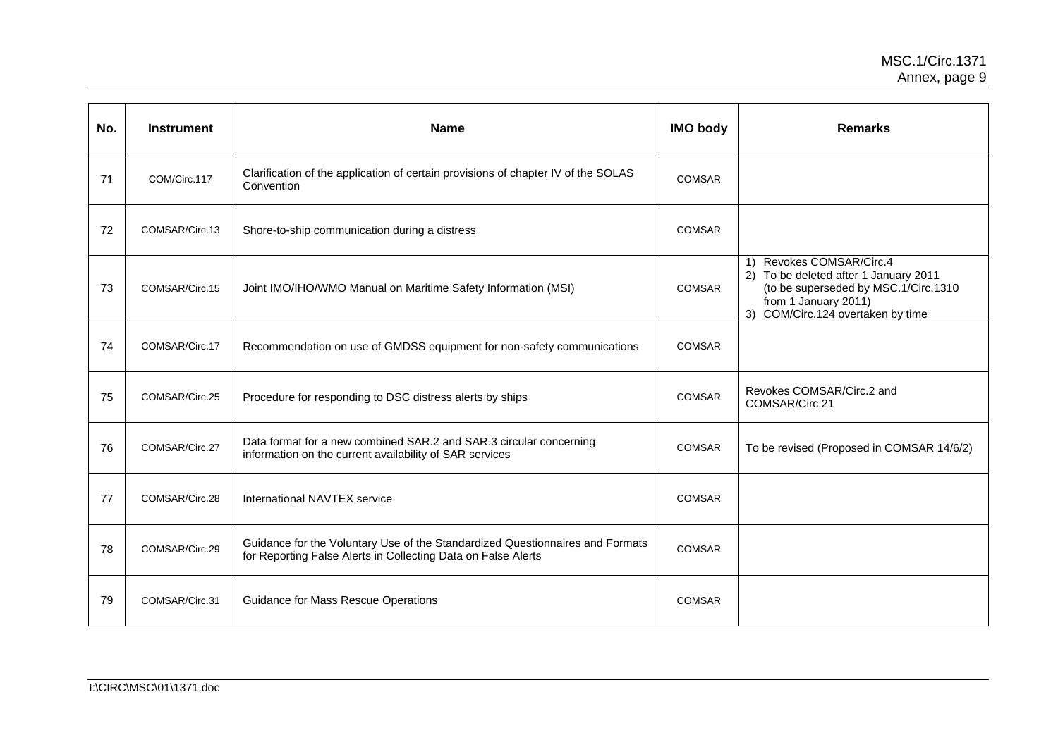| No. | <b>Instrument</b> | <b>Name</b>                                                                                                                                    | <b>IMO body</b> | <b>Remarks</b>                                                                                                                                                         |
|-----|-------------------|------------------------------------------------------------------------------------------------------------------------------------------------|-----------------|------------------------------------------------------------------------------------------------------------------------------------------------------------------------|
| 71  | COM/Circ.117      | Clarification of the application of certain provisions of chapter IV of the SOLAS<br>Convention                                                | <b>COMSAR</b>   |                                                                                                                                                                        |
| 72  | COMSAR/Circ.13    | Shore-to-ship communication during a distress                                                                                                  | <b>COMSAR</b>   |                                                                                                                                                                        |
| 73  | COMSAR/Circ.15    | Joint IMO/IHO/WMO Manual on Maritime Safety Information (MSI)                                                                                  | <b>COMSAR</b>   | 1) Revokes COMSAR/Circ.4<br>2) To be deleted after 1 January 2011<br>(to be superseded by MSC.1/Circ.1310<br>from 1 January 2011)<br>3) COM/Circ.124 overtaken by time |
| 74  | COMSAR/Circ.17    | Recommendation on use of GMDSS equipment for non-safety communications                                                                         | <b>COMSAR</b>   |                                                                                                                                                                        |
| 75  | COMSAR/Circ.25    | Procedure for responding to DSC distress alerts by ships                                                                                       | <b>COMSAR</b>   | Revokes COMSAR/Circ.2 and<br>COMSAR/Circ.21                                                                                                                            |
| 76  | COMSAR/Circ.27    | Data format for a new combined SAR.2 and SAR.3 circular concerning<br>information on the current availability of SAR services                  | <b>COMSAR</b>   | To be revised (Proposed in COMSAR 14/6/2)                                                                                                                              |
| 77  | COMSAR/Circ.28    | International NAVTEX service                                                                                                                   | <b>COMSAR</b>   |                                                                                                                                                                        |
| 78  | COMSAR/Circ.29    | Guidance for the Voluntary Use of the Standardized Questionnaires and Formats<br>for Reporting False Alerts in Collecting Data on False Alerts | <b>COMSAR</b>   |                                                                                                                                                                        |
| 79  | COMSAR/Circ.31    | <b>Guidance for Mass Rescue Operations</b>                                                                                                     | <b>COMSAR</b>   |                                                                                                                                                                        |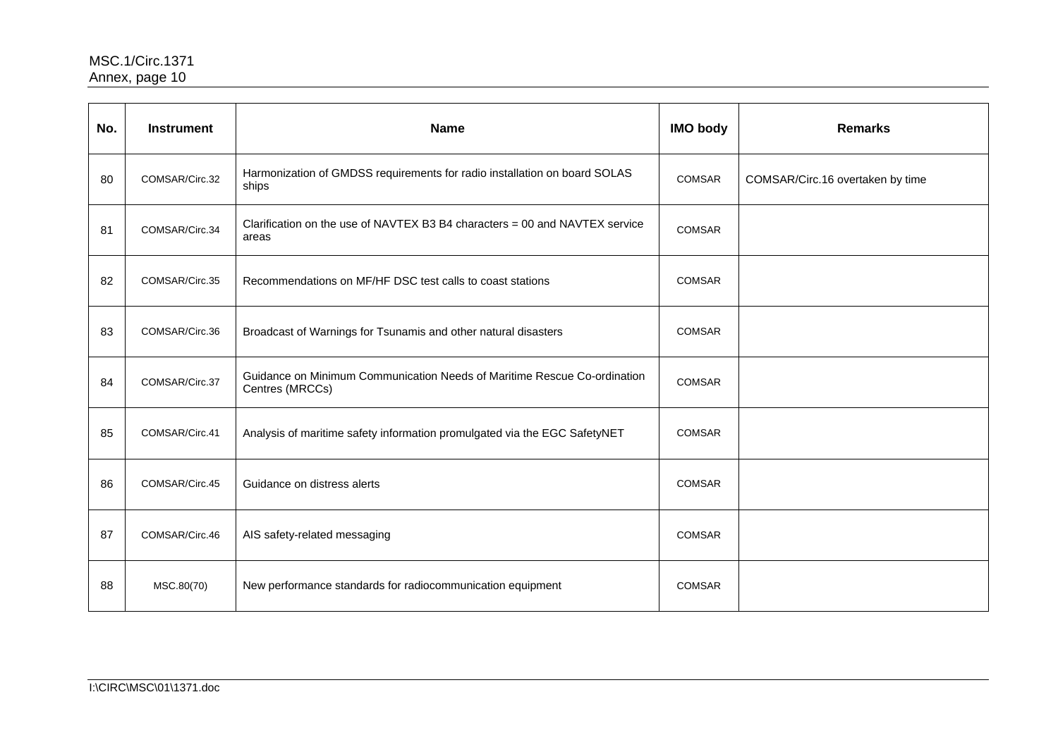| No. | <b>Instrument</b> | <b>Name</b>                                                                                 | <b>IMO body</b> | <b>Remarks</b>                   |
|-----|-------------------|---------------------------------------------------------------------------------------------|-----------------|----------------------------------|
| 80  | COMSAR/Circ.32    | Harmonization of GMDSS requirements for radio installation on board SOLAS<br>ships          | COMSAR          | COMSAR/Circ.16 overtaken by time |
| 81  | COMSAR/Circ.34    | Clarification on the use of NAVTEX B3 B4 characters = 00 and NAVTEX service<br>areas        | <b>COMSAR</b>   |                                  |
| 82  | COMSAR/Circ.35    | Recommendations on MF/HF DSC test calls to coast stations                                   | COMSAR          |                                  |
| 83  | COMSAR/Circ.36    | Broadcast of Warnings for Tsunamis and other natural disasters                              | <b>COMSAR</b>   |                                  |
| 84  | COMSAR/Circ.37    | Guidance on Minimum Communication Needs of Maritime Rescue Co-ordination<br>Centres (MRCCs) | <b>COMSAR</b>   |                                  |
| 85  | COMSAR/Circ.41    | Analysis of maritime safety information promulgated via the EGC SafetyNET                   | <b>COMSAR</b>   |                                  |
| 86  | COMSAR/Circ.45    | Guidance on distress alerts                                                                 | <b>COMSAR</b>   |                                  |
| 87  | COMSAR/Circ.46    | AIS safety-related messaging                                                                | <b>COMSAR</b>   |                                  |
| 88  | MSC.80(70)        | New performance standards for radiocommunication equipment                                  | <b>COMSAR</b>   |                                  |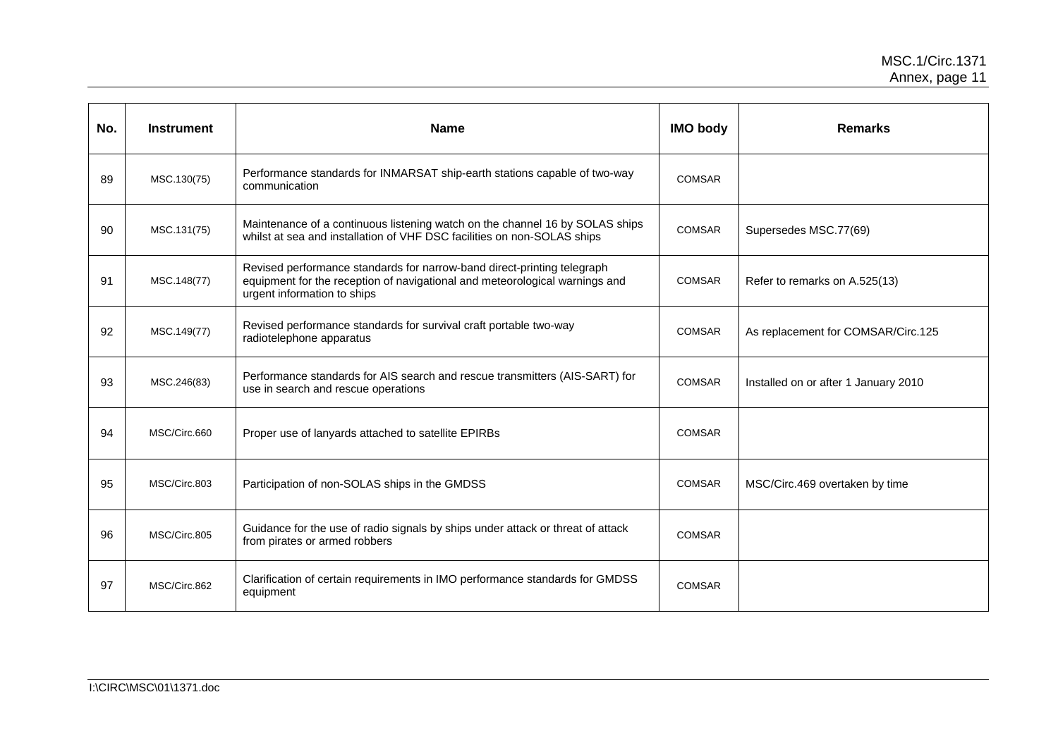| No. | <b>Instrument</b> | <b>Name</b>                                                                                                                                                                           | <b>IMO body</b> | <b>Remarks</b>                       |
|-----|-------------------|---------------------------------------------------------------------------------------------------------------------------------------------------------------------------------------|-----------------|--------------------------------------|
| 89  | MSC.130(75)       | Performance standards for INMARSAT ship-earth stations capable of two-way<br>communication                                                                                            | <b>COMSAR</b>   |                                      |
| 90  | MSC.131(75)       | Maintenance of a continuous listening watch on the channel 16 by SOLAS ships<br>whilst at sea and installation of VHF DSC facilities on non-SOLAS ships                               | COMSAR          | Supersedes MSC.77(69)                |
| 91  | MSC.148(77)       | Revised performance standards for narrow-band direct-printing telegraph<br>equipment for the reception of navigational and meteorological warnings and<br>urgent information to ships | <b>COMSAR</b>   | Refer to remarks on A.525(13)        |
| 92  | MSC.149(77)       | Revised performance standards for survival craft portable two-way<br>radiotelephone apparatus                                                                                         | <b>COMSAR</b>   | As replacement for COMSAR/Circ.125   |
| 93  | MSC.246(83)       | Performance standards for AIS search and rescue transmitters (AIS-SART) for<br>use in search and rescue operations                                                                    | <b>COMSAR</b>   | Installed on or after 1 January 2010 |
| 94  | MSC/Circ.660      | Proper use of lanyards attached to satellite EPIRBs                                                                                                                                   | <b>COMSAR</b>   |                                      |
| 95  | MSC/Circ.803      | Participation of non-SOLAS ships in the GMDSS                                                                                                                                         | <b>COMSAR</b>   | MSC/Circ.469 overtaken by time       |
| 96  | MSC/Circ.805      | Guidance for the use of radio signals by ships under attack or threat of attack<br>from pirates or armed robbers                                                                      | <b>COMSAR</b>   |                                      |
| 97  | MSC/Circ.862      | Clarification of certain requirements in IMO performance standards for GMDSS<br>equipment                                                                                             | <b>COMSAR</b>   |                                      |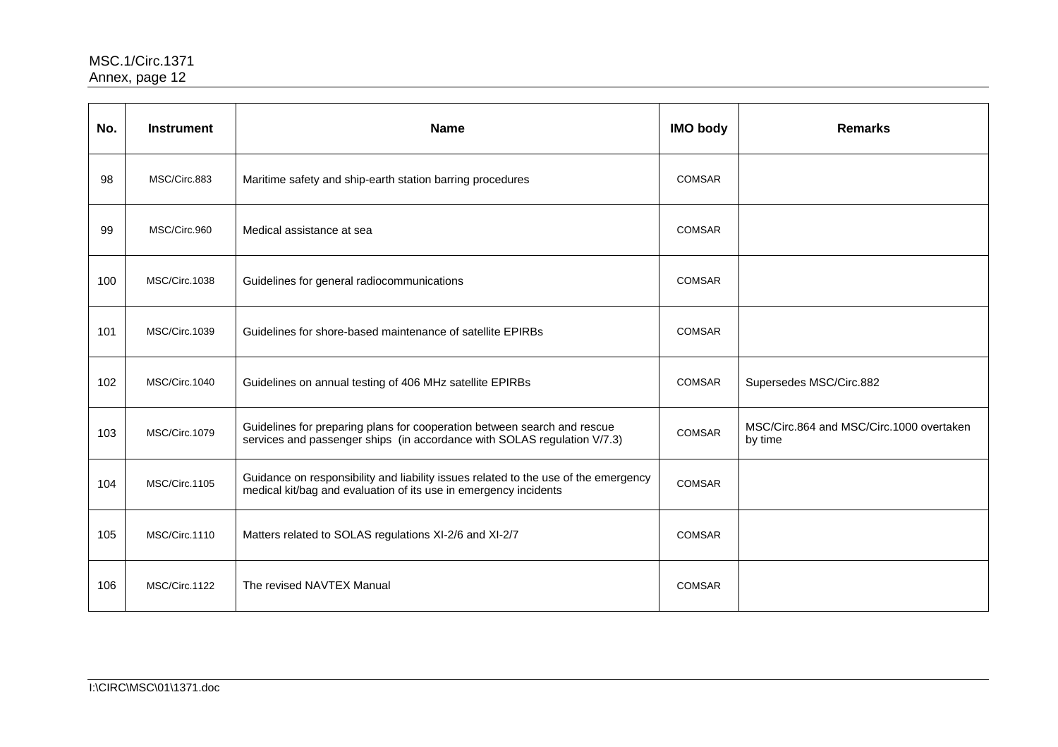| No. | <b>Instrument</b> | <b>Name</b>                                                                                                                                             | <b>IMO body</b> | <b>Remarks</b>                                      |
|-----|-------------------|---------------------------------------------------------------------------------------------------------------------------------------------------------|-----------------|-----------------------------------------------------|
| 98  | MSC/Circ.883      | Maritime safety and ship-earth station barring procedures                                                                                               | <b>COMSAR</b>   |                                                     |
| 99  | MSC/Circ.960      | Medical assistance at sea                                                                                                                               | COMSAR          |                                                     |
| 100 | MSC/Circ.1038     | Guidelines for general radiocommunications                                                                                                              | <b>COMSAR</b>   |                                                     |
| 101 | MSC/Circ.1039     | Guidelines for shore-based maintenance of satellite EPIRBs                                                                                              | <b>COMSAR</b>   |                                                     |
| 102 | MSC/Circ.1040     | Guidelines on annual testing of 406 MHz satellite EPIRBs                                                                                                | <b>COMSAR</b>   | Supersedes MSC/Circ.882                             |
| 103 | MSC/Circ.1079     | Guidelines for preparing plans for cooperation between search and rescue<br>services and passenger ships (in accordance with SOLAS regulation V/7.3)    | COMSAR          | MSC/Circ.864 and MSC/Circ.1000 overtaken<br>by time |
| 104 | MSC/Circ.1105     | Guidance on responsibility and liability issues related to the use of the emergency<br>medical kit/bag and evaluation of its use in emergency incidents | <b>COMSAR</b>   |                                                     |
| 105 | MSC/Circ.1110     | Matters related to SOLAS regulations XI-2/6 and XI-2/7                                                                                                  | <b>COMSAR</b>   |                                                     |
| 106 | MSC/Circ.1122     | The revised NAVTEX Manual                                                                                                                               | <b>COMSAR</b>   |                                                     |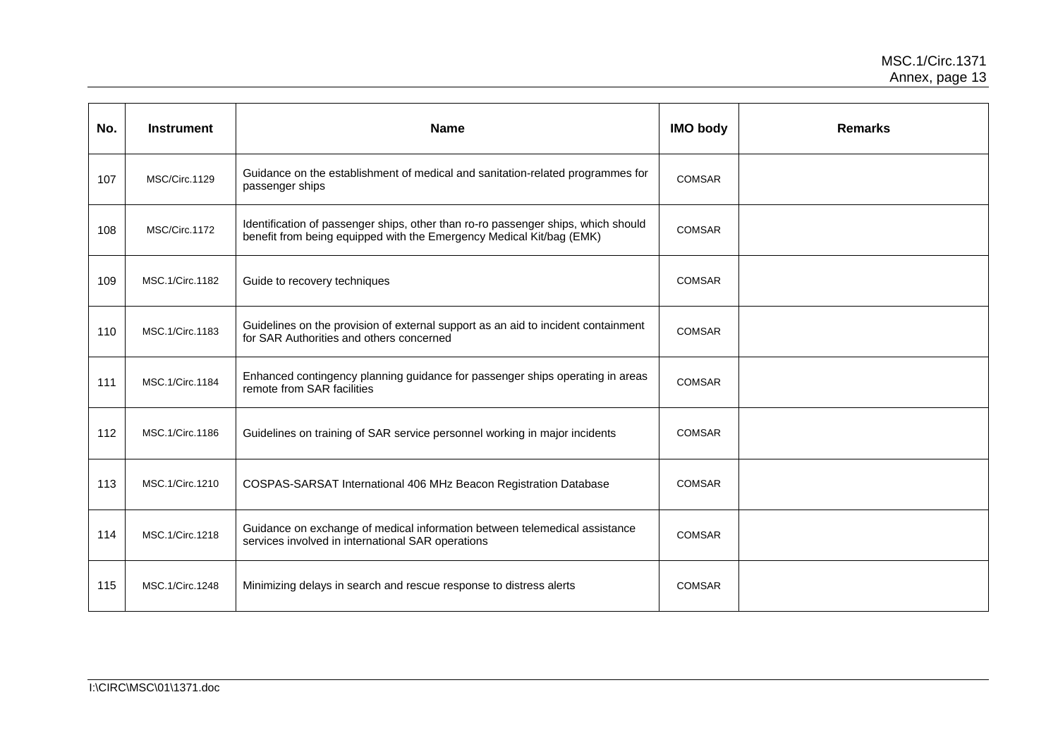| No. | <b>Instrument</b> | <b>Name</b>                                                                                                                                               | <b>IMO body</b> | <b>Remarks</b> |
|-----|-------------------|-----------------------------------------------------------------------------------------------------------------------------------------------------------|-----------------|----------------|
| 107 | MSC/Circ.1129     | Guidance on the establishment of medical and sanitation-related programmes for<br>passenger ships                                                         | <b>COMSAR</b>   |                |
| 108 | MSC/Circ.1172     | Identification of passenger ships, other than ro-ro passenger ships, which should<br>benefit from being equipped with the Emergency Medical Kit/bag (EMK) | <b>COMSAR</b>   |                |
| 109 | MSC.1/Circ.1182   | Guide to recovery techniques                                                                                                                              | <b>COMSAR</b>   |                |
| 110 | MSC.1/Circ.1183   | Guidelines on the provision of external support as an aid to incident containment<br>for SAR Authorities and others concerned                             | COMSAR          |                |
| 111 | MSC.1/Circ.1184   | Enhanced contingency planning guidance for passenger ships operating in areas<br>remote from SAR facilities                                               | <b>COMSAR</b>   |                |
| 112 | MSC.1/Circ.1186   | Guidelines on training of SAR service personnel working in major incidents                                                                                | <b>COMSAR</b>   |                |
| 113 | MSC.1/Circ.1210   | COSPAS-SARSAT International 406 MHz Beacon Registration Database                                                                                          | <b>COMSAR</b>   |                |
| 114 | MSC.1/Circ.1218   | Guidance on exchange of medical information between telemedical assistance<br>services involved in international SAR operations                           | COMSAR          |                |
| 115 | MSC.1/Circ.1248   | Minimizing delays in search and rescue response to distress alerts                                                                                        | COMSAR          |                |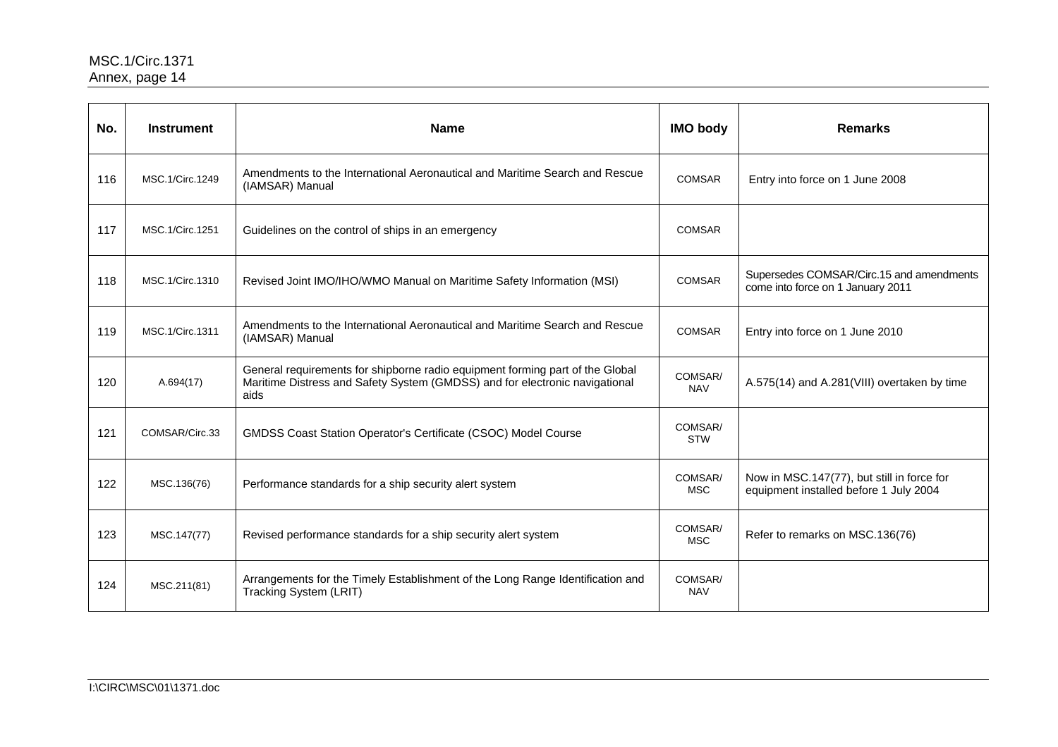| No. | <b>Instrument</b> | <b>Name</b>                                                                                                                                                          | <b>IMO body</b>       | <b>Remarks</b>                                                                       |
|-----|-------------------|----------------------------------------------------------------------------------------------------------------------------------------------------------------------|-----------------------|--------------------------------------------------------------------------------------|
| 116 | MSC.1/Circ.1249   | Amendments to the International Aeronautical and Maritime Search and Rescue<br>(IAMSAR) Manual                                                                       | <b>COMSAR</b>         | Entry into force on 1 June 2008                                                      |
| 117 | MSC.1/Circ.1251   | Guidelines on the control of ships in an emergency                                                                                                                   | <b>COMSAR</b>         |                                                                                      |
| 118 | MSC.1/Circ.1310   | Revised Joint IMO/IHO/WMO Manual on Maritime Safety Information (MSI)                                                                                                | <b>COMSAR</b>         | Supersedes COMSAR/Circ.15 and amendments<br>come into force on 1 January 2011        |
| 119 | MSC.1/Circ.1311   | Amendments to the International Aeronautical and Maritime Search and Rescue<br>(IAMSAR) Manual                                                                       | <b>COMSAR</b>         | Entry into force on 1 June 2010                                                      |
| 120 | A.694(17)         | General requirements for shipborne radio equipment forming part of the Global<br>Maritime Distress and Safety System (GMDSS) and for electronic navigational<br>aids | COMSAR/<br><b>NAV</b> | A.575(14) and A.281(VIII) overtaken by time                                          |
| 121 | COMSAR/Circ.33    | <b>GMDSS Coast Station Operator's Certificate (CSOC) Model Course</b>                                                                                                | COMSAR/<br><b>STW</b> |                                                                                      |
| 122 | MSC.136(76)       | Performance standards for a ship security alert system                                                                                                               | COMSAR/<br><b>MSC</b> | Now in MSC.147(77), but still in force for<br>equipment installed before 1 July 2004 |
| 123 | MSC.147(77)       | Revised performance standards for a ship security alert system                                                                                                       | COMSAR/<br><b>MSC</b> | Refer to remarks on MSC.136(76)                                                      |
| 124 | MSC.211(81)       | Arrangements for the Timely Establishment of the Long Range Identification and<br>Tracking System (LRIT)                                                             | COMSAR/<br><b>NAV</b> |                                                                                      |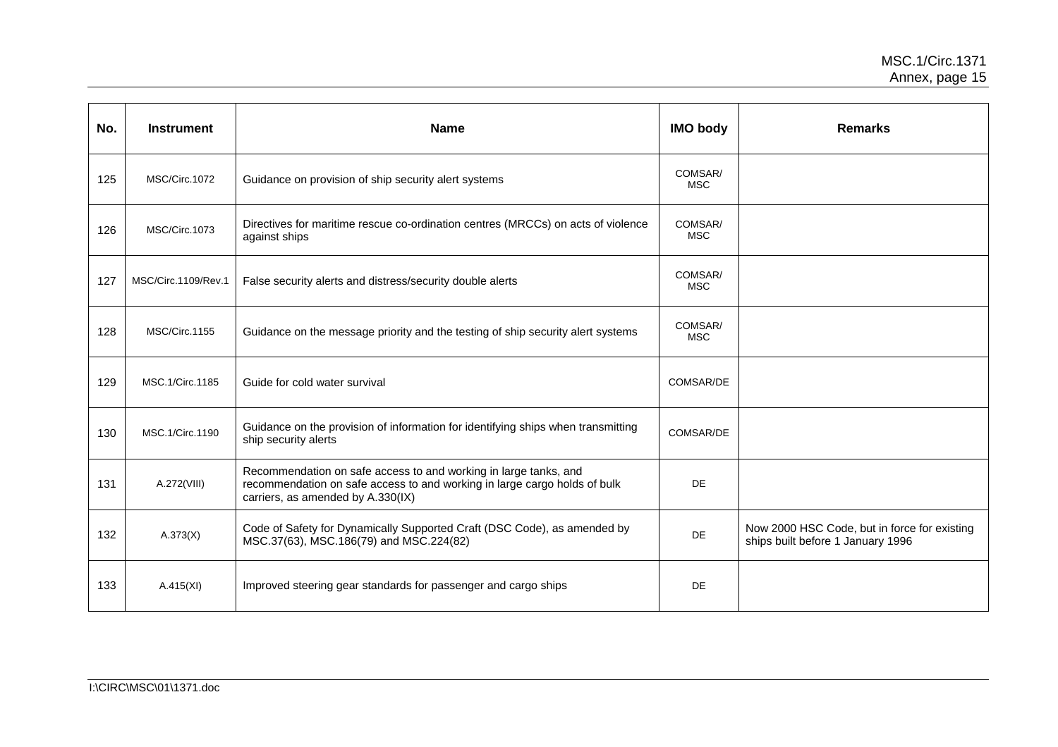| No. | <b>Instrument</b>   | <b>Name</b>                                                                                                                                                                        | <b>IMO body</b>       | <b>Remarks</b>                                                                    |
|-----|---------------------|------------------------------------------------------------------------------------------------------------------------------------------------------------------------------------|-----------------------|-----------------------------------------------------------------------------------|
| 125 | MSC/Circ.1072       | Guidance on provision of ship security alert systems                                                                                                                               | COMSAR/<br><b>MSC</b> |                                                                                   |
| 126 | MSC/Circ.1073       | Directives for maritime rescue co-ordination centres (MRCCs) on acts of violence<br>against ships                                                                                  | COMSAR/<br><b>MSC</b> |                                                                                   |
| 127 | MSC/Circ.1109/Rev.1 | False security alerts and distress/security double alerts                                                                                                                          | COMSAR/<br><b>MSC</b> |                                                                                   |
| 128 | MSC/Circ.1155       | Guidance on the message priority and the testing of ship security alert systems                                                                                                    | COMSAR/<br><b>MSC</b> |                                                                                   |
| 129 | MSC.1/Circ.1185     | Guide for cold water survival                                                                                                                                                      | COMSAR/DE             |                                                                                   |
| 130 | MSC.1/Circ.1190     | Guidance on the provision of information for identifying ships when transmitting<br>ship security alerts                                                                           | COMSAR/DE             |                                                                                   |
| 131 | A.272(VIII)         | Recommendation on safe access to and working in large tanks, and<br>recommendation on safe access to and working in large cargo holds of bulk<br>carriers, as amended by A.330(IX) | <b>DE</b>             |                                                                                   |
| 132 | A.373(X)            | Code of Safety for Dynamically Supported Craft (DSC Code), as amended by<br>MSC.37(63), MSC.186(79) and MSC.224(82)                                                                | DE                    | Now 2000 HSC Code, but in force for existing<br>ships built before 1 January 1996 |
| 133 | A.415(XI)           | Improved steering gear standards for passenger and cargo ships                                                                                                                     | DE                    |                                                                                   |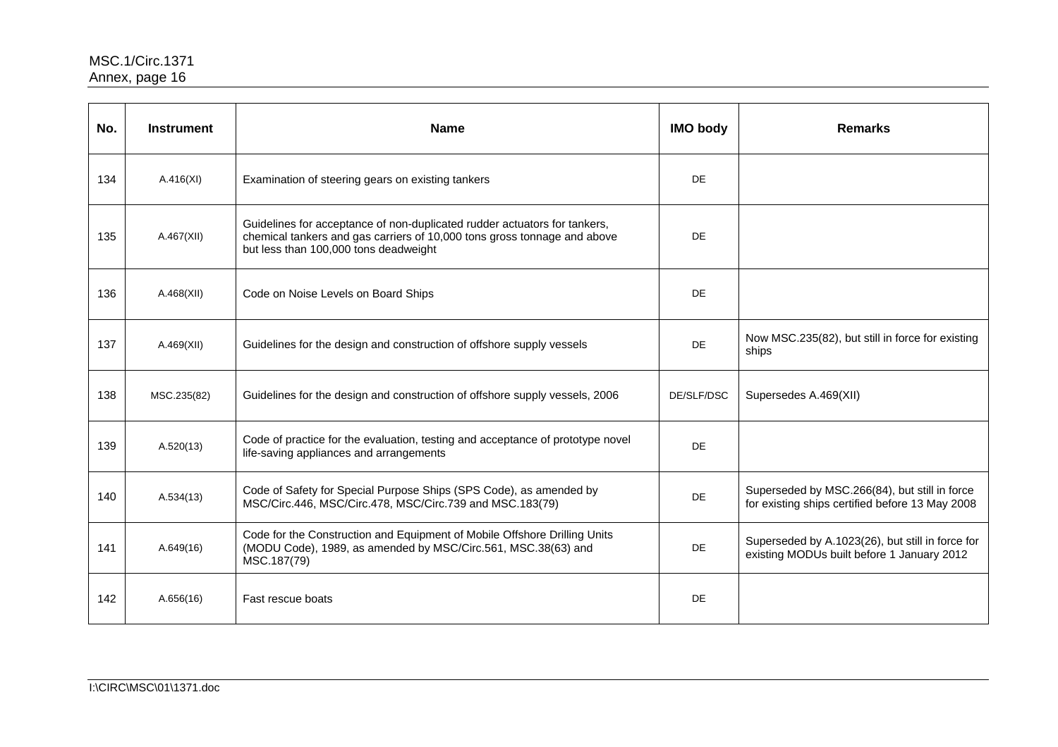| No. | <b>Instrument</b> | <b>Name</b>                                                                                                                                                                                    | <b>IMO body</b> | <b>Remarks</b>                                                                                   |
|-----|-------------------|------------------------------------------------------------------------------------------------------------------------------------------------------------------------------------------------|-----------------|--------------------------------------------------------------------------------------------------|
| 134 | A.416(XI)         | Examination of steering gears on existing tankers                                                                                                                                              | <b>DE</b>       |                                                                                                  |
| 135 | A.467(XII)        | Guidelines for acceptance of non-duplicated rudder actuators for tankers,<br>chemical tankers and gas carriers of 10,000 tons gross tonnage and above<br>but less than 100,000 tons deadweight | <b>DE</b>       |                                                                                                  |
| 136 | A.468(XII)        | Code on Noise Levels on Board Ships                                                                                                                                                            | <b>DE</b>       |                                                                                                  |
| 137 | A.469(XII)        | Guidelines for the design and construction of offshore supply vessels                                                                                                                          | <b>DE</b>       | Now MSC.235(82), but still in force for existing<br>ships                                        |
| 138 | MSC.235(82)       | Guidelines for the design and construction of offshore supply vessels, 2006                                                                                                                    | DE/SLF/DSC      | Supersedes A.469(XII)                                                                            |
| 139 | A.520(13)         | Code of practice for the evaluation, testing and acceptance of prototype novel<br>life-saving appliances and arrangements                                                                      | <b>DE</b>       |                                                                                                  |
| 140 | A.534(13)         | Code of Safety for Special Purpose Ships (SPS Code), as amended by<br>MSC/Circ.446, MSC/Circ.478, MSC/Circ.739 and MSC.183(79)                                                                 | <b>DE</b>       | Superseded by MSC.266(84), but still in force<br>for existing ships certified before 13 May 2008 |
| 141 | A.649(16)         | Code for the Construction and Equipment of Mobile Offshore Drilling Units<br>(MODU Code), 1989, as amended by MSC/Circ.561, MSC.38(63) and<br>MSC.187(79)                                      | <b>DE</b>       | Superseded by A.1023(26), but still in force for<br>existing MODUs built before 1 January 2012   |
| 142 | A.656(16)         | Fast rescue boats                                                                                                                                                                              | <b>DE</b>       |                                                                                                  |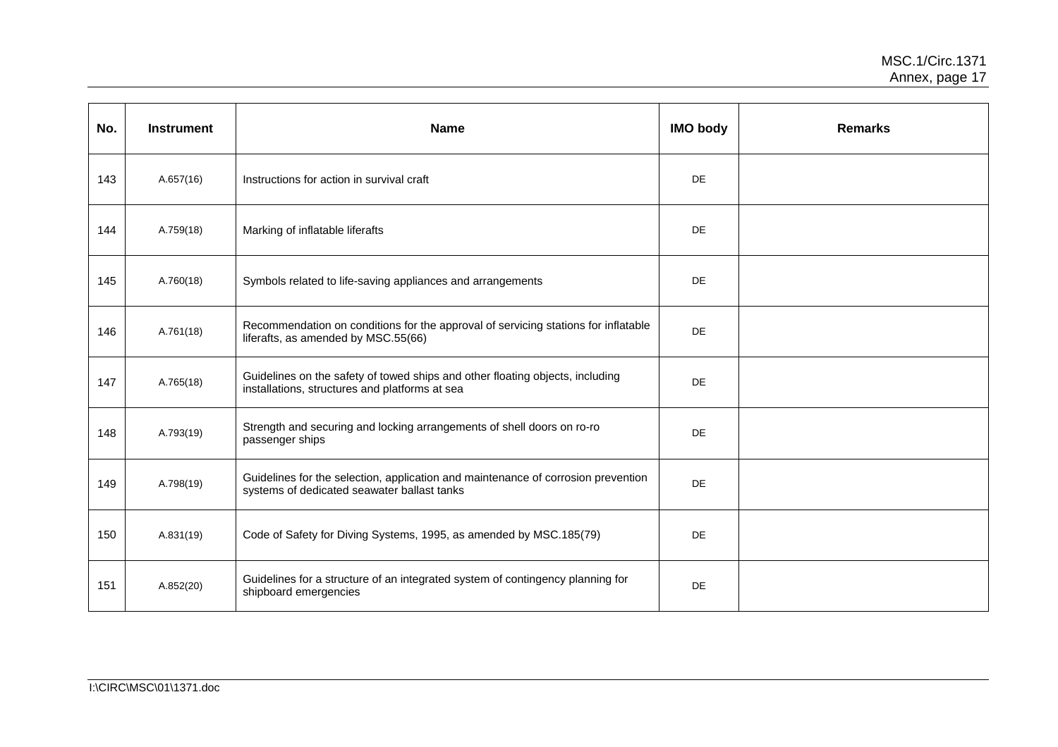| No. | <b>Instrument</b> | <b>Name</b>                                                                                                                      | <b>IMO body</b> | <b>Remarks</b> |
|-----|-------------------|----------------------------------------------------------------------------------------------------------------------------------|-----------------|----------------|
| 143 | A.657(16)         | Instructions for action in survival craft                                                                                        | DE              |                |
| 144 | A.759(18)         | Marking of inflatable liferafts                                                                                                  | DE              |                |
| 145 | A.760(18)         | Symbols related to life-saving appliances and arrangements                                                                       | DE              |                |
| 146 | A.761(18)         | Recommendation on conditions for the approval of servicing stations for inflatable<br>liferafts, as amended by MSC.55(66)        | DE              |                |
| 147 | A.765(18)         | Guidelines on the safety of towed ships and other floating objects, including<br>installations, structures and platforms at sea  | DE              |                |
| 148 | A.793(19)         | Strength and securing and locking arrangements of shell doors on ro-ro<br>passenger ships                                        | DE              |                |
| 149 | A.798(19)         | Guidelines for the selection, application and maintenance of corrosion prevention<br>systems of dedicated seawater ballast tanks | DE              |                |
| 150 | A.831(19)         | Code of Safety for Diving Systems, 1995, as amended by MSC.185(79)                                                               | DE              |                |
| 151 | A.852(20)         | Guidelines for a structure of an integrated system of contingency planning for<br>shipboard emergencies                          | DE              |                |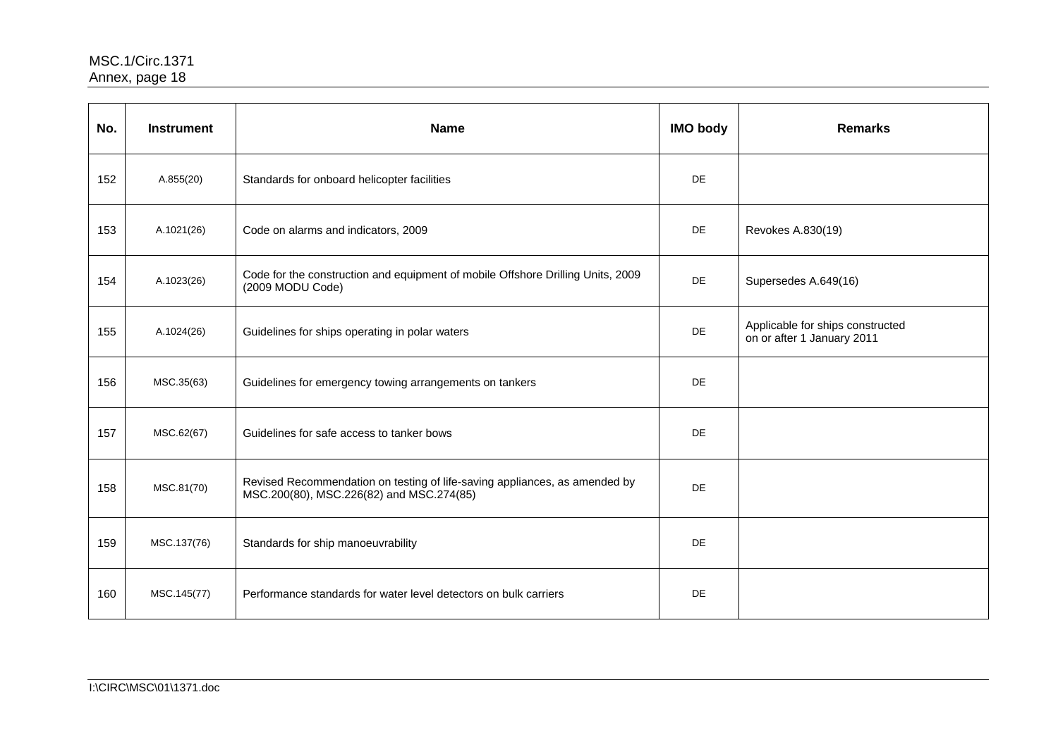| No. | <b>Instrument</b> | <b>Name</b>                                                                                                            | <b>IMO body</b> | <b>Remarks</b>                                                 |
|-----|-------------------|------------------------------------------------------------------------------------------------------------------------|-----------------|----------------------------------------------------------------|
| 152 | A.855(20)         | Standards for onboard helicopter facilities                                                                            | <b>DE</b>       |                                                                |
| 153 | A.1021(26)        | Code on alarms and indicators, 2009                                                                                    | <b>DE</b>       | Revokes A.830(19)                                              |
| 154 | A.1023(26)        | Code for the construction and equipment of mobile Offshore Drilling Units, 2009<br>(2009 MODU Code)                    | <b>DE</b>       | Supersedes A.649(16)                                           |
| 155 | A.1024(26)        | Guidelines for ships operating in polar waters                                                                         | DE              | Applicable for ships constructed<br>on or after 1 January 2011 |
| 156 | MSC.35(63)        | Guidelines for emergency towing arrangements on tankers                                                                | <b>DE</b>       |                                                                |
| 157 | MSC.62(67)        | Guidelines for safe access to tanker bows                                                                              | <b>DE</b>       |                                                                |
| 158 | MSC.81(70)        | Revised Recommendation on testing of life-saving appliances, as amended by<br>MSC.200(80), MSC.226(82) and MSC.274(85) | <b>DE</b>       |                                                                |
| 159 | MSC.137(76)       | Standards for ship manoeuvrability                                                                                     | <b>DE</b>       |                                                                |
| 160 | MSC.145(77)       | Performance standards for water level detectors on bulk carriers                                                       | <b>DE</b>       |                                                                |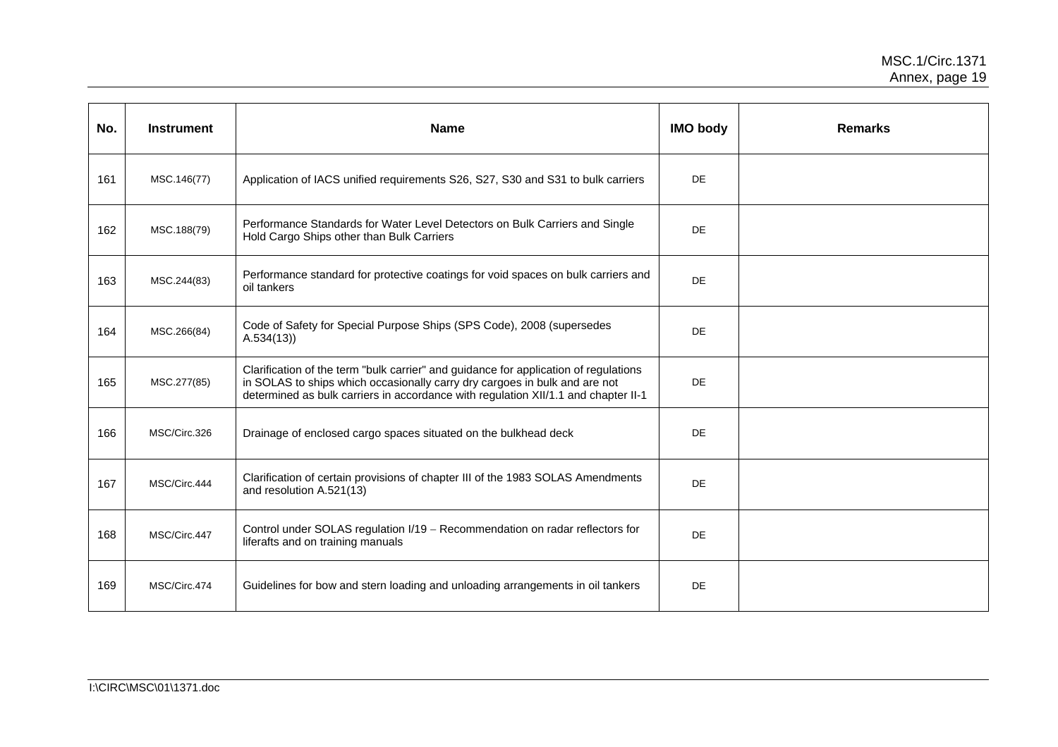| No. | <b>Instrument</b> | <b>Name</b>                                                                                                                                                                                                                                              | <b>IMO body</b> | <b>Remarks</b> |
|-----|-------------------|----------------------------------------------------------------------------------------------------------------------------------------------------------------------------------------------------------------------------------------------------------|-----------------|----------------|
| 161 | MSC.146(77)       | Application of IACS unified requirements S26, S27, S30 and S31 to bulk carriers                                                                                                                                                                          | DE              |                |
| 162 | MSC.188(79)       | Performance Standards for Water Level Detectors on Bulk Carriers and Single<br>Hold Cargo Ships other than Bulk Carriers                                                                                                                                 | <b>DE</b>       |                |
| 163 | MSC.244(83)       | Performance standard for protective coatings for void spaces on bulk carriers and<br>oil tankers                                                                                                                                                         | DE              |                |
| 164 | MSC.266(84)       | Code of Safety for Special Purpose Ships (SPS Code), 2008 (supersedes<br>A.534(13)                                                                                                                                                                       | DE              |                |
| 165 | MSC.277(85)       | Clarification of the term "bulk carrier" and guidance for application of regulations<br>in SOLAS to ships which occasionally carry dry cargoes in bulk and are not<br>determined as bulk carriers in accordance with regulation XII/1.1 and chapter II-1 | DE              |                |
| 166 | MSC/Circ.326      | Drainage of enclosed cargo spaces situated on the bulkhead deck                                                                                                                                                                                          | DE              |                |
| 167 | MSC/Circ.444      | Clarification of certain provisions of chapter III of the 1983 SOLAS Amendments<br>and resolution A.521(13)                                                                                                                                              | DE              |                |
| 168 | MSC/Circ.447      | Control under SOLAS regulation I/19 - Recommendation on radar reflectors for<br>liferafts and on training manuals                                                                                                                                        | DE              |                |
| 169 | MSC/Circ.474      | Guidelines for bow and stern loading and unloading arrangements in oil tankers                                                                                                                                                                           | DE              |                |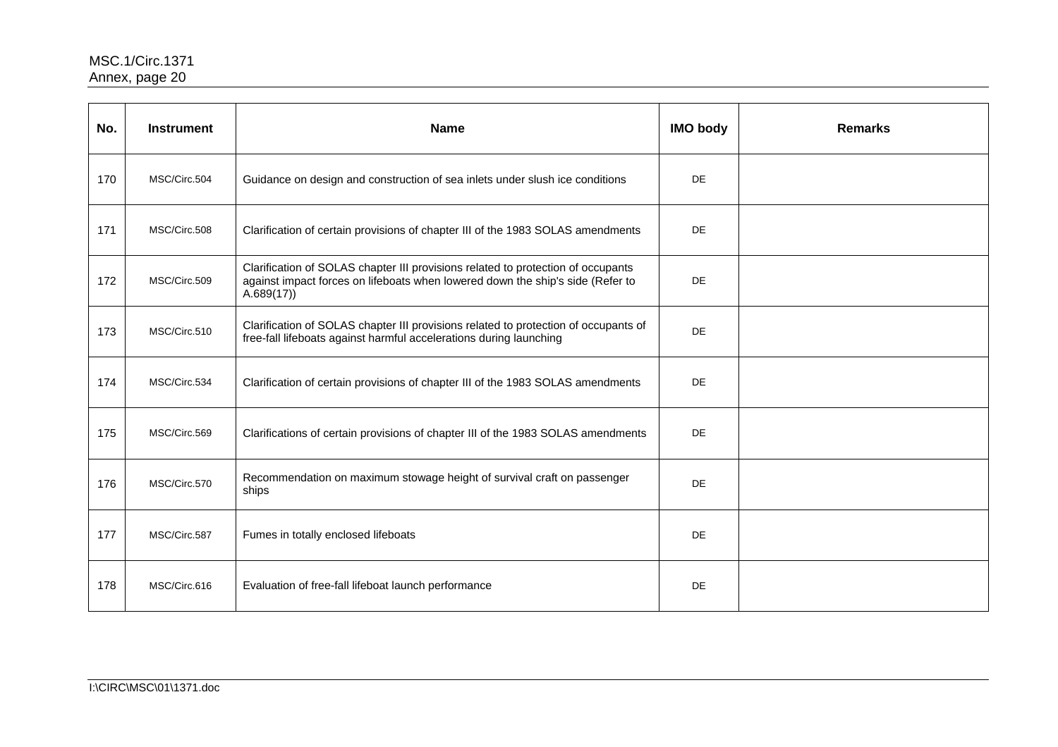| No. | <b>Instrument</b> | <b>Name</b>                                                                                                                                                                     | <b>IMO body</b> | <b>Remarks</b> |
|-----|-------------------|---------------------------------------------------------------------------------------------------------------------------------------------------------------------------------|-----------------|----------------|
| 170 | MSC/Circ.504      | Guidance on design and construction of sea inlets under slush ice conditions                                                                                                    | <b>DE</b>       |                |
| 171 | MSC/Circ.508      | Clarification of certain provisions of chapter III of the 1983 SOLAS amendments                                                                                                 | <b>DE</b>       |                |
| 172 | MSC/Circ.509      | Clarification of SOLAS chapter III provisions related to protection of occupants<br>against impact forces on lifeboats when lowered down the ship's side (Refer to<br>A.689(17) | <b>DE</b>       |                |
| 173 | MSC/Circ.510      | Clarification of SOLAS chapter III provisions related to protection of occupants of<br>free-fall lifeboats against harmful accelerations during launching                       | <b>DE</b>       |                |
| 174 | MSC/Circ.534      | Clarification of certain provisions of chapter III of the 1983 SOLAS amendments                                                                                                 | DE.             |                |
| 175 | MSC/Circ.569      | Clarifications of certain provisions of chapter III of the 1983 SOLAS amendments                                                                                                | <b>DE</b>       |                |
| 176 | MSC/Circ.570      | Recommendation on maximum stowage height of survival craft on passenger<br>ships                                                                                                | DE              |                |
| 177 | MSC/Circ.587      | Fumes in totally enclosed lifeboats                                                                                                                                             | <b>DE</b>       |                |
| 178 | MSC/Circ.616      | Evaluation of free-fall lifeboat launch performance                                                                                                                             | DE              |                |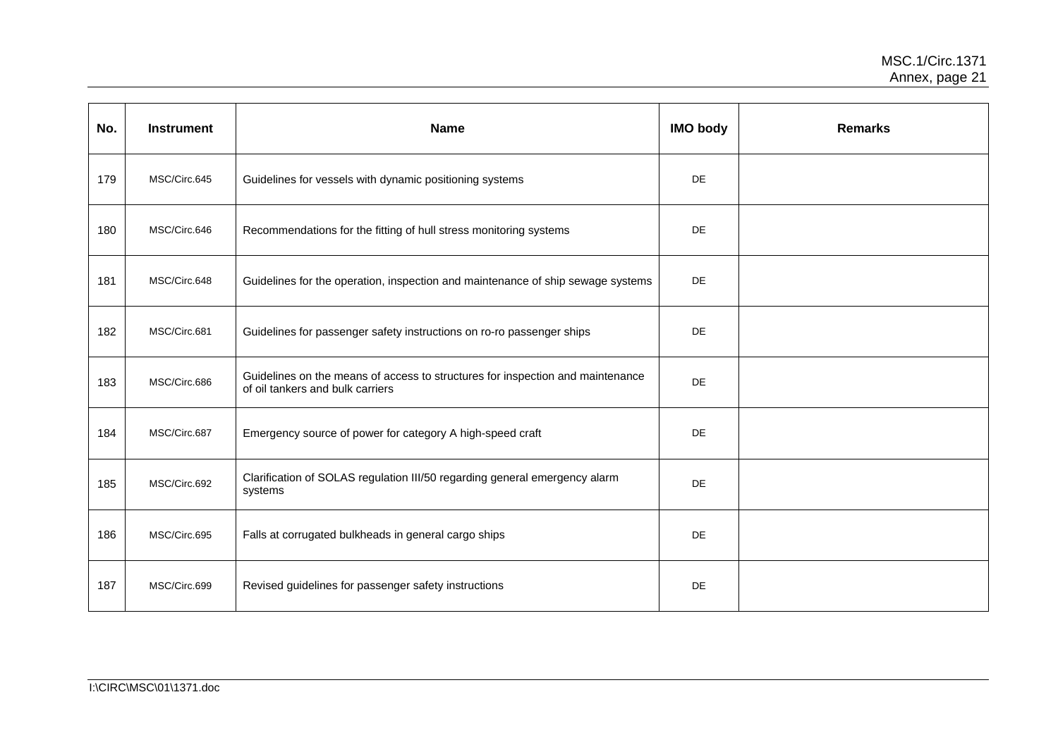| No. | <b>Instrument</b> | <b>Name</b>                                                                                                        | <b>IMO body</b> | <b>Remarks</b> |
|-----|-------------------|--------------------------------------------------------------------------------------------------------------------|-----------------|----------------|
| 179 | MSC/Circ.645      | Guidelines for vessels with dynamic positioning systems                                                            | <b>DE</b>       |                |
| 180 | MSC/Circ.646      | Recommendations for the fitting of hull stress monitoring systems                                                  | <b>DE</b>       |                |
| 181 | MSC/Circ.648      | Guidelines for the operation, inspection and maintenance of ship sewage systems                                    | DE              |                |
| 182 | MSC/Circ.681      | Guidelines for passenger safety instructions on ro-ro passenger ships                                              | <b>DE</b>       |                |
| 183 | MSC/Circ.686      | Guidelines on the means of access to structures for inspection and maintenance<br>of oil tankers and bulk carriers | DE              |                |
| 184 | MSC/Circ.687      | Emergency source of power for category A high-speed craft                                                          | DE              |                |
| 185 | MSC/Circ.692      | Clarification of SOLAS regulation III/50 regarding general emergency alarm<br>systems                              | <b>DE</b>       |                |
| 186 | MSC/Circ.695      | Falls at corrugated bulkheads in general cargo ships                                                               | DE              |                |
| 187 | MSC/Circ.699      | Revised guidelines for passenger safety instructions                                                               | DE              |                |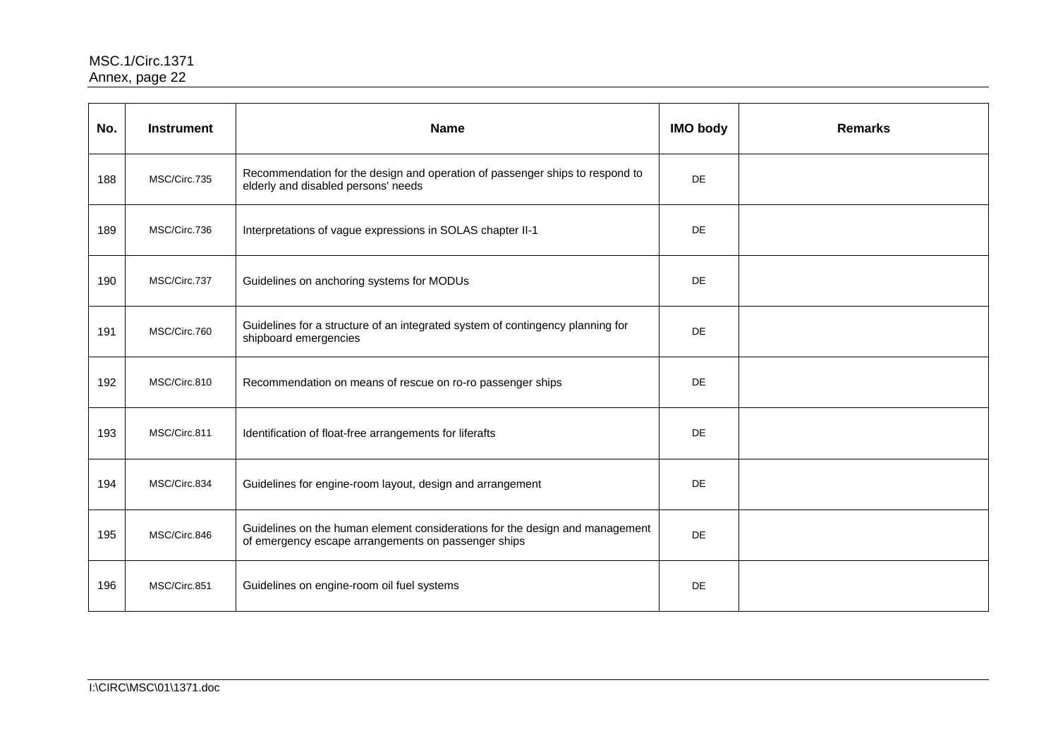| No. | <b>Instrument</b> | <b>Name</b>                                                                                                                         | <b>IMO body</b> | <b>Remarks</b> |
|-----|-------------------|-------------------------------------------------------------------------------------------------------------------------------------|-----------------|----------------|
| 188 | MSC/Circ.735      | Recommendation for the design and operation of passenger ships to respond to<br>elderly and disabled persons' needs                 | <b>DE</b>       |                |
| 189 | MSC/Circ.736      | Interpretations of vague expressions in SOLAS chapter II-1                                                                          | DE              |                |
| 190 | MSC/Circ.737      | Guidelines on anchoring systems for MODUs                                                                                           | <b>DE</b>       |                |
| 191 | MSC/Circ.760      | Guidelines for a structure of an integrated system of contingency planning for<br>shipboard emergencies                             | DE              |                |
| 192 | MSC/Circ.810      | Recommendation on means of rescue on ro-ro passenger ships                                                                          | DE              |                |
| 193 | MSC/Circ.811      | Identification of float-free arrangements for liferafts                                                                             | <b>DE</b>       |                |
| 194 | MSC/Circ.834      | Guidelines for engine-room layout, design and arrangement                                                                           | DE              |                |
| 195 | MSC/Circ.846      | Guidelines on the human element considerations for the design and management<br>of emergency escape arrangements on passenger ships | DE              |                |
| 196 | MSC/Circ.851      | Guidelines on engine-room oil fuel systems                                                                                          | DE              |                |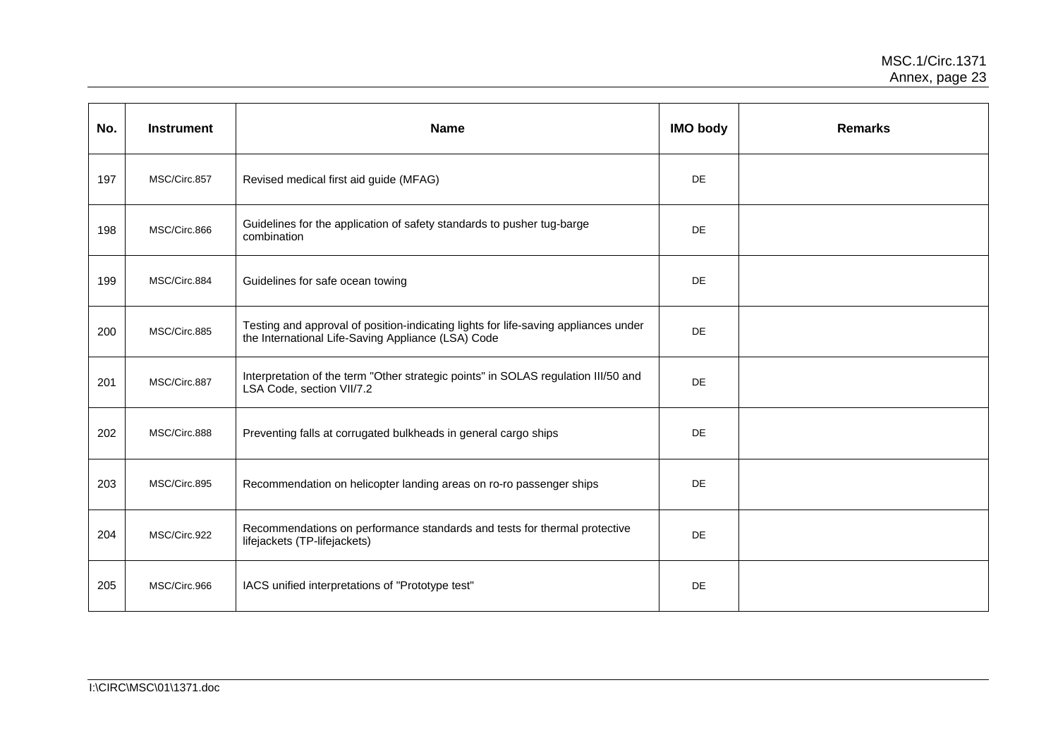| No. | <b>Instrument</b> | <b>Name</b>                                                                                                                               | <b>IMO body</b> | <b>Remarks</b> |
|-----|-------------------|-------------------------------------------------------------------------------------------------------------------------------------------|-----------------|----------------|
| 197 | MSC/Circ.857      | Revised medical first aid guide (MFAG)                                                                                                    | DE              |                |
| 198 | MSC/Circ.866      | Guidelines for the application of safety standards to pusher tug-barge<br>combination                                                     | <b>DE</b>       |                |
| 199 | MSC/Circ.884      | Guidelines for safe ocean towing                                                                                                          | <b>DE</b>       |                |
| 200 | MSC/Circ.885      | Testing and approval of position-indicating lights for life-saving appliances under<br>the International Life-Saving Appliance (LSA) Code | <b>DE</b>       |                |
| 201 | MSC/Circ.887      | Interpretation of the term "Other strategic points" in SOLAS regulation III/50 and<br>LSA Code, section VII/7.2                           | DE              |                |
| 202 | MSC/Circ.888      | Preventing falls at corrugated bulkheads in general cargo ships                                                                           | DE              |                |
| 203 | MSC/Circ.895      | Recommendation on helicopter landing areas on ro-ro passenger ships                                                                       | <b>DE</b>       |                |
| 204 | MSC/Circ.922      | Recommendations on performance standards and tests for thermal protective<br>lifejackets (TP-lifejackets)                                 | <b>DE</b>       |                |
| 205 | MSC/Circ.966      | IACS unified interpretations of "Prototype test"                                                                                          | DE              |                |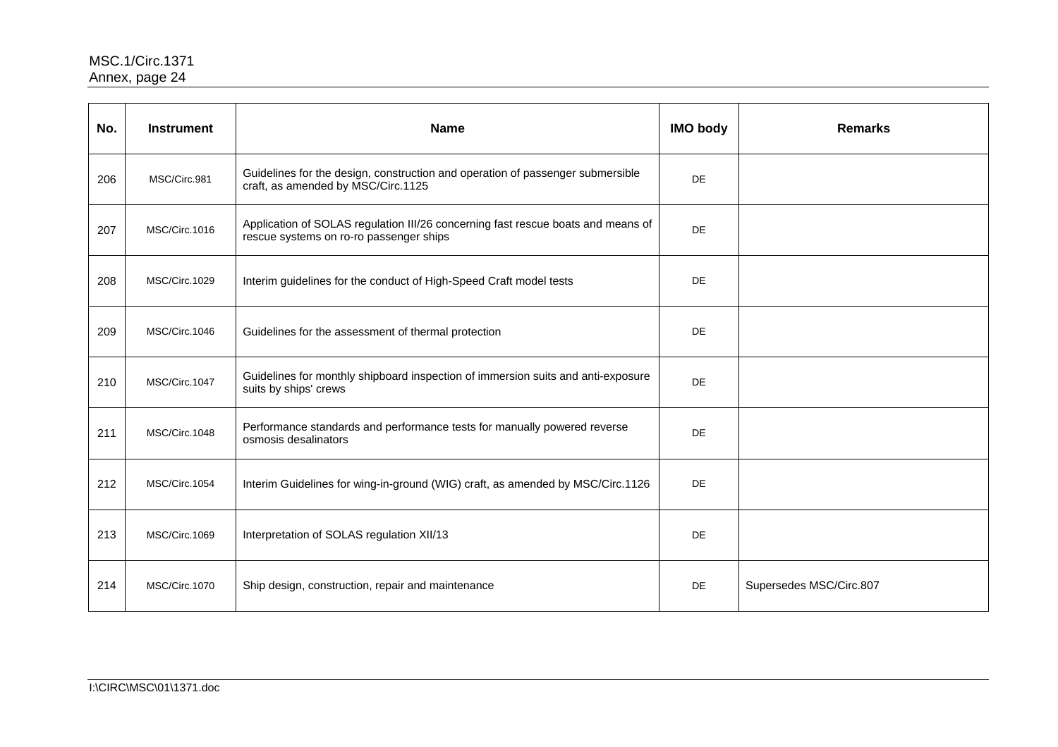| No. | <b>Instrument</b> | <b>Name</b>                                                                                                                 | <b>IMO body</b> | <b>Remarks</b>          |
|-----|-------------------|-----------------------------------------------------------------------------------------------------------------------------|-----------------|-------------------------|
| 206 | MSC/Circ.981      | Guidelines for the design, construction and operation of passenger submersible<br>craft, as amended by MSC/Circ.1125        | <b>DE</b>       |                         |
| 207 | MSC/Circ.1016     | Application of SOLAS regulation III/26 concerning fast rescue boats and means of<br>rescue systems on ro-ro passenger ships | DE              |                         |
| 208 | MSC/Circ.1029     | Interim guidelines for the conduct of High-Speed Craft model tests                                                          | DE              |                         |
| 209 | MSC/Circ.1046     | Guidelines for the assessment of thermal protection                                                                         | DE              |                         |
| 210 | MSC/Circ.1047     | Guidelines for monthly shipboard inspection of immersion suits and anti-exposure<br>suits by ships' crews                   | DE              |                         |
| 211 | MSC/Circ.1048     | Performance standards and performance tests for manually powered reverse<br>osmosis desalinators                            | <b>DE</b>       |                         |
| 212 | MSC/Circ.1054     | Interim Guidelines for wing-in-ground (WIG) craft, as amended by MSC/Circ.1126                                              | DE              |                         |
| 213 | MSC/Circ.1069     | Interpretation of SOLAS regulation XII/13                                                                                   | DE              |                         |
| 214 | MSC/Circ.1070     | Ship design, construction, repair and maintenance                                                                           | DE              | Supersedes MSC/Circ.807 |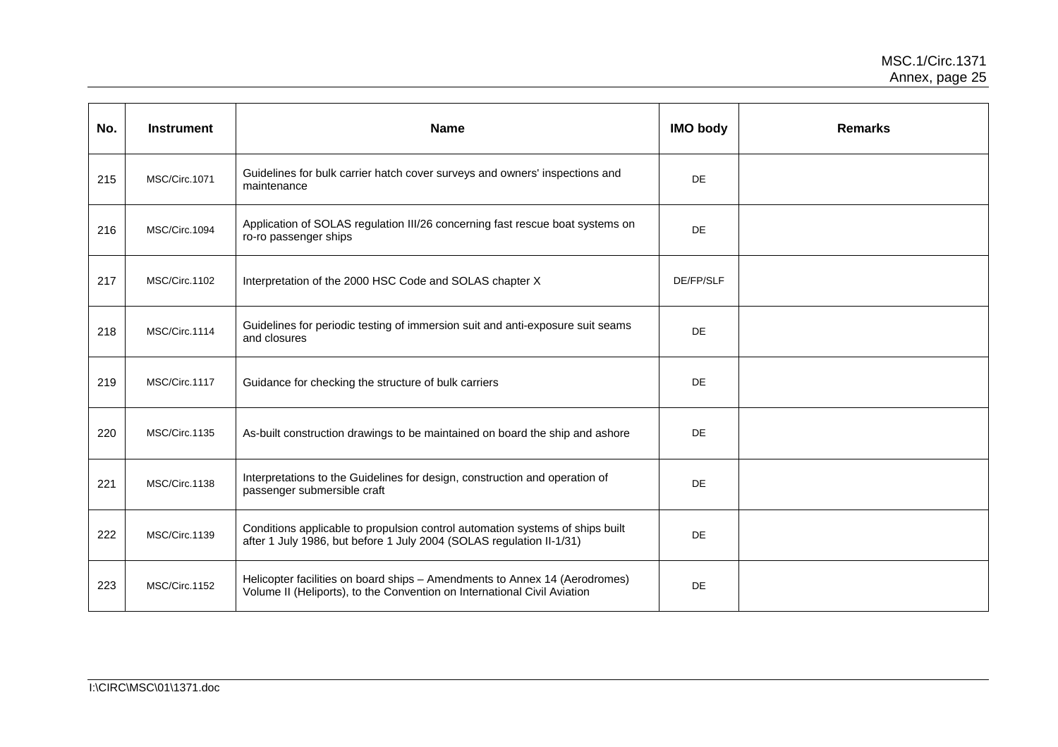| No. | <b>Instrument</b> | <b>Name</b>                                                                                                                                            | <b>IMO body</b> | <b>Remarks</b> |
|-----|-------------------|--------------------------------------------------------------------------------------------------------------------------------------------------------|-----------------|----------------|
| 215 | MSC/Circ.1071     | Guidelines for bulk carrier hatch cover surveys and owners' inspections and<br>maintenance                                                             | DE              |                |
| 216 | MSC/Circ.1094     | Application of SOLAS regulation III/26 concerning fast rescue boat systems on<br>ro-ro passenger ships                                                 | DE              |                |
| 217 | MSC/Circ.1102     | Interpretation of the 2000 HSC Code and SOLAS chapter X                                                                                                | DE/FP/SLF       |                |
| 218 | MSC/Circ.1114     | Guidelines for periodic testing of immersion suit and anti-exposure suit seams<br>and closures                                                         | DE              |                |
| 219 | MSC/Circ.1117     | Guidance for checking the structure of bulk carriers                                                                                                   | DE              |                |
| 220 | MSC/Circ.1135     | As-built construction drawings to be maintained on board the ship and ashore                                                                           | DE              |                |
| 221 | MSC/Circ.1138     | Interpretations to the Guidelines for design, construction and operation of<br>passenger submersible craft                                             | DE              |                |
| 222 | MSC/Circ.1139     | Conditions applicable to propulsion control automation systems of ships built<br>after 1 July 1986, but before 1 July 2004 (SOLAS regulation II-1/31)  | DE              |                |
| 223 | MSC/Circ.1152     | Helicopter facilities on board ships - Amendments to Annex 14 (Aerodromes)<br>Volume II (Heliports), to the Convention on International Civil Aviation | DE              |                |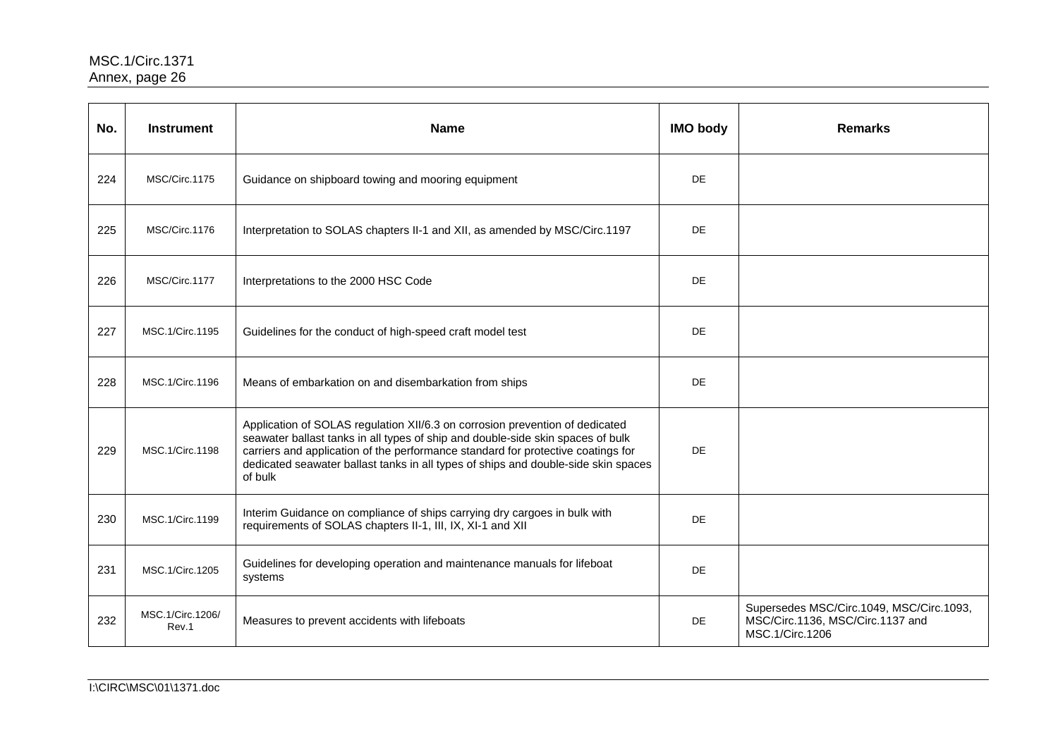| No. | <b>Instrument</b>         | <b>Name</b>                                                                                                                                                                                                                                                                                                                                          | <b>IMO body</b> | <b>Remarks</b>                                                                                  |
|-----|---------------------------|------------------------------------------------------------------------------------------------------------------------------------------------------------------------------------------------------------------------------------------------------------------------------------------------------------------------------------------------------|-----------------|-------------------------------------------------------------------------------------------------|
| 224 | MSC/Circ.1175             | Guidance on shipboard towing and mooring equipment                                                                                                                                                                                                                                                                                                   | DE              |                                                                                                 |
| 225 | MSC/Circ.1176             | Interpretation to SOLAS chapters II-1 and XII, as amended by MSC/Circ.1197                                                                                                                                                                                                                                                                           | DE              |                                                                                                 |
| 226 | MSC/Circ.1177             | Interpretations to the 2000 HSC Code                                                                                                                                                                                                                                                                                                                 | DE              |                                                                                                 |
| 227 | MSC.1/Circ.1195           | Guidelines for the conduct of high-speed craft model test                                                                                                                                                                                                                                                                                            | DE              |                                                                                                 |
| 228 | MSC.1/Circ.1196           | Means of embarkation on and disembarkation from ships                                                                                                                                                                                                                                                                                                | DE              |                                                                                                 |
| 229 | MSC.1/Circ.1198           | Application of SOLAS regulation XII/6.3 on corrosion prevention of dedicated<br>seawater ballast tanks in all types of ship and double-side skin spaces of bulk<br>carriers and application of the performance standard for protective coatings for<br>dedicated seawater ballast tanks in all types of ships and double-side skin spaces<br>of bulk | DE              |                                                                                                 |
| 230 | MSC.1/Circ.1199           | Interim Guidance on compliance of ships carrying dry cargoes in bulk with<br>requirements of SOLAS chapters II-1, III, IX, XI-1 and XII                                                                                                                                                                                                              | <b>DE</b>       |                                                                                                 |
| 231 | MSC.1/Circ.1205           | Guidelines for developing operation and maintenance manuals for lifeboat<br>systems                                                                                                                                                                                                                                                                  | DE              |                                                                                                 |
| 232 | MSC.1/Circ.1206/<br>Rev.1 | Measures to prevent accidents with lifeboats                                                                                                                                                                                                                                                                                                         | DE              | Supersedes MSC/Circ.1049, MSC/Circ.1093,<br>MSC/Circ.1136, MSC/Circ.1137 and<br>MSC.1/Circ.1206 |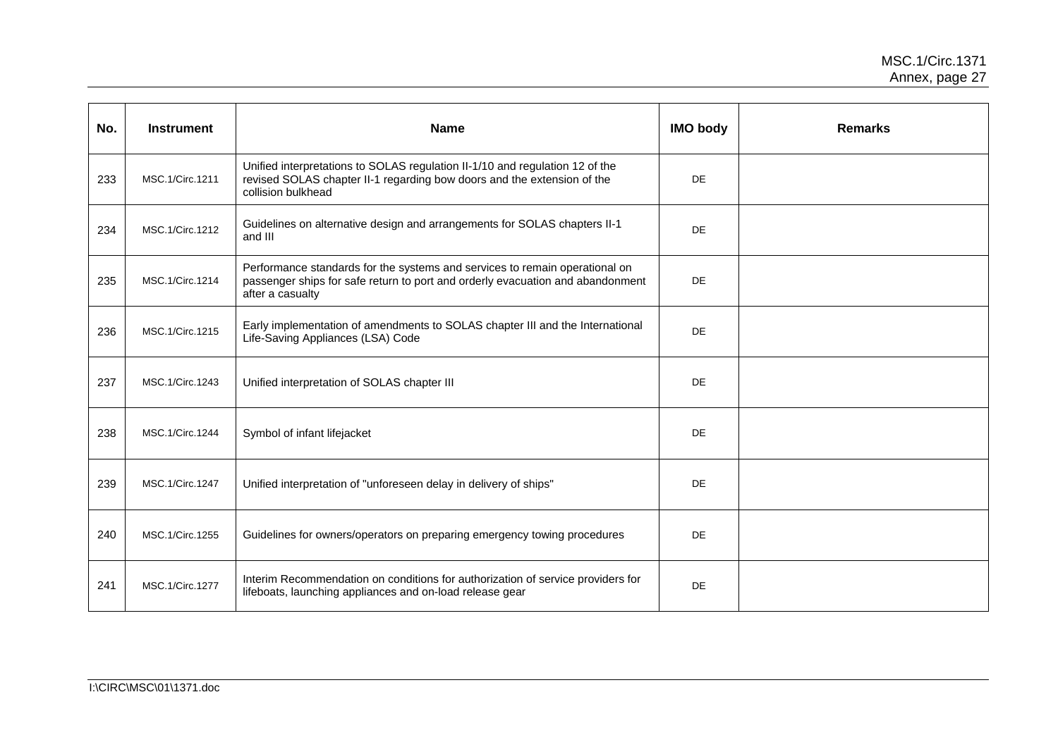| No. | <b>Instrument</b> | <b>Name</b>                                                                                                                                                                       | <b>IMO body</b> | <b>Remarks</b> |
|-----|-------------------|-----------------------------------------------------------------------------------------------------------------------------------------------------------------------------------|-----------------|----------------|
| 233 | MSC.1/Circ.1211   | Unified interpretations to SOLAS regulation II-1/10 and regulation 12 of the<br>revised SOLAS chapter II-1 regarding bow doors and the extension of the<br>collision bulkhead     | DE              |                |
| 234 | MSC.1/Circ.1212   | Guidelines on alternative design and arrangements for SOLAS chapters II-1<br>and III                                                                                              | DE              |                |
| 235 | MSC.1/Circ.1214   | Performance standards for the systems and services to remain operational on<br>passenger ships for safe return to port and orderly evacuation and abandonment<br>after a casualty | DE              |                |
| 236 | MSC.1/Circ.1215   | Early implementation of amendments to SOLAS chapter III and the International<br>Life-Saving Appliances (LSA) Code                                                                | DE              |                |
| 237 | MSC.1/Circ.1243   | Unified interpretation of SOLAS chapter III                                                                                                                                       | DE              |                |
| 238 | MSC.1/Circ.1244   | Symbol of infant lifejacket                                                                                                                                                       | DE              |                |
| 239 | MSC.1/Circ.1247   | Unified interpretation of "unforeseen delay in delivery of ships"                                                                                                                 | DE              |                |
| 240 | MSC.1/Circ.1255   | Guidelines for owners/operators on preparing emergency towing procedures                                                                                                          | DE              |                |
| 241 | MSC.1/Circ.1277   | Interim Recommendation on conditions for authorization of service providers for<br>lifeboats, launching appliances and on-load release gear                                       | DE              |                |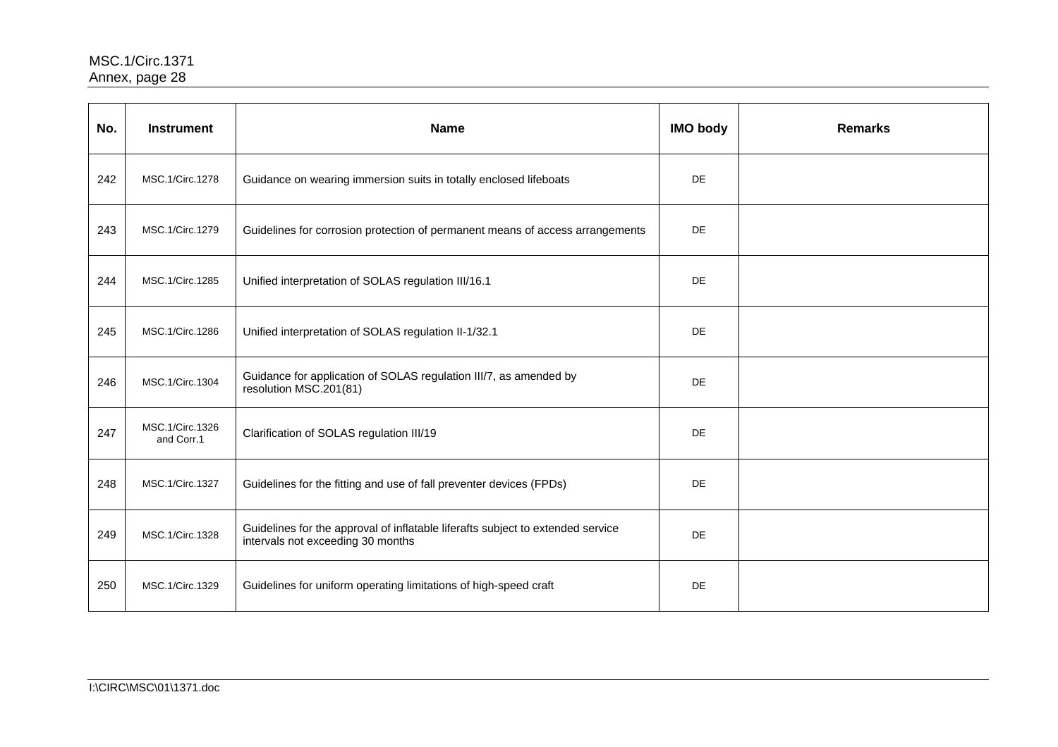| No. | <b>Instrument</b>             | <b>Name</b>                                                                                                          | <b>IMO body</b> | <b>Remarks</b> |
|-----|-------------------------------|----------------------------------------------------------------------------------------------------------------------|-----------------|----------------|
| 242 | MSC.1/Circ.1278               | Guidance on wearing immersion suits in totally enclosed lifeboats                                                    | <b>DE</b>       |                |
| 243 | MSC.1/Circ.1279               | Guidelines for corrosion protection of permanent means of access arrangements                                        | <b>DE</b>       |                |
| 244 | MSC.1/Circ.1285               | Unified interpretation of SOLAS regulation III/16.1                                                                  | <b>DE</b>       |                |
| 245 | MSC.1/Circ.1286               | Unified interpretation of SOLAS regulation II-1/32.1                                                                 | <b>DE</b>       |                |
| 246 | MSC.1/Circ.1304               | Guidance for application of SOLAS regulation III/7, as amended by<br>resolution MSC.201(81)                          | <b>DE</b>       |                |
| 247 | MSC.1/Circ.1326<br>and Corr.1 | Clarification of SOLAS regulation III/19                                                                             | <b>DE</b>       |                |
| 248 | MSC.1/Circ.1327               | Guidelines for the fitting and use of fall preventer devices (FPDs)                                                  | <b>DE</b>       |                |
| 249 | MSC.1/Circ.1328               | Guidelines for the approval of inflatable liferafts subject to extended service<br>intervals not exceeding 30 months | <b>DE</b>       |                |
| 250 | MSC.1/Circ.1329               | Guidelines for uniform operating limitations of high-speed craft                                                     | <b>DE</b>       |                |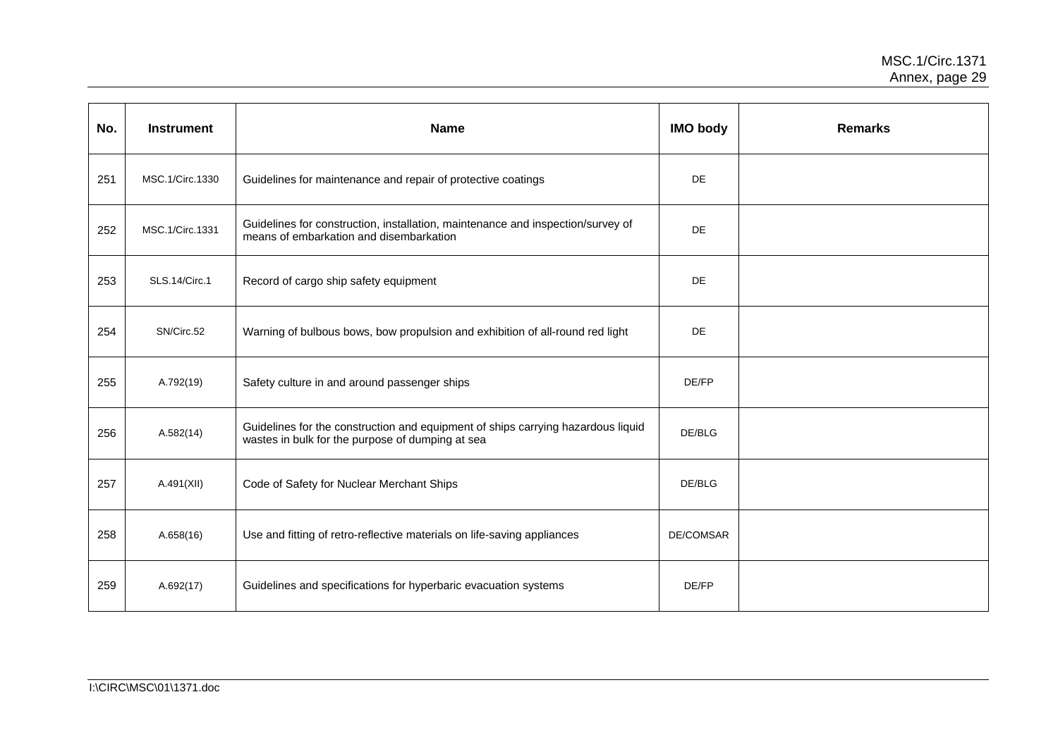| No. | <b>Instrument</b>    | <b>Name</b>                                                                                                                          | <b>IMO body</b>  | <b>Remarks</b> |
|-----|----------------------|--------------------------------------------------------------------------------------------------------------------------------------|------------------|----------------|
| 251 | MSC.1/Circ.1330      | Guidelines for maintenance and repair of protective coatings                                                                         | <b>DE</b>        |                |
| 252 | MSC.1/Circ.1331      | Guidelines for construction, installation, maintenance and inspection/survey of<br>means of embarkation and disembarkation           | <b>DE</b>        |                |
| 253 | <b>SLS.14/Circ.1</b> | Record of cargo ship safety equipment                                                                                                | <b>DE</b>        |                |
| 254 | SN/Circ.52           | Warning of bulbous bows, bow propulsion and exhibition of all-round red light                                                        | <b>DE</b>        |                |
| 255 | A.792(19)            | Safety culture in and around passenger ships                                                                                         | DE/FP            |                |
| 256 | A.582(14)            | Guidelines for the construction and equipment of ships carrying hazardous liquid<br>wastes in bulk for the purpose of dumping at sea | DE/BLG           |                |
| 257 | A.491(XII)           | Code of Safety for Nuclear Merchant Ships                                                                                            | DE/BLG           |                |
| 258 | A.658(16)            | Use and fitting of retro-reflective materials on life-saving appliances                                                              | <b>DE/COMSAR</b> |                |
| 259 | A.692(17)            | Guidelines and specifications for hyperbaric evacuation systems                                                                      | DE/FP            |                |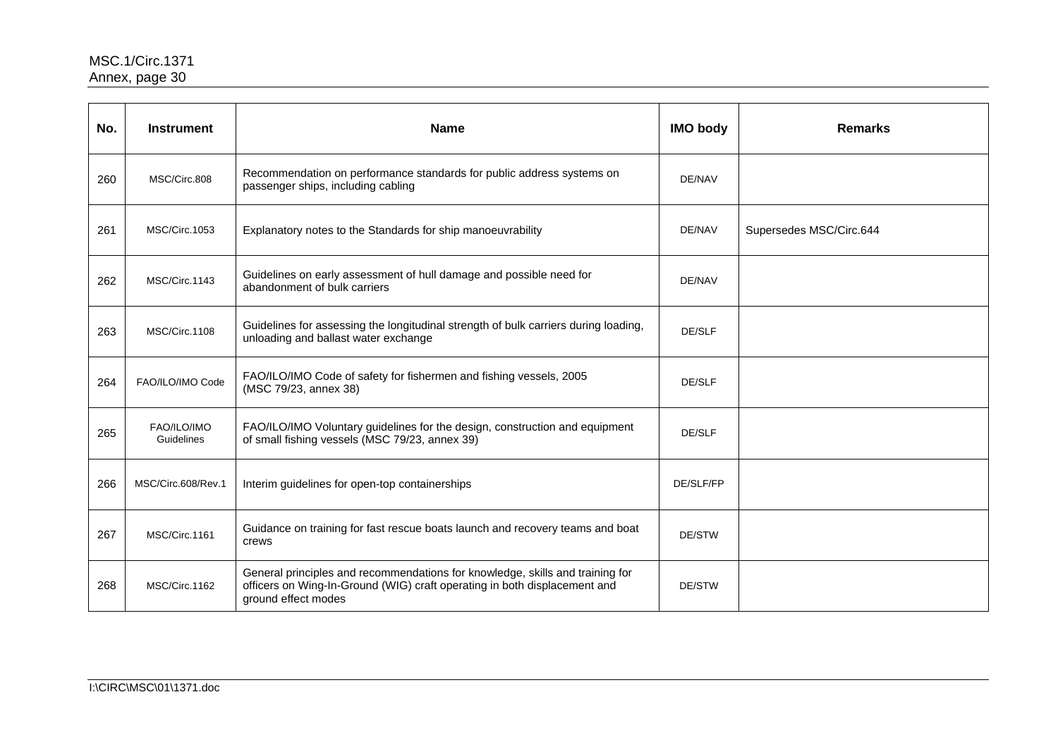| No. | <b>Instrument</b>         | <b>Name</b>                                                                                                                                                                       | <b>IMO body</b> | <b>Remarks</b>          |
|-----|---------------------------|-----------------------------------------------------------------------------------------------------------------------------------------------------------------------------------|-----------------|-------------------------|
| 260 | MSC/Circ.808              | Recommendation on performance standards for public address systems on<br>passenger ships, including cabling                                                                       | DE/NAV          |                         |
| 261 | MSC/Circ.1053             | Explanatory notes to the Standards for ship manoeuvrability                                                                                                                       | DE/NAV          | Supersedes MSC/Circ.644 |
| 262 | MSC/Circ.1143             | Guidelines on early assessment of hull damage and possible need for<br>abandonment of bulk carriers                                                                               | DE/NAV          |                         |
| 263 | MSC/Circ.1108             | Guidelines for assessing the longitudinal strength of bulk carriers during loading,<br>unloading and ballast water exchange                                                       | DE/SLF          |                         |
| 264 | FAO/ILO/IMO Code          | FAO/ILO/IMO Code of safety for fishermen and fishing vessels, 2005<br>(MSC 79/23, annex 38)                                                                                       | DE/SLF          |                         |
| 265 | FAO/ILO/IMO<br>Guidelines | FAO/ILO/IMO Voluntary guidelines for the design, construction and equipment<br>of small fishing vessels (MSC 79/23, annex 39)                                                     | DE/SLF          |                         |
| 266 | MSC/Circ.608/Rev.1        | Interim guidelines for open-top containerships                                                                                                                                    | DE/SLF/FP       |                         |
| 267 | MSC/Circ.1161             | Guidance on training for fast rescue boats launch and recovery teams and boat<br>crews                                                                                            | DE/STW          |                         |
| 268 | MSC/Circ.1162             | General principles and recommendations for knowledge, skills and training for<br>officers on Wing-In-Ground (WIG) craft operating in both displacement and<br>ground effect modes | DE/STW          |                         |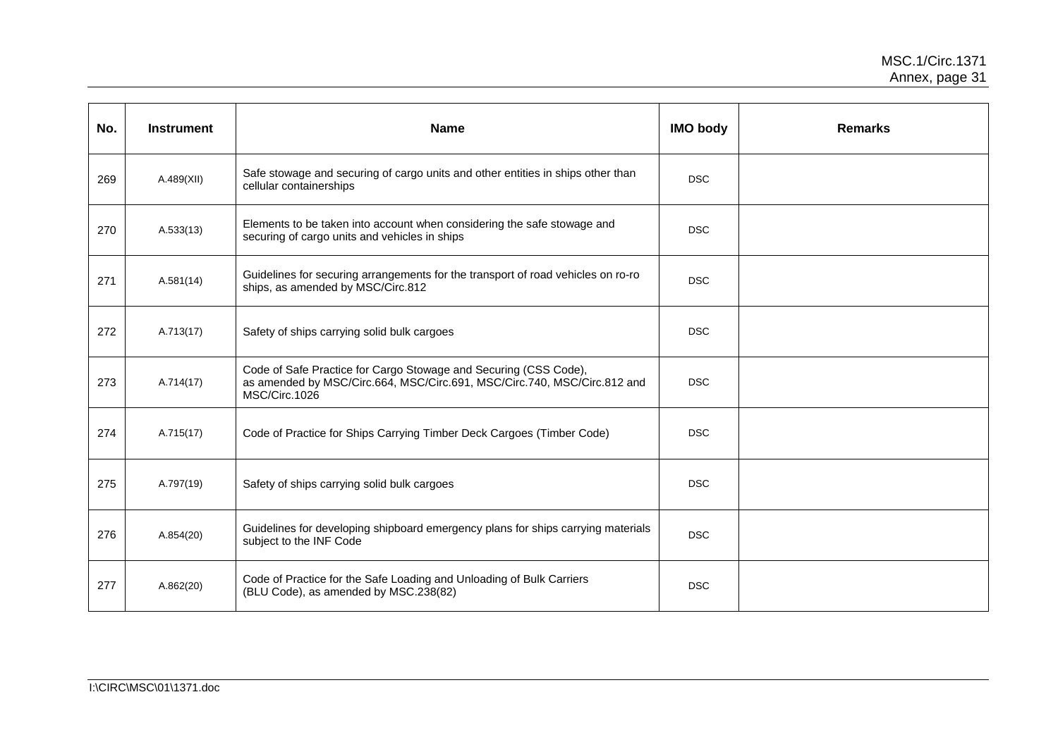| No. | <b>Instrument</b> | <b>Name</b>                                                                                                                                                   | <b>IMO body</b> | <b>Remarks</b> |
|-----|-------------------|---------------------------------------------------------------------------------------------------------------------------------------------------------------|-----------------|----------------|
| 269 | A.489(XII)        | Safe stowage and securing of cargo units and other entities in ships other than<br>cellular containerships                                                    | <b>DSC</b>      |                |
| 270 | A.533(13)         | Elements to be taken into account when considering the safe stowage and<br>securing of cargo units and vehicles in ships                                      | <b>DSC</b>      |                |
| 271 | A.581(14)         | Guidelines for securing arrangements for the transport of road vehicles on ro-ro<br>ships, as amended by MSC/Circ.812                                         | <b>DSC</b>      |                |
| 272 | A.713(17)         | Safety of ships carrying solid bulk cargoes                                                                                                                   | <b>DSC</b>      |                |
| 273 | A.714(17)         | Code of Safe Practice for Cargo Stowage and Securing (CSS Code),<br>as amended by MSC/Circ.664, MSC/Circ.691, MSC/Circ.740, MSC/Circ.812 and<br>MSC/Circ.1026 | <b>DSC</b>      |                |
| 274 | A.715(17)         | Code of Practice for Ships Carrying Timber Deck Cargoes (Timber Code)                                                                                         | <b>DSC</b>      |                |
| 275 | A.797(19)         | Safety of ships carrying solid bulk cargoes                                                                                                                   | <b>DSC</b>      |                |
| 276 | A.854(20)         | Guidelines for developing shipboard emergency plans for ships carrying materials<br>subject to the INF Code                                                   | <b>DSC</b>      |                |
| 277 | A.862(20)         | Code of Practice for the Safe Loading and Unloading of Bulk Carriers<br>(BLU Code), as amended by MSC.238(82)                                                 | <b>DSC</b>      |                |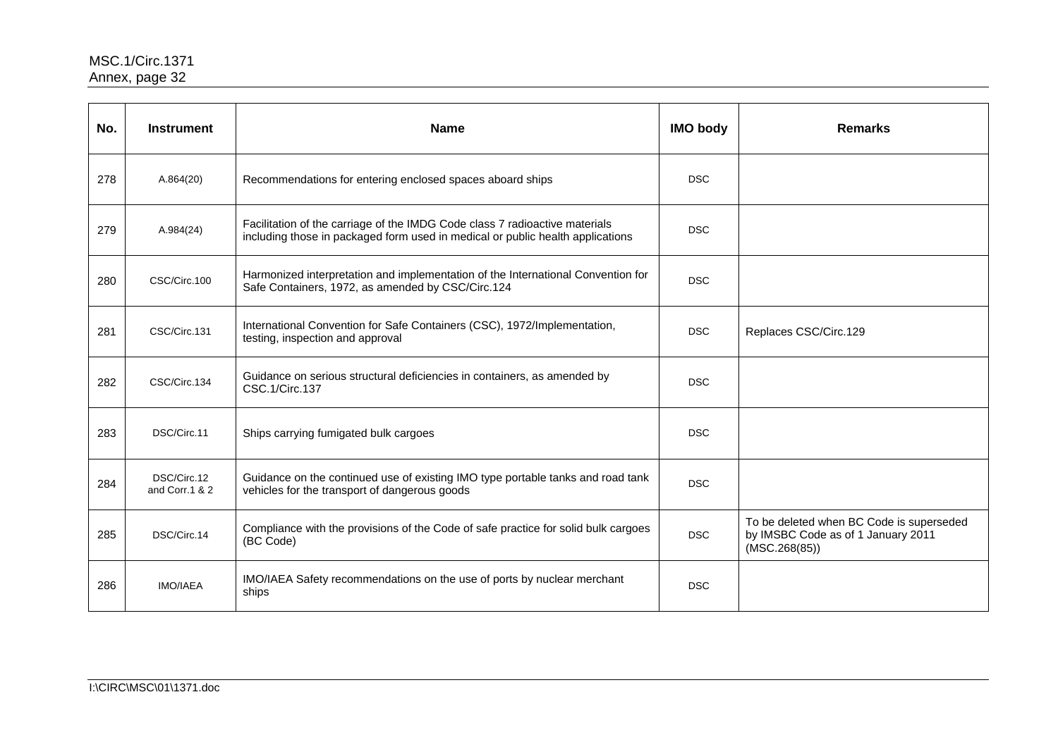| No. | <b>Instrument</b>             | <b>Name</b>                                                                                                                                                   | <b>IMO body</b> | <b>Remarks</b>                                                                                  |
|-----|-------------------------------|---------------------------------------------------------------------------------------------------------------------------------------------------------------|-----------------|-------------------------------------------------------------------------------------------------|
| 278 | A.864(20)                     | Recommendations for entering enclosed spaces aboard ships                                                                                                     | <b>DSC</b>      |                                                                                                 |
| 279 | A.984(24)                     | Facilitation of the carriage of the IMDG Code class 7 radioactive materials<br>including those in packaged form used in medical or public health applications | <b>DSC</b>      |                                                                                                 |
| 280 | CSC/Circ.100                  | Harmonized interpretation and implementation of the International Convention for<br>Safe Containers, 1972, as amended by CSC/Circ.124                         | <b>DSC</b>      |                                                                                                 |
| 281 | CSC/Circ.131                  | International Convention for Safe Containers (CSC), 1972/Implementation,<br>testing, inspection and approval                                                  | <b>DSC</b>      | Replaces CSC/Circ.129                                                                           |
| 282 | CSC/Circ.134                  | Guidance on serious structural deficiencies in containers, as amended by<br>CSC.1/Circ.137                                                                    | <b>DSC</b>      |                                                                                                 |
| 283 | DSC/Circ.11                   | Ships carrying fumigated bulk cargoes                                                                                                                         | <b>DSC</b>      |                                                                                                 |
| 284 | DSC/Circ.12<br>and Corr.1 & 2 | Guidance on the continued use of existing IMO type portable tanks and road tank<br>vehicles for the transport of dangerous goods                              | <b>DSC</b>      |                                                                                                 |
| 285 | DSC/Circ.14                   | Compliance with the provisions of the Code of safe practice for solid bulk cargoes<br>(BC Code)                                                               | <b>DSC</b>      | To be deleted when BC Code is superseded<br>by IMSBC Code as of 1 January 2011<br>(MSC.268(85)) |
| 286 | <b>IMO/IAEA</b>               | IMO/IAEA Safety recommendations on the use of ports by nuclear merchant<br>ships                                                                              | <b>DSC</b>      |                                                                                                 |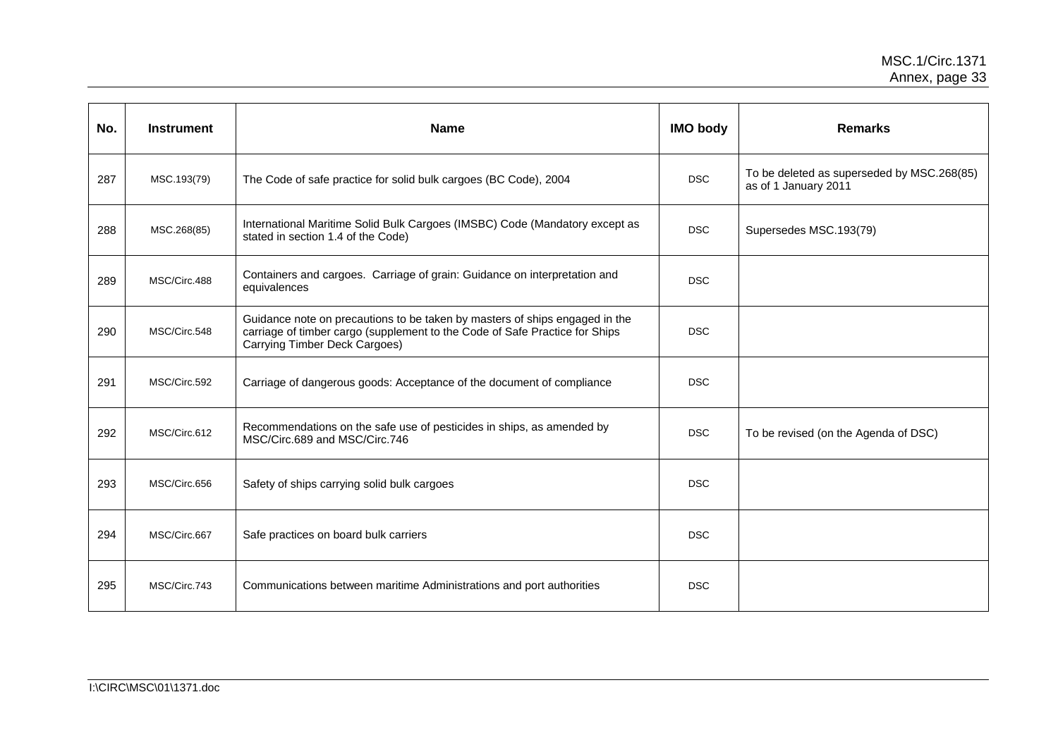| No. | <b>Instrument</b> | <b>Name</b>                                                                                                                                                                                 | <b>IMO body</b> | <b>Remarks</b>                                                     |
|-----|-------------------|---------------------------------------------------------------------------------------------------------------------------------------------------------------------------------------------|-----------------|--------------------------------------------------------------------|
| 287 | MSC.193(79)       | The Code of safe practice for solid bulk cargoes (BC Code), 2004                                                                                                                            | <b>DSC</b>      | To be deleted as superseded by MSC.268(85)<br>as of 1 January 2011 |
| 288 | MSC.268(85)       | International Maritime Solid Bulk Cargoes (IMSBC) Code (Mandatory except as<br>stated in section 1.4 of the Code)                                                                           | <b>DSC</b>      | Supersedes MSC.193(79)                                             |
| 289 | MSC/Circ.488      | Containers and cargoes. Carriage of grain: Guidance on interpretation and<br>equivalences                                                                                                   | <b>DSC</b>      |                                                                    |
| 290 | MSC/Circ.548      | Guidance note on precautions to be taken by masters of ships engaged in the<br>carriage of timber cargo (supplement to the Code of Safe Practice for Ships<br>Carrying Timber Deck Cargoes) | <b>DSC</b>      |                                                                    |
| 291 | MSC/Circ.592      | Carriage of dangerous goods: Acceptance of the document of compliance                                                                                                                       | <b>DSC</b>      |                                                                    |
| 292 | MSC/Circ.612      | Recommendations on the safe use of pesticides in ships, as amended by<br>MSC/Circ.689 and MSC/Circ.746                                                                                      | <b>DSC</b>      | To be revised (on the Agenda of DSC)                               |
| 293 | MSC/Circ.656      | Safety of ships carrying solid bulk cargoes                                                                                                                                                 | <b>DSC</b>      |                                                                    |
| 294 | MSC/Circ.667      | Safe practices on board bulk carriers                                                                                                                                                       | <b>DSC</b>      |                                                                    |
| 295 | MSC/Circ.743      | Communications between maritime Administrations and port authorities                                                                                                                        | <b>DSC</b>      |                                                                    |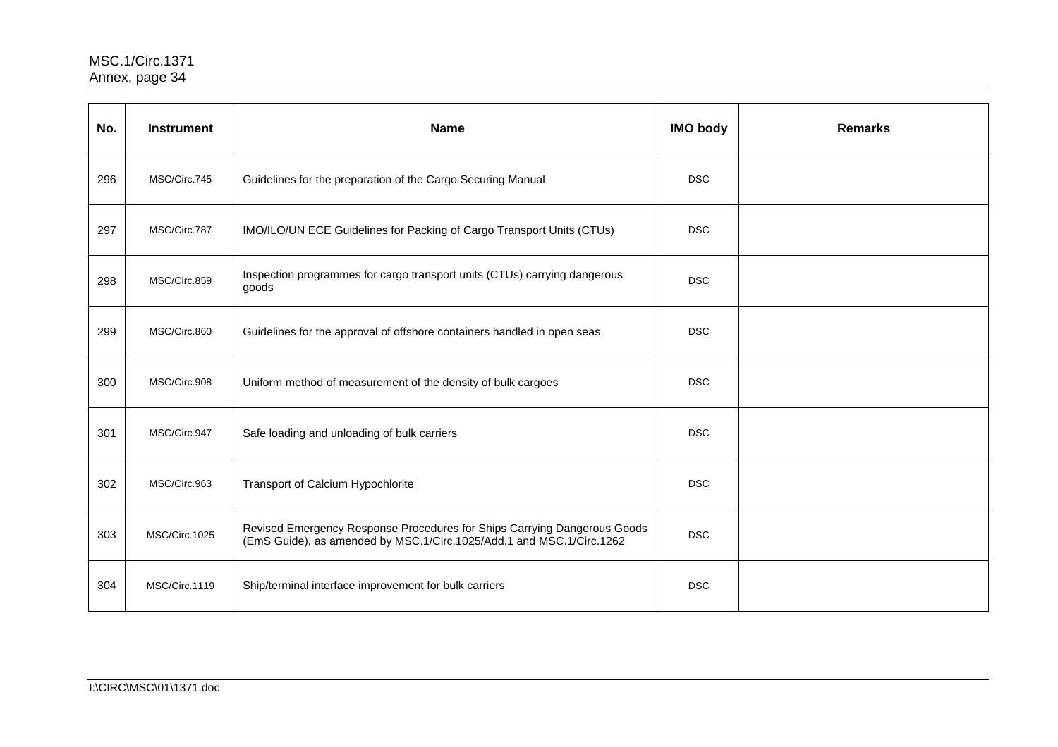| No. | <b>Instrument</b> | <b>Name</b>                                                                                                                                      | <b>IMO body</b> | <b>Remarks</b> |
|-----|-------------------|--------------------------------------------------------------------------------------------------------------------------------------------------|-----------------|----------------|
| 296 | MSC/Circ.745      | Guidelines for the preparation of the Cargo Securing Manual                                                                                      | <b>DSC</b>      |                |
| 297 | MSC/Circ.787      | IMO/ILO/UN ECE Guidelines for Packing of Cargo Transport Units (CTUs)                                                                            | <b>DSC</b>      |                |
| 298 | MSC/Circ.859      | Inspection programmes for cargo transport units (CTUs) carrying dangerous<br>goods                                                               | <b>DSC</b>      |                |
| 299 | MSC/Circ.860      | Guidelines for the approval of offshore containers handled in open seas                                                                          | <b>DSC</b>      |                |
| 300 | MSC/Circ.908      | Uniform method of measurement of the density of bulk cargoes                                                                                     | <b>DSC</b>      |                |
| 301 | MSC/Circ.947      | Safe loading and unloading of bulk carriers                                                                                                      | <b>DSC</b>      |                |
| 302 | MSC/Circ.963      | Transport of Calcium Hypochlorite                                                                                                                | <b>DSC</b>      |                |
| 303 | MSC/Circ.1025     | Revised Emergency Response Procedures for Ships Carrying Dangerous Goods<br>(EmS Guide), as amended by MSC.1/Circ.1025/Add.1 and MSC.1/Circ.1262 | <b>DSC</b>      |                |
| 304 | MSC/Circ.1119     | Ship/terminal interface improvement for bulk carriers                                                                                            | <b>DSC</b>      |                |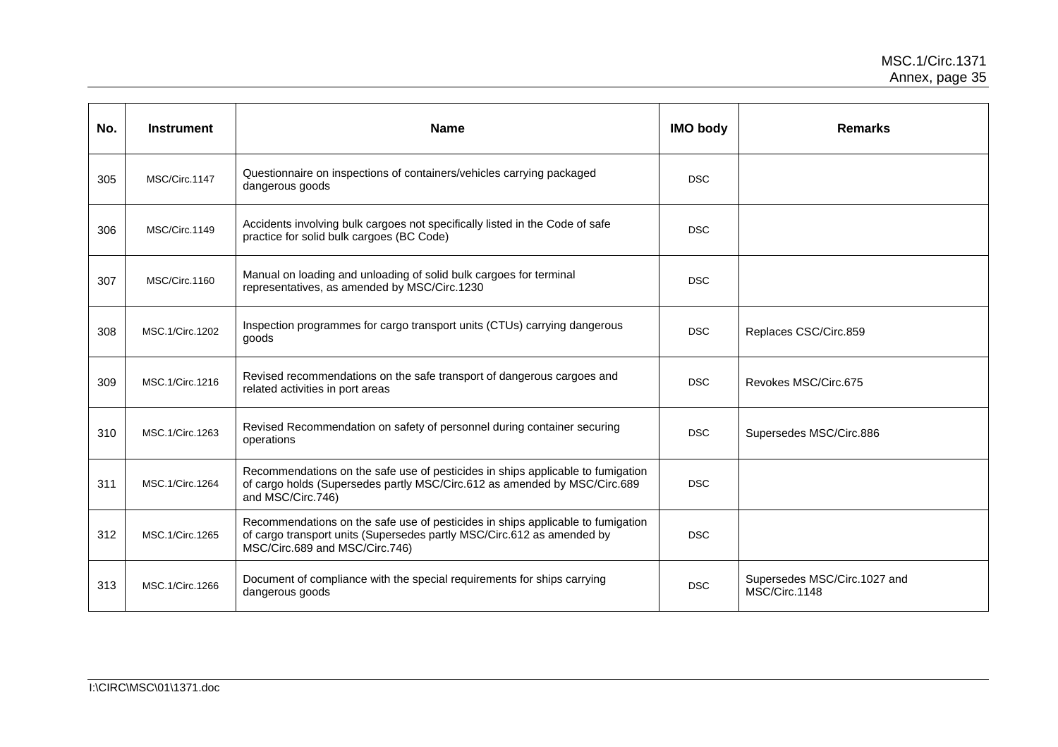| No. | <b>Instrument</b> | <b>Name</b>                                                                                                                                                                                 | <b>IMO body</b> | <b>Remarks</b>                                |
|-----|-------------------|---------------------------------------------------------------------------------------------------------------------------------------------------------------------------------------------|-----------------|-----------------------------------------------|
| 305 | MSC/Circ.1147     | Questionnaire on inspections of containers/vehicles carrying packaged<br>dangerous goods                                                                                                    | <b>DSC</b>      |                                               |
| 306 | MSC/Circ.1149     | Accidents involving bulk cargoes not specifically listed in the Code of safe<br>practice for solid bulk cargoes (BC Code)                                                                   | <b>DSC</b>      |                                               |
| 307 | MSC/Circ.1160     | Manual on loading and unloading of solid bulk cargoes for terminal<br>representatives, as amended by MSC/Circ.1230                                                                          | <b>DSC</b>      |                                               |
| 308 | MSC.1/Circ.1202   | Inspection programmes for cargo transport units (CTUs) carrying dangerous<br>goods                                                                                                          | <b>DSC</b>      | Replaces CSC/Circ.859                         |
| 309 | MSC.1/Circ.1216   | Revised recommendations on the safe transport of dangerous cargoes and<br>related activities in port areas                                                                                  | <b>DSC</b>      | Revokes MSC/Circ.675                          |
| 310 | MSC.1/Circ.1263   | Revised Recommendation on safety of personnel during container securing<br>operations                                                                                                       | <b>DSC</b>      | Supersedes MSC/Circ.886                       |
| 311 | MSC.1/Circ.1264   | Recommendations on the safe use of pesticides in ships applicable to fumigation<br>of cargo holds (Supersedes partly MSC/Circ.612 as amended by MSC/Circ.689<br>and MSC/Circ.746)           | <b>DSC</b>      |                                               |
| 312 | MSC.1/Circ.1265   | Recommendations on the safe use of pesticides in ships applicable to fumigation<br>of cargo transport units (Supersedes partly MSC/Circ.612 as amended by<br>MSC/Circ.689 and MSC/Circ.746) | <b>DSC</b>      |                                               |
| 313 | MSC.1/Circ.1266   | Document of compliance with the special requirements for ships carrying<br>dangerous goods                                                                                                  | <b>DSC</b>      | Supersedes MSC/Circ.1027 and<br>MSC/Circ.1148 |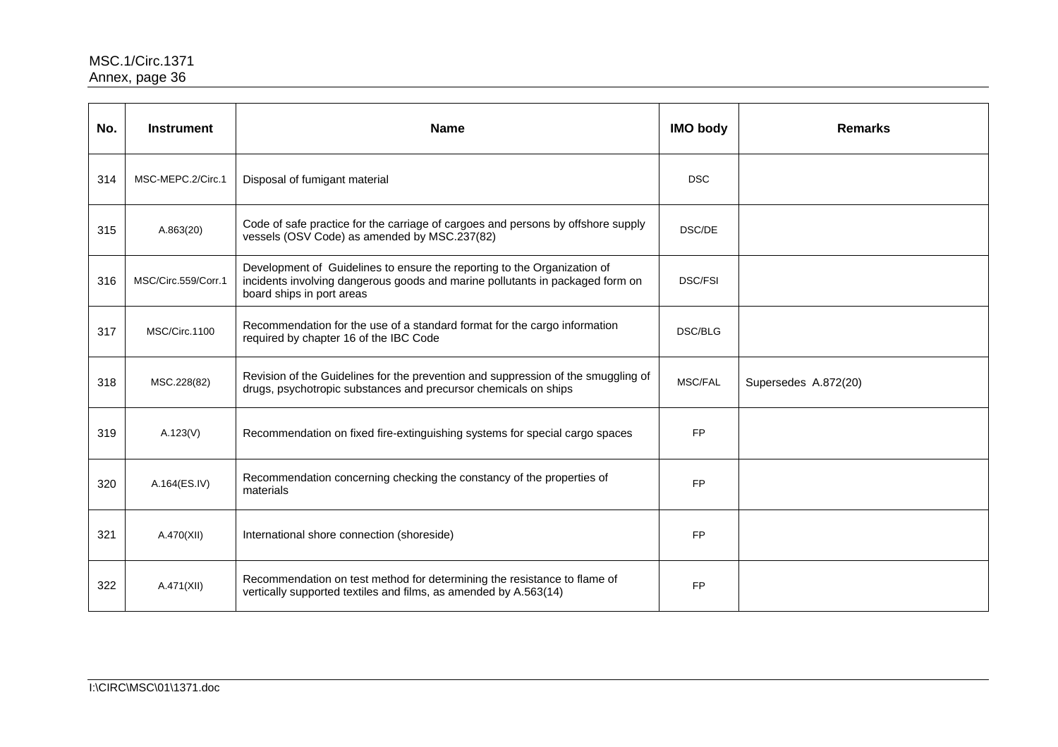| No. | <b>Instrument</b>   | <b>Name</b>                                                                                                                                                                            | <b>IMO body</b> | <b>Remarks</b>       |
|-----|---------------------|----------------------------------------------------------------------------------------------------------------------------------------------------------------------------------------|-----------------|----------------------|
| 314 | MSC-MEPC.2/Circ.1   | Disposal of fumigant material                                                                                                                                                          | <b>DSC</b>      |                      |
| 315 | A.863(20)           | Code of safe practice for the carriage of cargoes and persons by offshore supply<br>vessels (OSV Code) as amended by MSC.237(82)                                                       | DSC/DE          |                      |
| 316 | MSC/Circ.559/Corr.1 | Development of Guidelines to ensure the reporting to the Organization of<br>incidents involving dangerous goods and marine pollutants in packaged form on<br>board ships in port areas | <b>DSC/FSI</b>  |                      |
| 317 | MSC/Circ.1100       | Recommendation for the use of a standard format for the cargo information<br>required by chapter 16 of the IBC Code                                                                    | <b>DSC/BLG</b>  |                      |
| 318 | MSC.228(82)         | Revision of the Guidelines for the prevention and suppression of the smuggling of<br>drugs, psychotropic substances and precursor chemicals on ships                                   | <b>MSC/FAL</b>  | Supersedes A.872(20) |
| 319 | A.123(V)            | Recommendation on fixed fire-extinguishing systems for special cargo spaces                                                                                                            | <b>FP</b>       |                      |
| 320 | A.164(ES.IV)        | Recommendation concerning checking the constancy of the properties of<br>materials                                                                                                     | <b>FP</b>       |                      |
| 321 | A.470(XII)          | International shore connection (shoreside)                                                                                                                                             | <b>FP</b>       |                      |
| 322 | A.471(XII)          | Recommendation on test method for determining the resistance to flame of<br>vertically supported textiles and films, as amended by A.563(14)                                           | <b>FP</b>       |                      |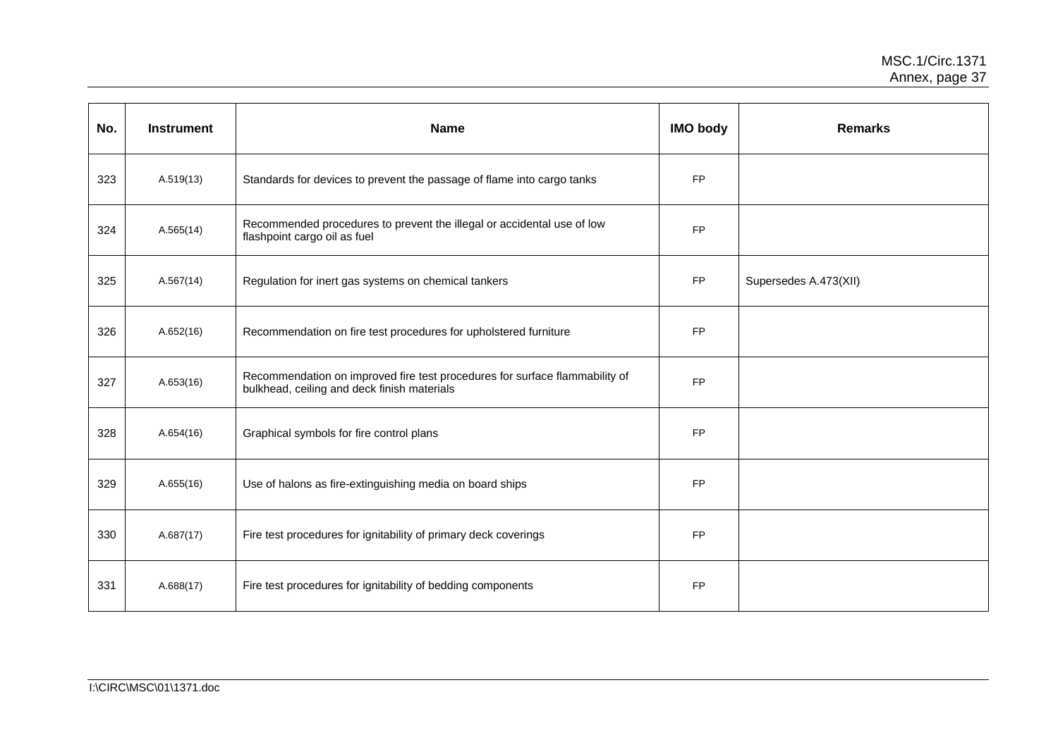| No. | <b>Instrument</b> | <b>Name</b>                                                                                                                | <b>IMO body</b> | <b>Remarks</b>        |
|-----|-------------------|----------------------------------------------------------------------------------------------------------------------------|-----------------|-----------------------|
| 323 | A.519(13)         | Standards for devices to prevent the passage of flame into cargo tanks                                                     | <b>FP</b>       |                       |
| 324 | A.565(14)         | Recommended procedures to prevent the illegal or accidental use of low<br>flashpoint cargo oil as fuel                     | <b>FP</b>       |                       |
| 325 | A.567(14)         | Regulation for inert gas systems on chemical tankers                                                                       | <b>FP</b>       | Supersedes A.473(XII) |
| 326 | A.652(16)         | Recommendation on fire test procedures for upholstered furniture                                                           | <b>FP</b>       |                       |
| 327 | A.653(16)         | Recommendation on improved fire test procedures for surface flammability of<br>bulkhead, ceiling and deck finish materials | <b>FP</b>       |                       |
| 328 | A.654(16)         | Graphical symbols for fire control plans                                                                                   | <b>FP</b>       |                       |
| 329 | A.655(16)         | Use of halons as fire-extinguishing media on board ships                                                                   | <b>FP</b>       |                       |
| 330 | A.687(17)         | Fire test procedures for ignitability of primary deck coverings                                                            | <b>FP</b>       |                       |
| 331 | A.688(17)         | Fire test procedures for ignitability of bedding components                                                                | <b>FP</b>       |                       |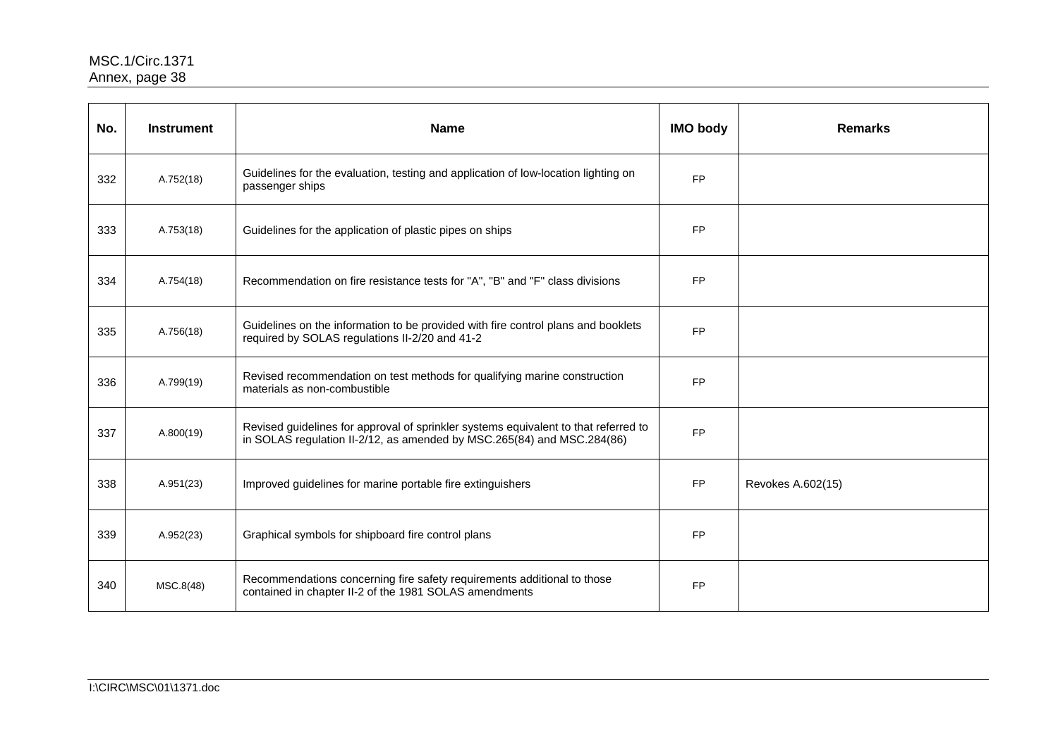| No. | <b>Instrument</b> | <b>Name</b>                                                                                                                                                   | <b>IMO body</b> | <b>Remarks</b>    |
|-----|-------------------|---------------------------------------------------------------------------------------------------------------------------------------------------------------|-----------------|-------------------|
| 332 | A.752(18)         | Guidelines for the evaluation, testing and application of low-location lighting on<br>passenger ships                                                         | <b>FP</b>       |                   |
| 333 | A.753(18)         | Guidelines for the application of plastic pipes on ships                                                                                                      | <b>FP</b>       |                   |
| 334 | A.754(18)         | Recommendation on fire resistance tests for "A", "B" and "F" class divisions                                                                                  | <b>FP</b>       |                   |
| 335 | A.756(18)         | Guidelines on the information to be provided with fire control plans and booklets<br>required by SOLAS regulations II-2/20 and 41-2                           | <b>FP</b>       |                   |
| 336 | A.799(19)         | Revised recommendation on test methods for qualifying marine construction<br>materials as non-combustible                                                     | <b>FP</b>       |                   |
| 337 | A.800(19)         | Revised guidelines for approval of sprinkler systems equivalent to that referred to<br>in SOLAS regulation II-2/12, as amended by MSC.265(84) and MSC.284(86) | <b>FP</b>       |                   |
| 338 | A.951(23)         | Improved guidelines for marine portable fire extinguishers                                                                                                    | <b>FP</b>       | Revokes A.602(15) |
| 339 | A.952(23)         | Graphical symbols for shipboard fire control plans                                                                                                            | <b>FP</b>       |                   |
| 340 | MSC.8(48)         | Recommendations concerning fire safety requirements additional to those<br>contained in chapter II-2 of the 1981 SOLAS amendments                             | <b>FP</b>       |                   |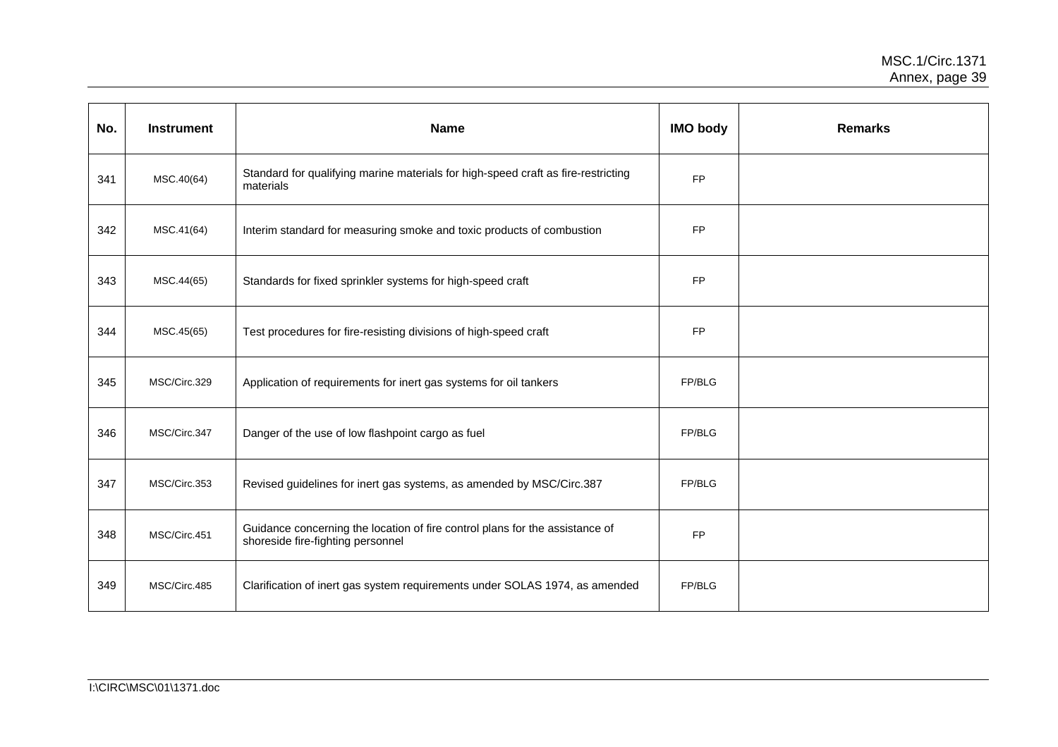| No. | <b>Instrument</b> | <b>Name</b>                                                                                                       | <b>IMO body</b> | <b>Remarks</b> |
|-----|-------------------|-------------------------------------------------------------------------------------------------------------------|-----------------|----------------|
| 341 | MSC.40(64)        | Standard for qualifying marine materials for high-speed craft as fire-restricting<br>materials                    | <b>FP</b>       |                |
| 342 | MSC.41(64)        | Interim standard for measuring smoke and toxic products of combustion                                             | FP              |                |
| 343 | MSC.44(65)        | Standards for fixed sprinkler systems for high-speed craft                                                        | <b>FP</b>       |                |
| 344 | MSC.45(65)        | Test procedures for fire-resisting divisions of high-speed craft                                                  | <b>FP</b>       |                |
| 345 | MSC/Circ.329      | Application of requirements for inert gas systems for oil tankers                                                 | FP/BLG          |                |
| 346 | MSC/Circ.347      | Danger of the use of low flashpoint cargo as fuel                                                                 | FP/BLG          |                |
| 347 | MSC/Circ.353      | Revised guidelines for inert gas systems, as amended by MSC/Circ.387                                              | FP/BLG          |                |
| 348 | MSC/Circ.451      | Guidance concerning the location of fire control plans for the assistance of<br>shoreside fire-fighting personnel | <b>FP</b>       |                |
| 349 | MSC/Circ.485      | Clarification of inert gas system requirements under SOLAS 1974, as amended                                       | FP/BLG          |                |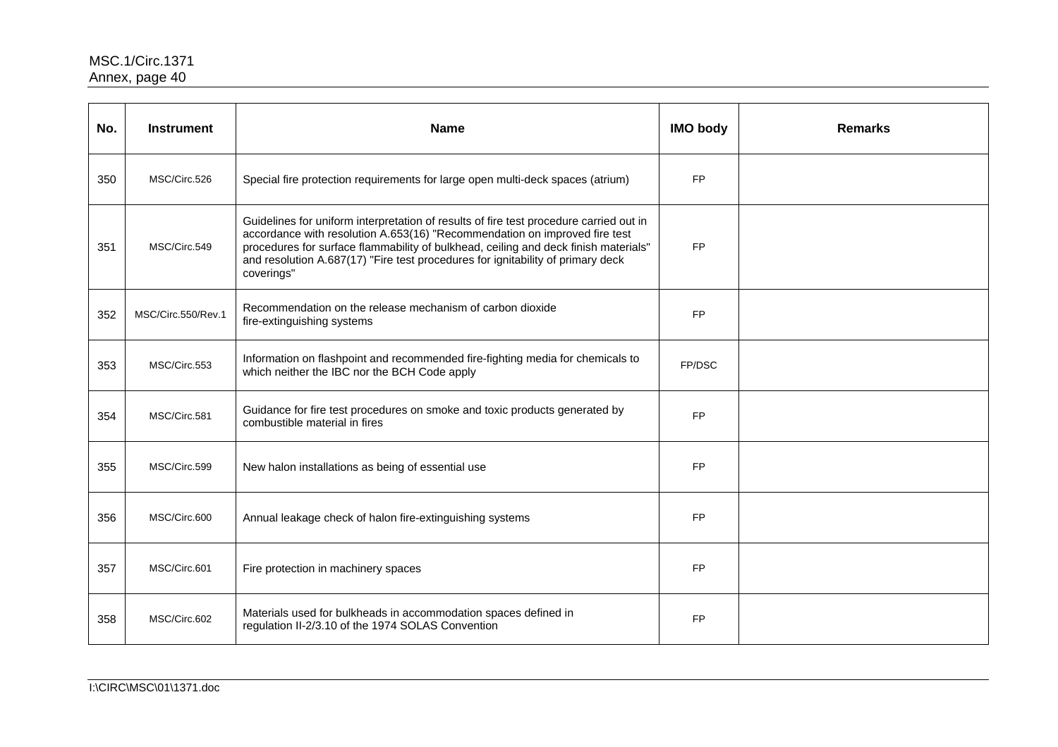| No. | <b>Instrument</b>  | <b>Name</b>                                                                                                                                                                                                                                                                                                                                                  | <b>IMO body</b> | <b>Remarks</b> |
|-----|--------------------|--------------------------------------------------------------------------------------------------------------------------------------------------------------------------------------------------------------------------------------------------------------------------------------------------------------------------------------------------------------|-----------------|----------------|
| 350 | MSC/Circ.526       | Special fire protection requirements for large open multi-deck spaces (atrium)                                                                                                                                                                                                                                                                               | <b>FP</b>       |                |
| 351 | MSC/Circ.549       | Guidelines for uniform interpretation of results of fire test procedure carried out in<br>accordance with resolution A.653(16) "Recommendation on improved fire test<br>procedures for surface flammability of bulkhead, ceiling and deck finish materials"<br>and resolution A.687(17) "Fire test procedures for ignitability of primary deck<br>coverings" | <b>FP</b>       |                |
| 352 | MSC/Circ.550/Rev.1 | Recommendation on the release mechanism of carbon dioxide<br>fire-extinguishing systems                                                                                                                                                                                                                                                                      | <b>FP</b>       |                |
| 353 | MSC/Circ.553       | Information on flashpoint and recommended fire-fighting media for chemicals to<br>which neither the IBC nor the BCH Code apply                                                                                                                                                                                                                               | FP/DSC          |                |
| 354 | MSC/Circ.581       | Guidance for fire test procedures on smoke and toxic products generated by<br>combustible material in fires                                                                                                                                                                                                                                                  | <b>FP</b>       |                |
| 355 | MSC/Circ.599       | New halon installations as being of essential use                                                                                                                                                                                                                                                                                                            | <b>FP</b>       |                |
| 356 | MSC/Circ.600       | Annual leakage check of halon fire-extinguishing systems                                                                                                                                                                                                                                                                                                     | <b>FP</b>       |                |
| 357 | MSC/Circ.601       | Fire protection in machinery spaces                                                                                                                                                                                                                                                                                                                          | <b>FP</b>       |                |
| 358 | MSC/Circ.602       | Materials used for bulkheads in accommodation spaces defined in<br>regulation II-2/3.10 of the 1974 SOLAS Convention                                                                                                                                                                                                                                         | <b>FP</b>       |                |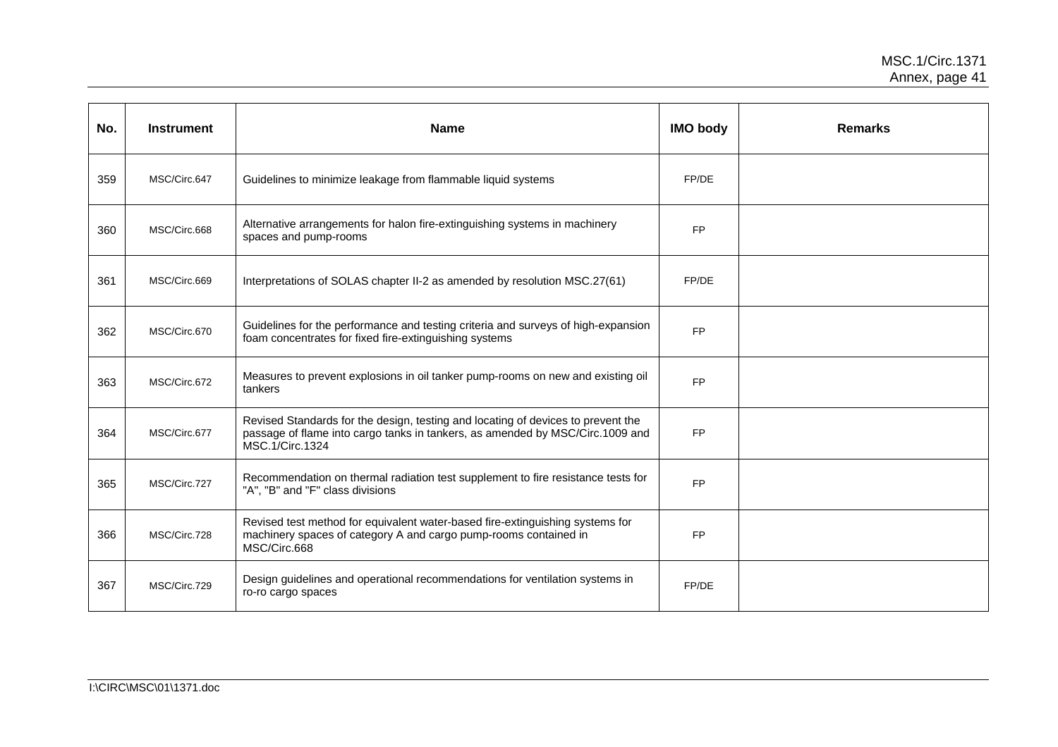| No. | <b>Instrument</b> | <b>Name</b>                                                                                                                                                                          | <b>IMO body</b> | <b>Remarks</b> |
|-----|-------------------|--------------------------------------------------------------------------------------------------------------------------------------------------------------------------------------|-----------------|----------------|
| 359 | MSC/Circ.647      | Guidelines to minimize leakage from flammable liquid systems                                                                                                                         | FP/DE           |                |
| 360 | MSC/Circ.668      | Alternative arrangements for halon fire-extinguishing systems in machinery<br>spaces and pump-rooms                                                                                  | <b>FP</b>       |                |
| 361 | MSC/Circ.669      | Interpretations of SOLAS chapter II-2 as amended by resolution MSC.27(61)                                                                                                            | FP/DE           |                |
| 362 | MSC/Circ.670      | Guidelines for the performance and testing criteria and surveys of high-expansion<br>foam concentrates for fixed fire-extinguishing systems                                          | <b>FP</b>       |                |
| 363 | MSC/Circ.672      | Measures to prevent explosions in oil tanker pump-rooms on new and existing oil<br>tankers                                                                                           | <b>FP</b>       |                |
| 364 | MSC/Circ.677      | Revised Standards for the design, testing and locating of devices to prevent the<br>passage of flame into cargo tanks in tankers, as amended by MSC/Circ.1009 and<br>MSC.1/Circ.1324 | <b>FP</b>       |                |
| 365 | MSC/Circ.727      | Recommendation on thermal radiation test supplement to fire resistance tests for<br>"A", "B" and "F" class divisions                                                                 | <b>FP</b>       |                |
| 366 | MSC/Circ.728      | Revised test method for equivalent water-based fire-extinguishing systems for<br>machinery spaces of category A and cargo pump-rooms contained in<br>MSC/Circ.668                    | <b>FP</b>       |                |
| 367 | MSC/Circ.729      | Design guidelines and operational recommendations for ventilation systems in<br>ro-ro cargo spaces                                                                                   | FP/DE           |                |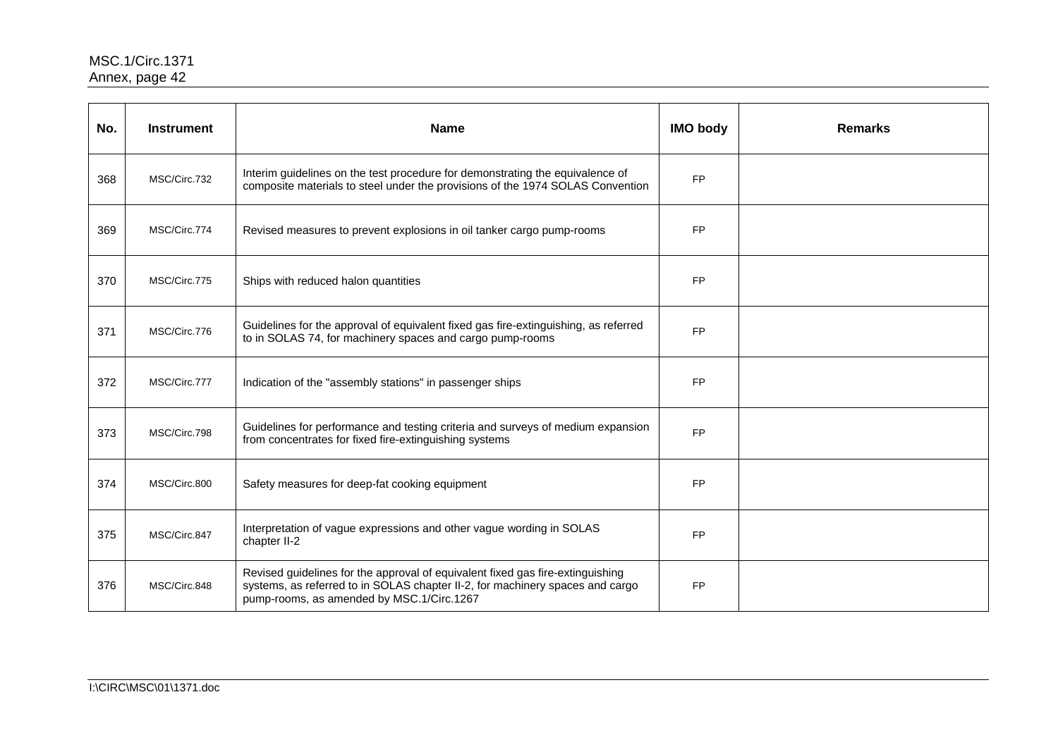| No. | <b>Instrument</b> | <b>Name</b>                                                                                                                                                                                                  | <b>IMO body</b> | <b>Remarks</b> |
|-----|-------------------|--------------------------------------------------------------------------------------------------------------------------------------------------------------------------------------------------------------|-----------------|----------------|
| 368 | MSC/Circ.732      | Interim guidelines on the test procedure for demonstrating the equivalence of<br>composite materials to steel under the provisions of the 1974 SOLAS Convention                                              | FP              |                |
| 369 | MSC/Circ.774      | Revised measures to prevent explosions in oil tanker cargo pump-rooms                                                                                                                                        | <b>FP</b>       |                |
| 370 | MSC/Circ.775      | Ships with reduced halon quantities                                                                                                                                                                          | <b>FP</b>       |                |
| 371 | MSC/Circ.776      | Guidelines for the approval of equivalent fixed gas fire-extinguishing, as referred<br>to in SOLAS 74, for machinery spaces and cargo pump-rooms                                                             | <b>FP</b>       |                |
| 372 | MSC/Circ.777      | Indication of the "assembly stations" in passenger ships                                                                                                                                                     | <b>FP</b>       |                |
| 373 | MSC/Circ.798      | Guidelines for performance and testing criteria and surveys of medium expansion<br>from concentrates for fixed fire-extinguishing systems                                                                    | <b>FP</b>       |                |
| 374 | MSC/Circ.800      | Safety measures for deep-fat cooking equipment                                                                                                                                                               | <b>FP</b>       |                |
| 375 | MSC/Circ.847      | Interpretation of vague expressions and other vague wording in SOLAS<br>chapter II-2                                                                                                                         | <b>FP</b>       |                |
| 376 | MSC/Circ.848      | Revised guidelines for the approval of equivalent fixed gas fire-extinguishing<br>systems, as referred to in SOLAS chapter II-2, for machinery spaces and cargo<br>pump-rooms, as amended by MSC.1/Circ.1267 | <b>FP</b>       |                |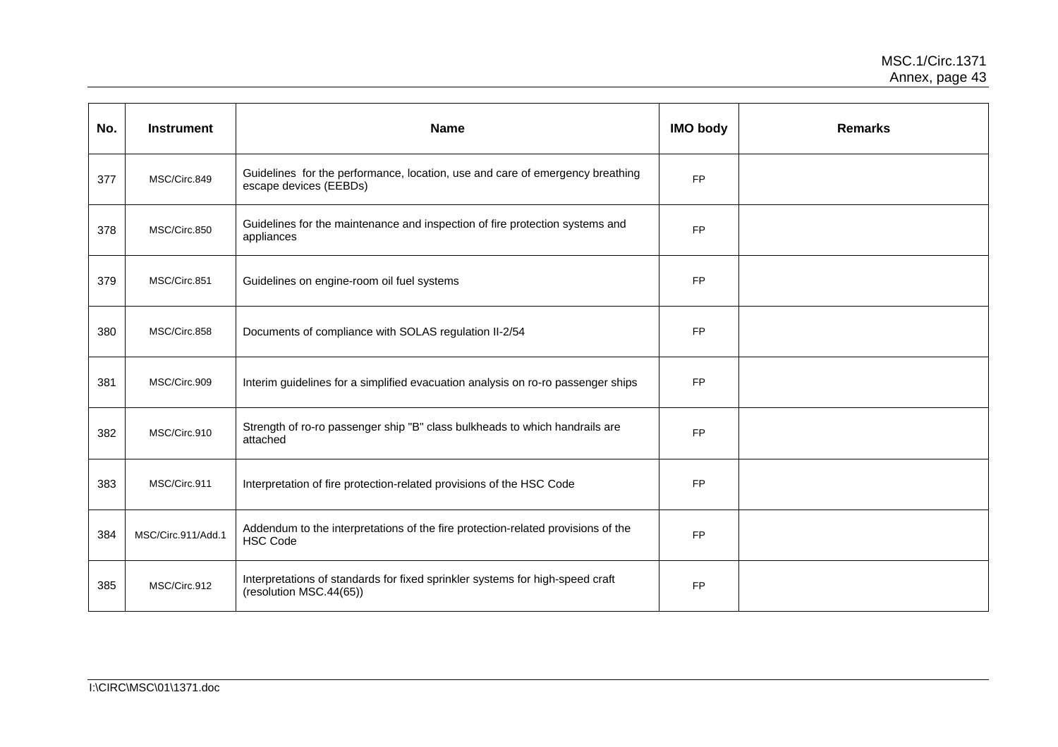| No. | <b>Instrument</b>  | <b>Name</b>                                                                                              | <b>IMO body</b> | <b>Remarks</b> |
|-----|--------------------|----------------------------------------------------------------------------------------------------------|-----------------|----------------|
| 377 | MSC/Circ.849       | Guidelines for the performance, location, use and care of emergency breathing<br>escape devices (EEBDs)  | <b>FP</b>       |                |
| 378 | MSC/Circ.850       | Guidelines for the maintenance and inspection of fire protection systems and<br>appliances               | <b>FP</b>       |                |
| 379 | MSC/Circ.851       | Guidelines on engine-room oil fuel systems                                                               | <b>FP</b>       |                |
| 380 | MSC/Circ.858       | Documents of compliance with SOLAS regulation II-2/54                                                    | <b>FP</b>       |                |
| 381 | MSC/Circ.909       | Interim guidelines for a simplified evacuation analysis on ro-ro passenger ships                         | <b>FP</b>       |                |
| 382 | MSC/Circ.910       | Strength of ro-ro passenger ship "B" class bulkheads to which handrails are<br>attached                  | <b>FP</b>       |                |
| 383 | MSC/Circ.911       | Interpretation of fire protection-related provisions of the HSC Code                                     | <b>FP</b>       |                |
| 384 | MSC/Circ.911/Add.1 | Addendum to the interpretations of the fire protection-related provisions of the<br><b>HSC Code</b>      | <b>FP</b>       |                |
| 385 | MSC/Circ.912       | Interpretations of standards for fixed sprinkler systems for high-speed craft<br>(resolution MSC.44(65)) | <b>FP</b>       |                |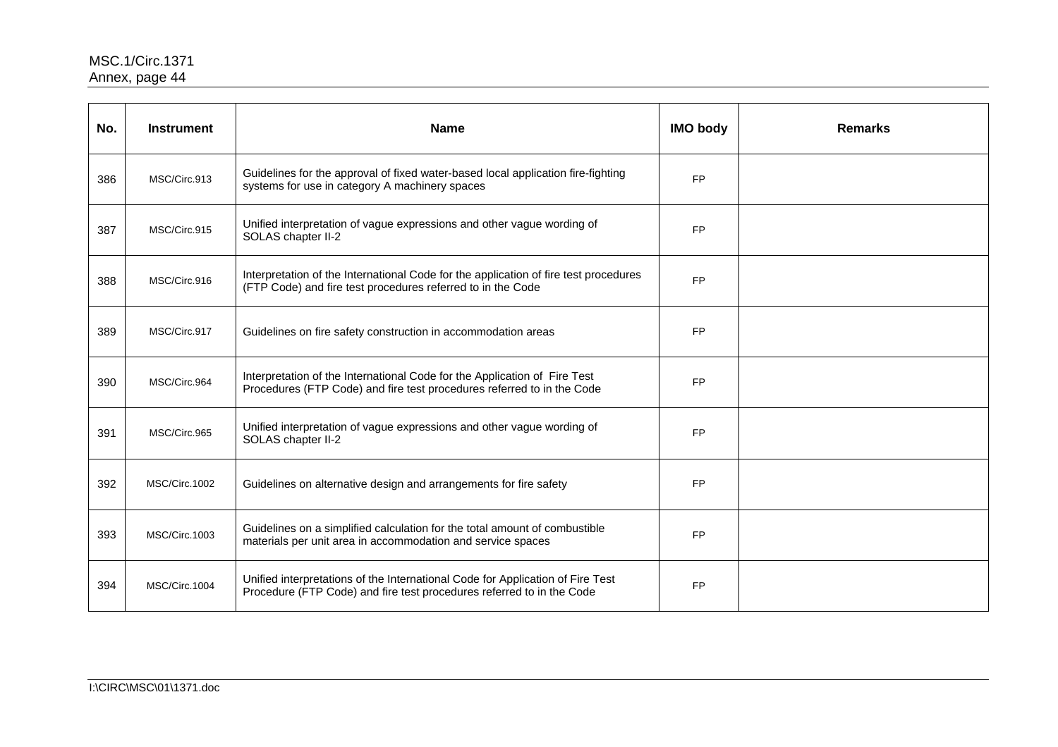| No. | <b>Instrument</b> | <b>Name</b>                                                                                                                                             | <b>IMO body</b> | <b>Remarks</b> |
|-----|-------------------|---------------------------------------------------------------------------------------------------------------------------------------------------------|-----------------|----------------|
| 386 | MSC/Circ.913      | Guidelines for the approval of fixed water-based local application fire-fighting<br>systems for use in category A machinery spaces                      | <b>FP</b>       |                |
| 387 | MSC/Circ.915      | Unified interpretation of vague expressions and other vague wording of<br>SOLAS chapter II-2                                                            | <b>FP</b>       |                |
| 388 | MSC/Circ.916      | Interpretation of the International Code for the application of fire test procedures<br>(FTP Code) and fire test procedures referred to in the Code     | <b>FP</b>       |                |
| 389 | MSC/Circ.917      | Guidelines on fire safety construction in accommodation areas                                                                                           | <b>FP</b>       |                |
| 390 | MSC/Circ.964      | Interpretation of the International Code for the Application of Fire Test<br>Procedures (FTP Code) and fire test procedures referred to in the Code     | <b>FP</b>       |                |
| 391 | MSC/Circ.965      | Unified interpretation of vague expressions and other vague wording of<br>SOLAS chapter II-2                                                            | <b>FP</b>       |                |
| 392 | MSC/Circ.1002     | Guidelines on alternative design and arrangements for fire safety                                                                                       | <b>FP</b>       |                |
| 393 | MSC/Circ.1003     | Guidelines on a simplified calculation for the total amount of combustible<br>materials per unit area in accommodation and service spaces               | <b>FP</b>       |                |
| 394 | MSC/Circ.1004     | Unified interpretations of the International Code for Application of Fire Test<br>Procedure (FTP Code) and fire test procedures referred to in the Code | <b>FP</b>       |                |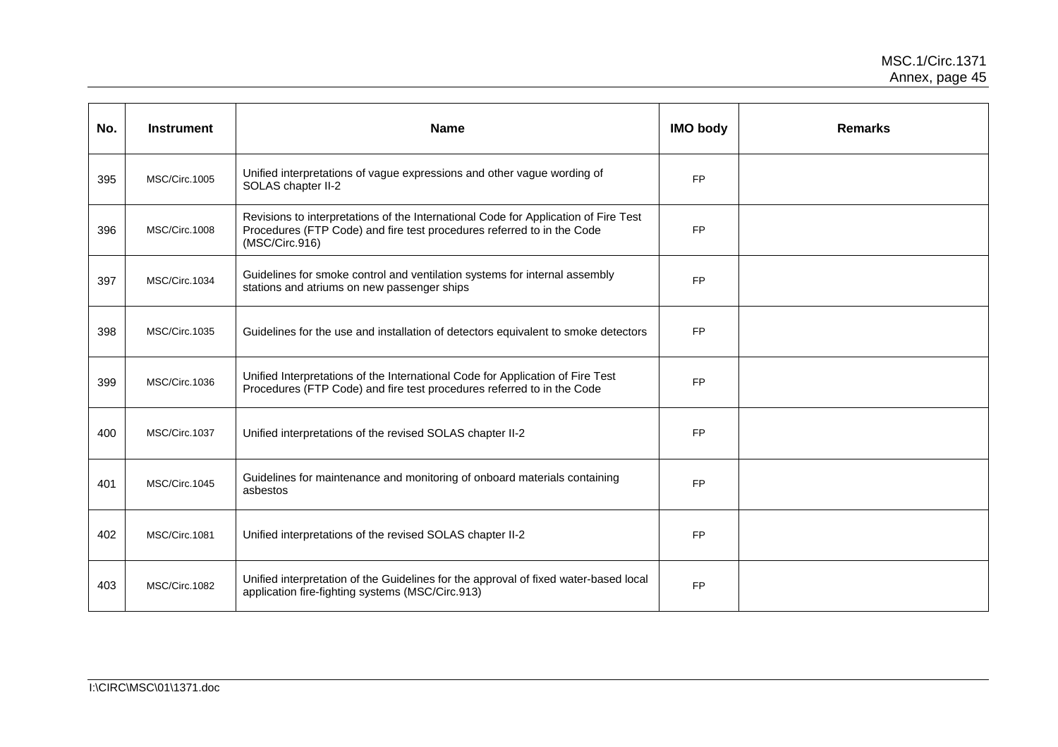| No. | <b>Instrument</b> | <b>Name</b>                                                                                                                                                                     | <b>IMO body</b> | <b>Remarks</b> |
|-----|-------------------|---------------------------------------------------------------------------------------------------------------------------------------------------------------------------------|-----------------|----------------|
| 395 | MSC/Circ.1005     | Unified interpretations of vague expressions and other vague wording of<br>SOLAS chapter II-2                                                                                   | <b>FP</b>       |                |
| 396 | MSC/Circ.1008     | Revisions to interpretations of the International Code for Application of Fire Test<br>Procedures (FTP Code) and fire test procedures referred to in the Code<br>(MSC/Circ.916) | <b>FP</b>       |                |
| 397 | MSC/Circ.1034     | Guidelines for smoke control and ventilation systems for internal assembly<br>stations and atriums on new passenger ships                                                       | <b>FP</b>       |                |
| 398 | MSC/Circ.1035     | Guidelines for the use and installation of detectors equivalent to smoke detectors                                                                                              | <b>FP</b>       |                |
| 399 | MSC/Circ.1036     | Unified Interpretations of the International Code for Application of Fire Test<br>Procedures (FTP Code) and fire test procedures referred to in the Code                        | <b>FP</b>       |                |
| 400 | MSC/Circ.1037     | Unified interpretations of the revised SOLAS chapter II-2                                                                                                                       | <b>FP</b>       |                |
| 401 | MSC/Circ.1045     | Guidelines for maintenance and monitoring of onboard materials containing<br>asbestos                                                                                           | <b>FP</b>       |                |
| 402 | MSC/Circ.1081     | Unified interpretations of the revised SOLAS chapter II-2                                                                                                                       | FP              |                |
| 403 | MSC/Circ.1082     | Unified interpretation of the Guidelines for the approval of fixed water-based local<br>application fire-fighting systems (MSC/Circ.913)                                        | <b>FP</b>       |                |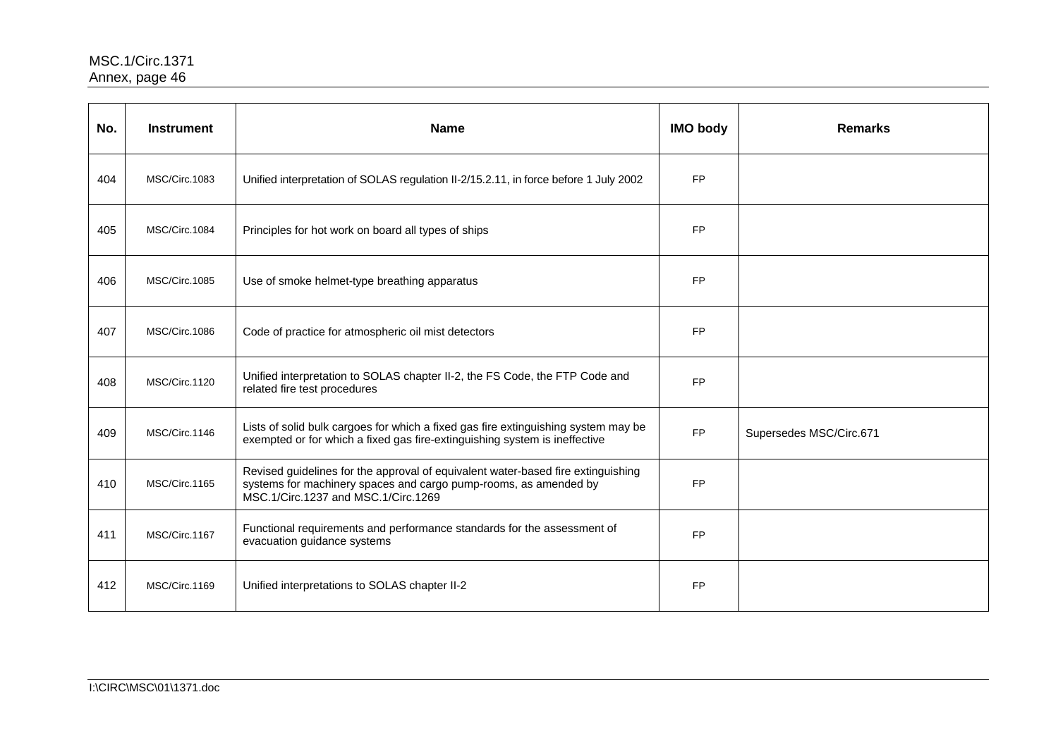| No. | <b>Instrument</b> | <b>Name</b>                                                                                                                                                                                 | <b>IMO body</b> | <b>Remarks</b>          |
|-----|-------------------|---------------------------------------------------------------------------------------------------------------------------------------------------------------------------------------------|-----------------|-------------------------|
| 404 | MSC/Circ.1083     | Unified interpretation of SOLAS regulation II-2/15.2.11, in force before 1 July 2002                                                                                                        | <b>FP</b>       |                         |
| 405 | MSC/Circ.1084     | Principles for hot work on board all types of ships                                                                                                                                         | <b>FP</b>       |                         |
| 406 | MSC/Circ.1085     | Use of smoke helmet-type breathing apparatus                                                                                                                                                | <b>FP</b>       |                         |
| 407 | MSC/Circ.1086     | Code of practice for atmospheric oil mist detectors                                                                                                                                         | <b>FP</b>       |                         |
| 408 | MSC/Circ.1120     | Unified interpretation to SOLAS chapter II-2, the FS Code, the FTP Code and<br>related fire test procedures                                                                                 | <b>FP</b>       |                         |
| 409 | MSC/Circ.1146     | Lists of solid bulk cargoes for which a fixed gas fire extinguishing system may be<br>exempted or for which a fixed gas fire-extinguishing system is ineffective                            | <b>FP</b>       | Supersedes MSC/Circ.671 |
| 410 | MSC/Circ.1165     | Revised guidelines for the approval of equivalent water-based fire extinguishing<br>systems for machinery spaces and cargo pump-rooms, as amended by<br>MSC.1/Circ.1237 and MSC.1/Circ.1269 | <b>FP</b>       |                         |
| 411 | MSC/Circ.1167     | Functional requirements and performance standards for the assessment of<br>evacuation guidance systems                                                                                      | <b>FP</b>       |                         |
| 412 | MSC/Circ.1169     | Unified interpretations to SOLAS chapter II-2                                                                                                                                               | <b>FP</b>       |                         |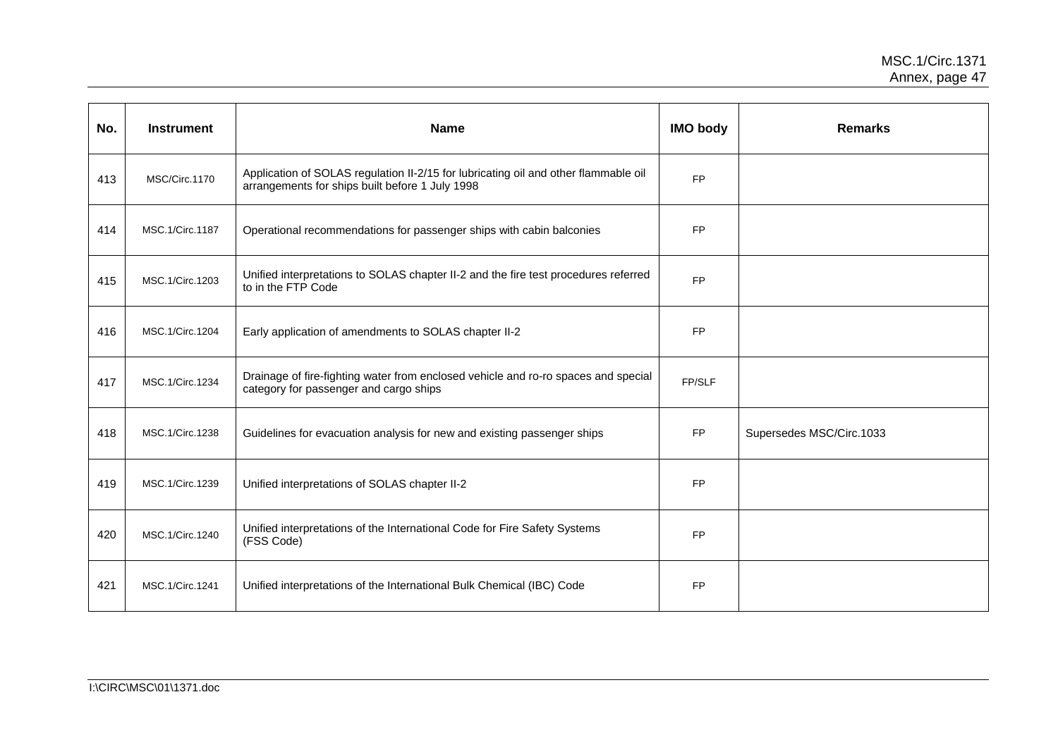| No. | <b>Instrument</b> | <b>Name</b>                                                                                                                            | <b>IMO body</b> | <b>Remarks</b>           |
|-----|-------------------|----------------------------------------------------------------------------------------------------------------------------------------|-----------------|--------------------------|
| 413 | MSC/Circ.1170     | Application of SOLAS regulation II-2/15 for lubricating oil and other flammable oil<br>arrangements for ships built before 1 July 1998 | <b>FP</b>       |                          |
| 414 | MSC.1/Circ.1187   | Operational recommendations for passenger ships with cabin balconies                                                                   | <b>FP</b>       |                          |
| 415 | MSC.1/Circ.1203   | Unified interpretations to SOLAS chapter II-2 and the fire test procedures referred<br>to in the FTP Code                              | <b>FP</b>       |                          |
| 416 | MSC.1/Circ.1204   | Early application of amendments to SOLAS chapter II-2                                                                                  | <b>FP</b>       |                          |
| 417 | MSC.1/Circ.1234   | Drainage of fire-fighting water from enclosed vehicle and ro-ro spaces and special<br>category for passenger and cargo ships           | FP/SLF          |                          |
| 418 | MSC.1/Circ.1238   | Guidelines for evacuation analysis for new and existing passenger ships                                                                | FP              | Supersedes MSC/Circ.1033 |
| 419 | MSC.1/Circ.1239   | Unified interpretations of SOLAS chapter II-2                                                                                          | <b>FP</b>       |                          |
| 420 | MSC.1/Circ.1240   | Unified interpretations of the International Code for Fire Safety Systems<br>(FSS Code)                                                | <b>FP</b>       |                          |
| 421 | MSC.1/Circ.1241   | Unified interpretations of the International Bulk Chemical (IBC) Code                                                                  | <b>FP</b>       |                          |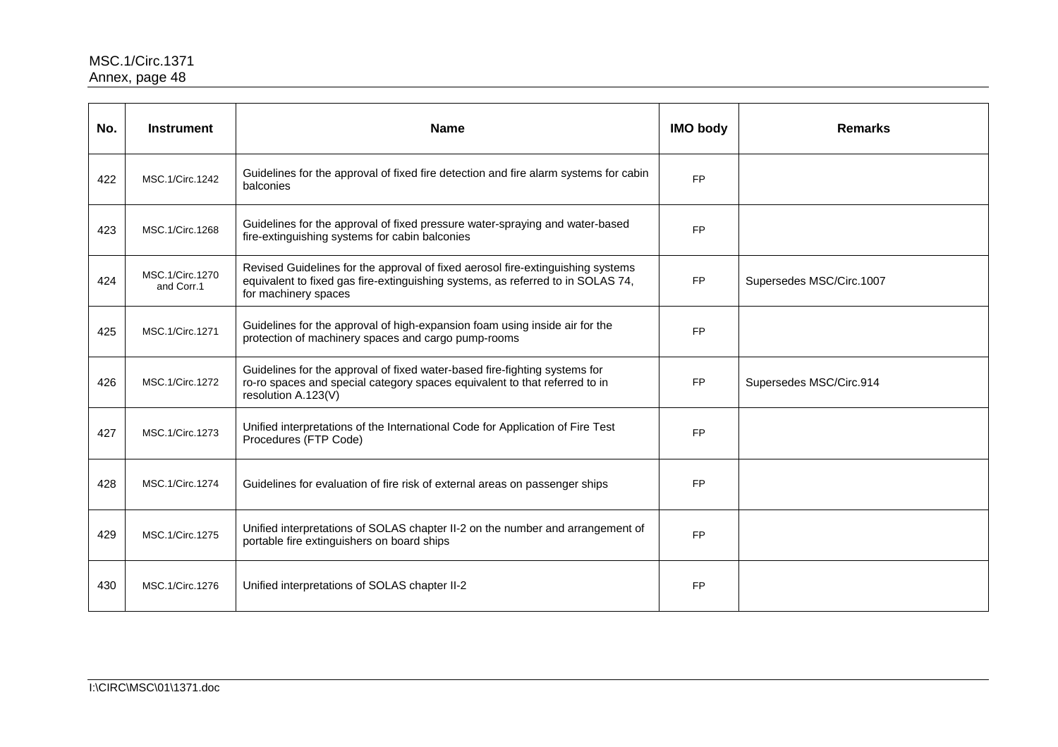| No. | <b>Instrument</b>             | <b>Name</b>                                                                                                                                                                                | <b>IMO body</b> | <b>Remarks</b>           |
|-----|-------------------------------|--------------------------------------------------------------------------------------------------------------------------------------------------------------------------------------------|-----------------|--------------------------|
| 422 | MSC.1/Circ.1242               | Guidelines for the approval of fixed fire detection and fire alarm systems for cabin<br>balconies                                                                                          | <b>FP</b>       |                          |
| 423 | MSC.1/Circ.1268               | Guidelines for the approval of fixed pressure water-spraying and water-based<br>fire-extinguishing systems for cabin balconies                                                             | <b>FP</b>       |                          |
| 424 | MSC.1/Circ.1270<br>and Corr.1 | Revised Guidelines for the approval of fixed aerosol fire-extinguishing systems<br>equivalent to fixed gas fire-extinguishing systems, as referred to in SOLAS 74,<br>for machinery spaces | <b>FP</b>       | Supersedes MSC/Circ.1007 |
| 425 | MSC.1/Circ.1271               | Guidelines for the approval of high-expansion foam using inside air for the<br>protection of machinery spaces and cargo pump-rooms                                                         | <b>FP</b>       |                          |
| 426 | MSC.1/Circ.1272               | Guidelines for the approval of fixed water-based fire-fighting systems for<br>ro-ro spaces and special category spaces equivalent to that referred to in<br>resolution A.123(V)            | <b>FP</b>       | Supersedes MSC/Circ.914  |
| 427 | MSC.1/Circ.1273               | Unified interpretations of the International Code for Application of Fire Test<br>Procedures (FTP Code)                                                                                    | <b>FP</b>       |                          |
| 428 | MSC.1/Circ.1274               | Guidelines for evaluation of fire risk of external areas on passenger ships                                                                                                                | <b>FP</b>       |                          |
| 429 | MSC.1/Circ.1275               | Unified interpretations of SOLAS chapter II-2 on the number and arrangement of<br>portable fire extinguishers on board ships                                                               | <b>FP</b>       |                          |
| 430 | MSC.1/Circ.1276               | Unified interpretations of SOLAS chapter II-2                                                                                                                                              | <b>FP</b>       |                          |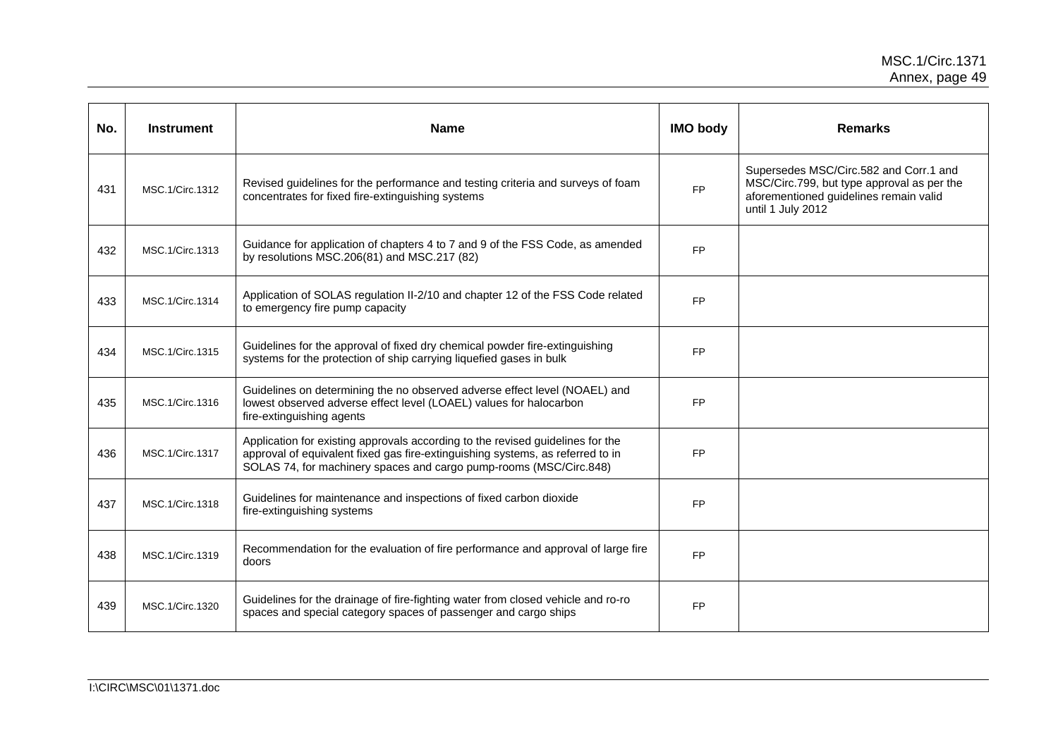| No. | <b>Instrument</b> | <b>Name</b>                                                                                                                                                                                                                            | <b>IMO body</b> | <b>Remarks</b>                                                                                                                                      |
|-----|-------------------|----------------------------------------------------------------------------------------------------------------------------------------------------------------------------------------------------------------------------------------|-----------------|-----------------------------------------------------------------------------------------------------------------------------------------------------|
| 431 | MSC.1/Circ.1312   | Revised guidelines for the performance and testing criteria and surveys of foam<br>concentrates for fixed fire-extinguishing systems                                                                                                   | <b>FP</b>       | Supersedes MSC/Circ.582 and Corr.1 and<br>MSC/Circ.799, but type approval as per the<br>aforementioned guidelines remain valid<br>until 1 July 2012 |
| 432 | MSC.1/Circ.1313   | Guidance for application of chapters 4 to 7 and 9 of the FSS Code, as amended<br>by resolutions MSC.206(81) and MSC.217 (82)                                                                                                           | <b>FP</b>       |                                                                                                                                                     |
| 433 | MSC.1/Circ.1314   | Application of SOLAS regulation II-2/10 and chapter 12 of the FSS Code related<br>to emergency fire pump capacity                                                                                                                      | <b>FP</b>       |                                                                                                                                                     |
| 434 | MSC.1/Circ.1315   | Guidelines for the approval of fixed dry chemical powder fire-extinguishing<br>systems for the protection of ship carrying liquefied gases in bulk                                                                                     | <b>FP</b>       |                                                                                                                                                     |
| 435 | MSC.1/Circ.1316   | Guidelines on determining the no observed adverse effect level (NOAEL) and<br>lowest observed adverse effect level (LOAEL) values for halocarbon<br>fire-extinguishing agents                                                          | <b>FP</b>       |                                                                                                                                                     |
| 436 | MSC.1/Circ.1317   | Application for existing approvals according to the revised guidelines for the<br>approval of equivalent fixed gas fire-extinguishing systems, as referred to in<br>SOLAS 74, for machinery spaces and cargo pump-rooms (MSC/Circ.848) | <b>FP</b>       |                                                                                                                                                     |
| 437 | MSC.1/Circ.1318   | Guidelines for maintenance and inspections of fixed carbon dioxide<br>fire-extinguishing systems                                                                                                                                       | <b>FP</b>       |                                                                                                                                                     |
| 438 | MSC.1/Circ.1319   | Recommendation for the evaluation of fire performance and approval of large fire<br>doors                                                                                                                                              | <b>FP</b>       |                                                                                                                                                     |
| 439 | MSC.1/Circ.1320   | Guidelines for the drainage of fire-fighting water from closed vehicle and ro-ro<br>spaces and special category spaces of passenger and cargo ships                                                                                    | <b>FP</b>       |                                                                                                                                                     |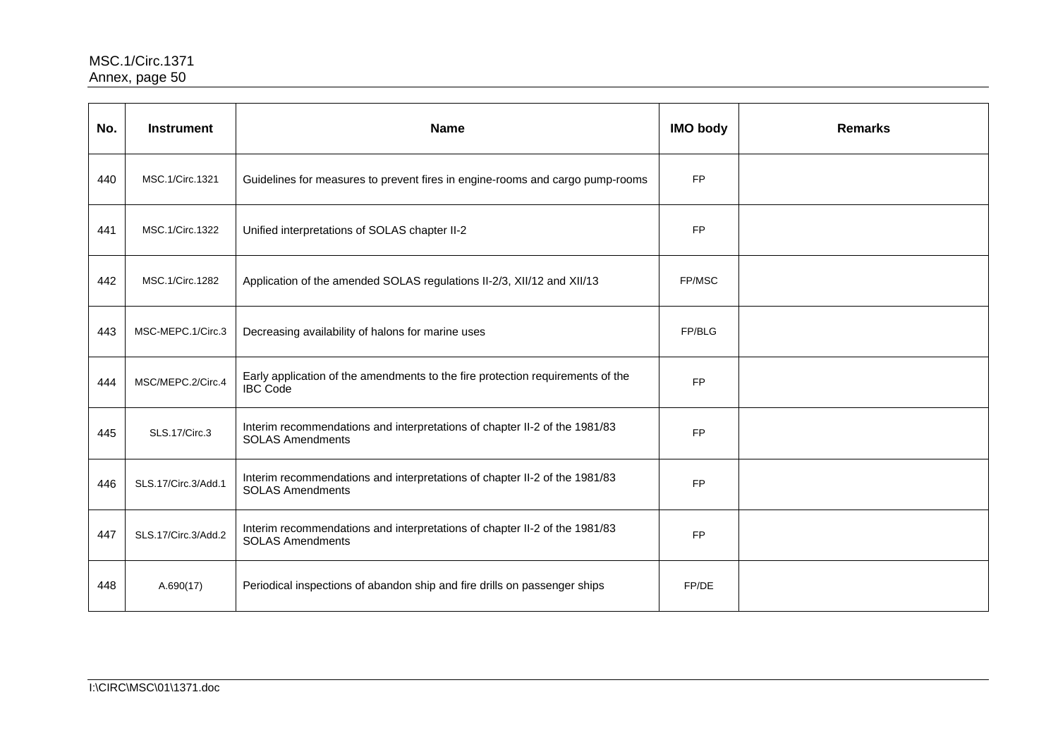| No. | <b>Instrument</b>    | <b>Name</b>                                                                                           | <b>IMO body</b> | <b>Remarks</b> |
|-----|----------------------|-------------------------------------------------------------------------------------------------------|-----------------|----------------|
| 440 | MSC.1/Circ.1321      | Guidelines for measures to prevent fires in engine-rooms and cargo pump-rooms                         | <b>FP</b>       |                |
| 441 | MSC.1/Circ.1322      | Unified interpretations of SOLAS chapter II-2                                                         | <b>FP</b>       |                |
| 442 | MSC.1/Circ.1282      | Application of the amended SOLAS regulations II-2/3, XII/12 and XII/13                                | FP/MSC          |                |
| 443 | MSC-MEPC.1/Circ.3    | Decreasing availability of halons for marine uses                                                     | FP/BLG          |                |
| 444 | MSC/MEPC.2/Circ.4    | Early application of the amendments to the fire protection requirements of the<br><b>IBC Code</b>     | <b>FP</b>       |                |
| 445 | <b>SLS.17/Circ.3</b> | Interim recommendations and interpretations of chapter II-2 of the 1981/83<br><b>SOLAS Amendments</b> | <b>FP</b>       |                |
| 446 | SLS.17/Circ.3/Add.1  | Interim recommendations and interpretations of chapter II-2 of the 1981/83<br><b>SOLAS Amendments</b> | <b>FP</b>       |                |
| 447 | SLS.17/Circ.3/Add.2  | Interim recommendations and interpretations of chapter II-2 of the 1981/83<br><b>SOLAS Amendments</b> | <b>FP</b>       |                |
| 448 | A.690(17)            | Periodical inspections of abandon ship and fire drills on passenger ships                             | FP/DE           |                |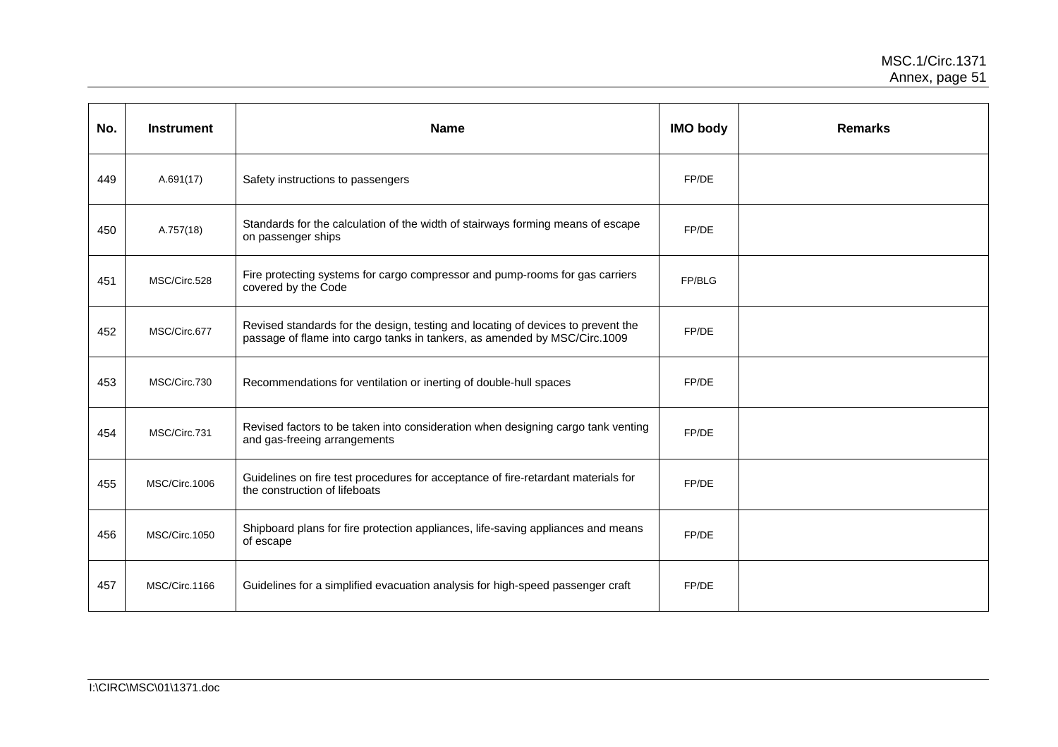| No. | <b>Instrument</b> | <b>Name</b>                                                                                                                                                   | <b>IMO body</b> | <b>Remarks</b> |
|-----|-------------------|---------------------------------------------------------------------------------------------------------------------------------------------------------------|-----------------|----------------|
| 449 | A.691(17)         | Safety instructions to passengers                                                                                                                             | FP/DE           |                |
| 450 | A.757(18)         | Standards for the calculation of the width of stairways forming means of escape<br>on passenger ships                                                         | FP/DE           |                |
| 451 | MSC/Circ.528      | Fire protecting systems for cargo compressor and pump-rooms for gas carriers<br>covered by the Code                                                           | FP/BLG          |                |
| 452 | MSC/Circ.677      | Revised standards for the design, testing and locating of devices to prevent the<br>passage of flame into cargo tanks in tankers, as amended by MSC/Circ.1009 | FP/DE           |                |
| 453 | MSC/Circ.730      | Recommendations for ventilation or inerting of double-hull spaces                                                                                             | FP/DE           |                |
| 454 | MSC/Circ.731      | Revised factors to be taken into consideration when designing cargo tank venting<br>and gas-freeing arrangements                                              | FP/DE           |                |
| 455 | MSC/Circ.1006     | Guidelines on fire test procedures for acceptance of fire-retardant materials for<br>the construction of lifeboats                                            | FP/DE           |                |
| 456 | MSC/Circ.1050     | Shipboard plans for fire protection appliances, life-saving appliances and means<br>of escape                                                                 | FP/DE           |                |
| 457 | MSC/Circ.1166     | Guidelines for a simplified evacuation analysis for high-speed passenger craft                                                                                | FP/DE           |                |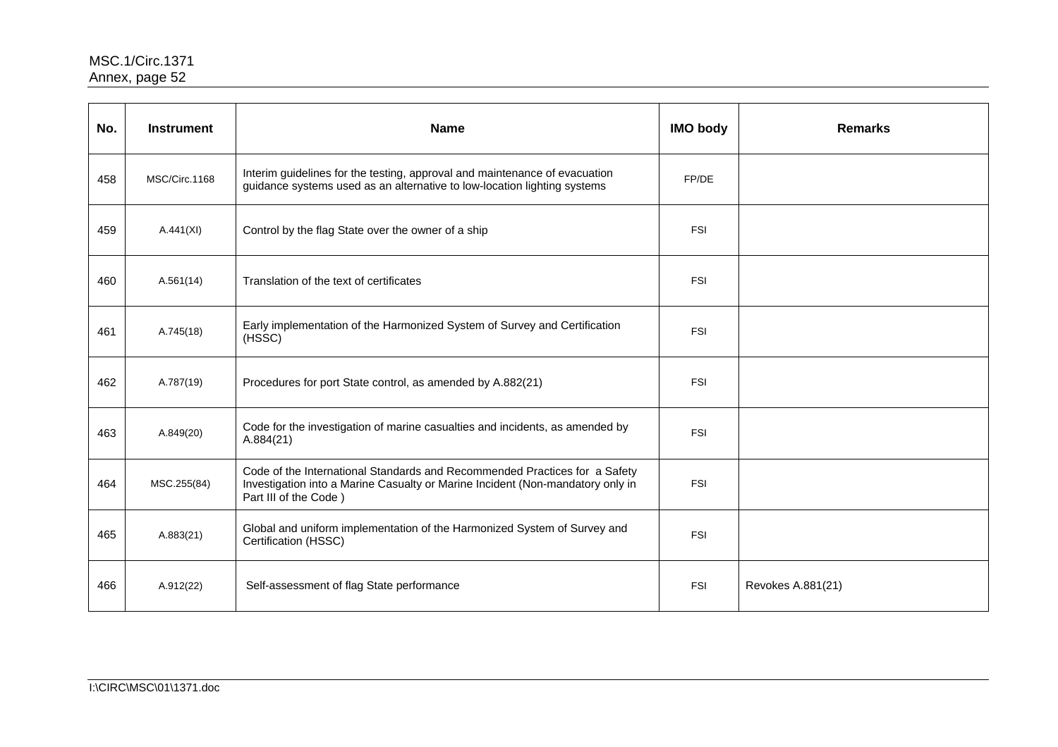| No. | <b>Instrument</b> | <b>Name</b>                                                                                                                                                                           | <b>IMO body</b> | <b>Remarks</b>    |
|-----|-------------------|---------------------------------------------------------------------------------------------------------------------------------------------------------------------------------------|-----------------|-------------------|
| 458 | MSC/Circ.1168     | Interim guidelines for the testing, approval and maintenance of evacuation<br>guidance systems used as an alternative to low-location lighting systems                                | FP/DE           |                   |
| 459 | A.441(XI)         | Control by the flag State over the owner of a ship                                                                                                                                    | <b>FSI</b>      |                   |
| 460 | A.561(14)         | Translation of the text of certificates                                                                                                                                               | <b>FSI</b>      |                   |
| 461 | A.745(18)         | Early implementation of the Harmonized System of Survey and Certification<br>(HSSC)                                                                                                   | <b>FSI</b>      |                   |
| 462 | A.787(19)         | Procedures for port State control, as amended by A.882(21)                                                                                                                            | <b>FSI</b>      |                   |
| 463 | A.849(20)         | Code for the investigation of marine casualties and incidents, as amended by<br>A.884(21)                                                                                             | <b>FSI</b>      |                   |
| 464 | MSC.255(84)       | Code of the International Standards and Recommended Practices for a Safety<br>Investigation into a Marine Casualty or Marine Incident (Non-mandatory only in<br>Part III of the Code) | <b>FSI</b>      |                   |
| 465 | A.883(21)         | Global and uniform implementation of the Harmonized System of Survey and<br>Certification (HSSC)                                                                                      | <b>FSI</b>      |                   |
| 466 | A.912(22)         | Self-assessment of flag State performance                                                                                                                                             | <b>FSI</b>      | Revokes A.881(21) |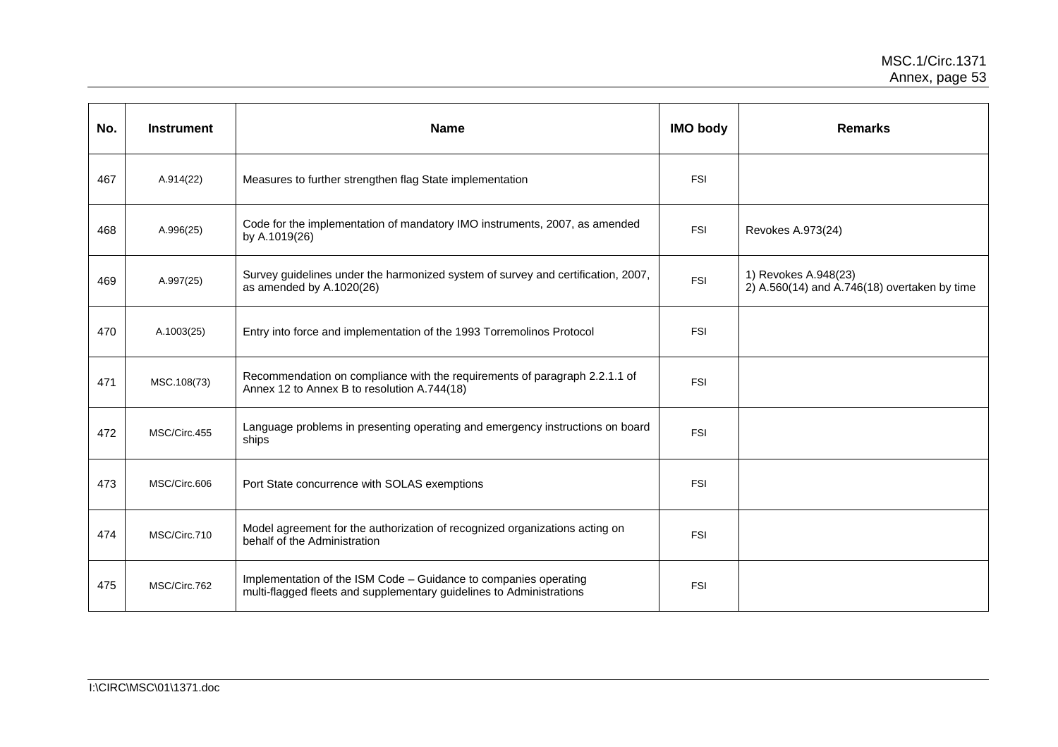| No. | <b>Instrument</b> | <b>Name</b>                                                                                                                              | <b>IMO body</b> | <b>Remarks</b>                                                       |
|-----|-------------------|------------------------------------------------------------------------------------------------------------------------------------------|-----------------|----------------------------------------------------------------------|
| 467 | A.914(22)         | Measures to further strengthen flag State implementation                                                                                 | <b>FSI</b>      |                                                                      |
| 468 | A.996(25)         | Code for the implementation of mandatory IMO instruments, 2007, as amended<br>by A.1019(26)                                              | <b>FSI</b>      | Revokes A.973(24)                                                    |
| 469 | A.997(25)         | Survey guidelines under the harmonized system of survey and certification, 2007,<br>as amended by A.1020(26)                             | <b>FSI</b>      | 1) Revokes A.948(23)<br>2) A.560(14) and A.746(18) overtaken by time |
| 470 | A.1003(25)        | Entry into force and implementation of the 1993 Torremolinos Protocol                                                                    | <b>FSI</b>      |                                                                      |
| 471 | MSC.108(73)       | Recommendation on compliance with the requirements of paragraph 2.2.1.1 of<br>Annex 12 to Annex B to resolution A.744(18)                | <b>FSI</b>      |                                                                      |
| 472 | MSC/Circ.455      | Language problems in presenting operating and emergency instructions on board<br>ships                                                   | <b>FSI</b>      |                                                                      |
| 473 | MSC/Circ.606      | Port State concurrence with SOLAS exemptions                                                                                             | <b>FSI</b>      |                                                                      |
| 474 | MSC/Circ.710      | Model agreement for the authorization of recognized organizations acting on<br>behalf of the Administration                              | <b>FSI</b>      |                                                                      |
| 475 | MSC/Circ.762      | Implementation of the ISM Code - Guidance to companies operating<br>multi-flagged fleets and supplementary guidelines to Administrations | <b>FSI</b>      |                                                                      |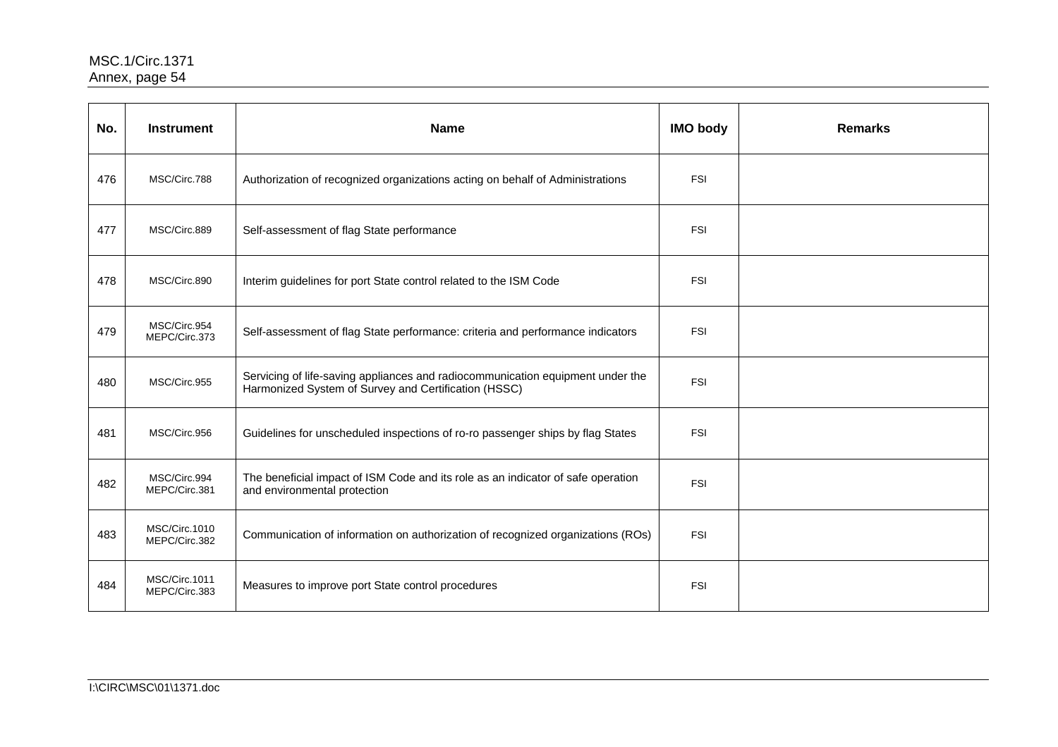| No. | <b>Instrument</b>              | <b>Name</b>                                                                                                                            | <b>IMO body</b> | <b>Remarks</b> |
|-----|--------------------------------|----------------------------------------------------------------------------------------------------------------------------------------|-----------------|----------------|
| 476 | MSC/Circ.788                   | Authorization of recognized organizations acting on behalf of Administrations                                                          | <b>FSI</b>      |                |
| 477 | MSC/Circ.889                   | Self-assessment of flag State performance                                                                                              | <b>FSI</b>      |                |
| 478 | MSC/Circ.890                   | Interim guidelines for port State control related to the ISM Code                                                                      | <b>FSI</b>      |                |
| 479 | MSC/Circ.954<br>MEPC/Circ.373  | Self-assessment of flag State performance: criteria and performance indicators                                                         | <b>FSI</b>      |                |
| 480 | MSC/Circ.955                   | Servicing of life-saving appliances and radiocommunication equipment under the<br>Harmonized System of Survey and Certification (HSSC) | <b>FSI</b>      |                |
| 481 | MSC/Circ.956                   | Guidelines for unscheduled inspections of ro-ro passenger ships by flag States                                                         | <b>FSI</b>      |                |
| 482 | MSC/Circ.994<br>MEPC/Circ.381  | The beneficial impact of ISM Code and its role as an indicator of safe operation<br>and environmental protection                       | <b>FSI</b>      |                |
| 483 | MSC/Circ.1010<br>MEPC/Circ.382 | Communication of information on authorization of recognized organizations (ROs)                                                        | <b>FSI</b>      |                |
| 484 | MSC/Circ.1011<br>MEPC/Circ.383 | Measures to improve port State control procedures                                                                                      | <b>FSI</b>      |                |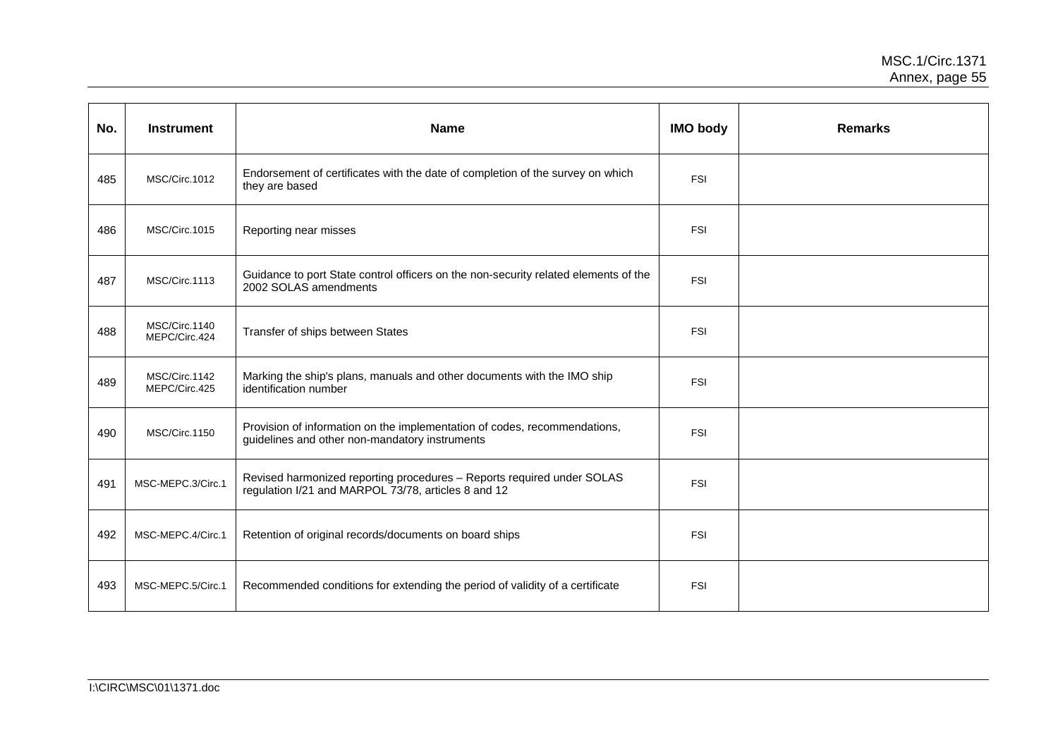| No. | <b>Instrument</b>              | <b>Name</b>                                                                                                                   | <b>IMO body</b> | <b>Remarks</b> |
|-----|--------------------------------|-------------------------------------------------------------------------------------------------------------------------------|-----------------|----------------|
| 485 | MSC/Circ.1012                  | Endorsement of certificates with the date of completion of the survey on which<br>they are based                              | <b>FSI</b>      |                |
| 486 | MSC/Circ.1015                  | Reporting near misses                                                                                                         | <b>FSI</b>      |                |
| 487 | MSC/Circ.1113                  | Guidance to port State control officers on the non-security related elements of the<br>2002 SOLAS amendments                  | <b>FSI</b>      |                |
| 488 | MSC/Circ.1140<br>MEPC/Circ.424 | Transfer of ships between States                                                                                              | <b>FSI</b>      |                |
| 489 | MSC/Circ.1142<br>MEPC/Circ.425 | Marking the ship's plans, manuals and other documents with the IMO ship<br>identification number                              | <b>FSI</b>      |                |
| 490 | MSC/Circ.1150                  | Provision of information on the implementation of codes, recommendations,<br>guidelines and other non-mandatory instruments   | <b>FSI</b>      |                |
| 491 | MSC-MEPC.3/Circ.1              | Revised harmonized reporting procedures - Reports required under SOLAS<br>regulation I/21 and MARPOL 73/78, articles 8 and 12 | <b>FSI</b>      |                |
| 492 | MSC-MEPC.4/Circ.1              | Retention of original records/documents on board ships                                                                        | <b>FSI</b>      |                |
| 493 | MSC-MEPC.5/Circ.1              | Recommended conditions for extending the period of validity of a certificate                                                  | <b>FSI</b>      |                |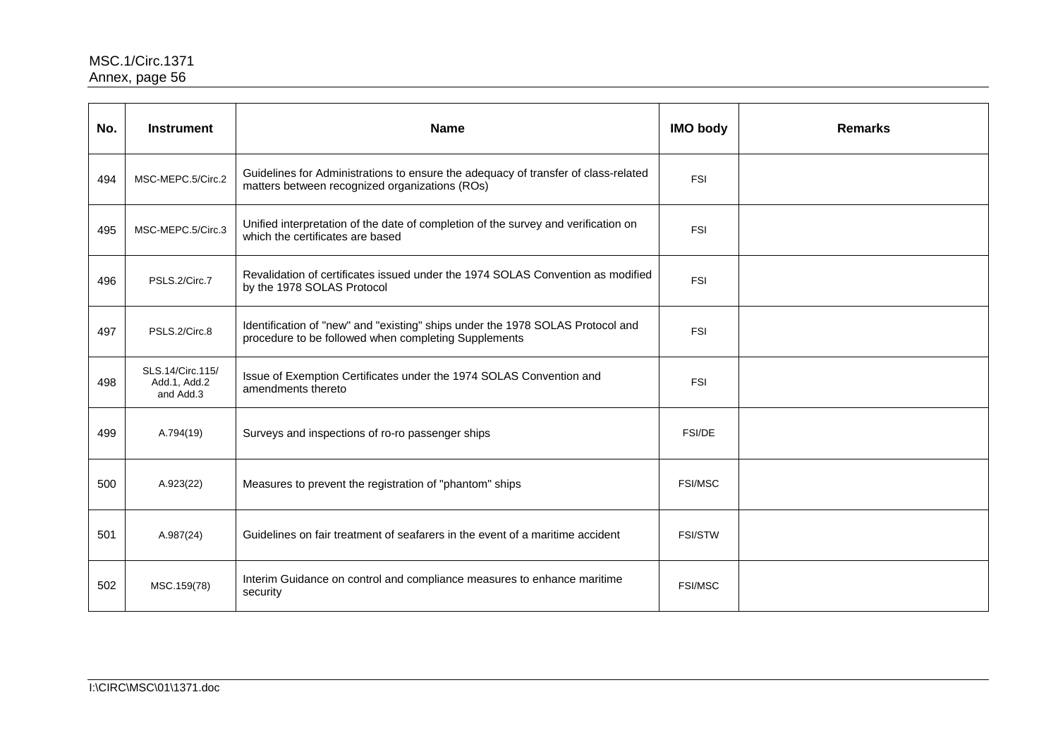| No. | <b>Instrument</b>                             | <b>Name</b>                                                                                                                            | <b>IMO body</b> | <b>Remarks</b> |
|-----|-----------------------------------------------|----------------------------------------------------------------------------------------------------------------------------------------|-----------------|----------------|
| 494 | MSC-MEPC.5/Circ.2                             | Guidelines for Administrations to ensure the adequacy of transfer of class-related<br>matters between recognized organizations (ROs)   | <b>FSI</b>      |                |
| 495 | MSC-MEPC.5/Circ.3                             | Unified interpretation of the date of completion of the survey and verification on<br>which the certificates are based                 | <b>FSI</b>      |                |
| 496 | PSLS.2/Circ.7                                 | Revalidation of certificates issued under the 1974 SOLAS Convention as modified<br>by the 1978 SOLAS Protocol                          | <b>FSI</b>      |                |
| 497 | PSLS.2/Circ.8                                 | Identification of "new" and "existing" ships under the 1978 SOLAS Protocol and<br>procedure to be followed when completing Supplements | <b>FSI</b>      |                |
| 498 | SLS.14/Circ.115/<br>Add.1, Add.2<br>and Add.3 | Issue of Exemption Certificates under the 1974 SOLAS Convention and<br>amendments thereto                                              | <b>FSI</b>      |                |
| 499 | A.794(19)                                     | Surveys and inspections of ro-ro passenger ships                                                                                       | <b>FSI/DE</b>   |                |
| 500 | A.923(22)                                     | Measures to prevent the registration of "phantom" ships                                                                                | <b>FSI/MSC</b>  |                |
| 501 | A.987(24)                                     | Guidelines on fair treatment of seafarers in the event of a maritime accident                                                          | <b>FSI/STW</b>  |                |
| 502 | MSC.159(78)                                   | Interim Guidance on control and compliance measures to enhance maritime<br>security                                                    | <b>FSI/MSC</b>  |                |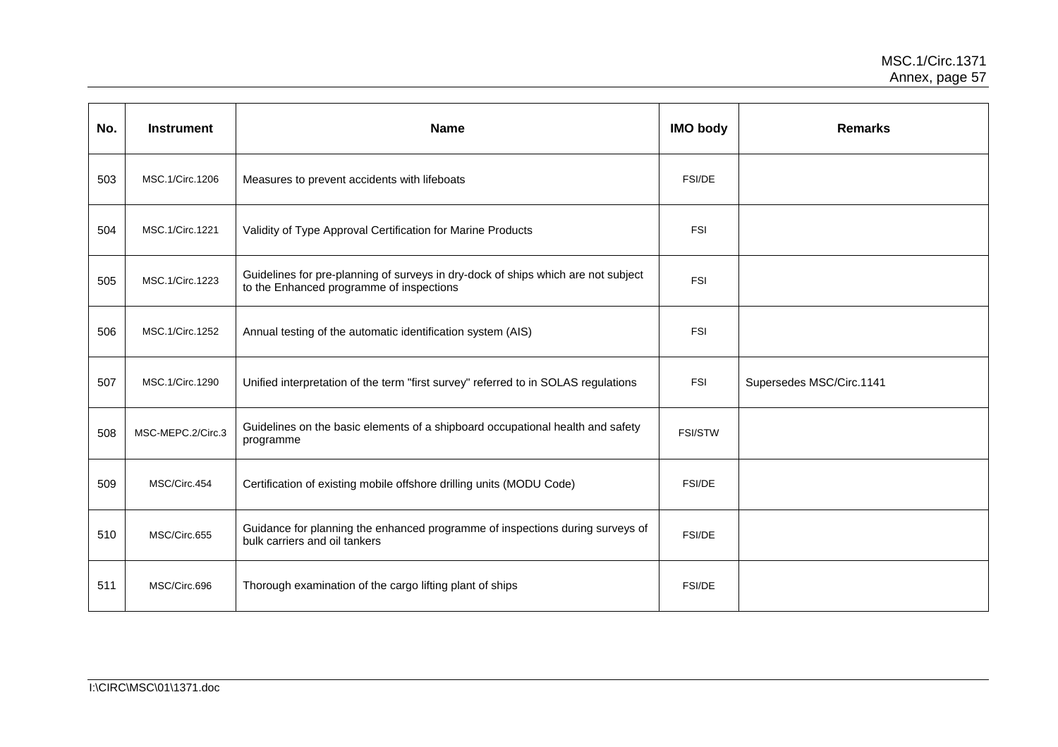| No. | <b>Instrument</b> | <b>Name</b>                                                                                                                   | <b>IMO body</b> | <b>Remarks</b>           |
|-----|-------------------|-------------------------------------------------------------------------------------------------------------------------------|-----------------|--------------------------|
| 503 | MSC.1/Circ.1206   | Measures to prevent accidents with lifeboats                                                                                  | <b>FSI/DE</b>   |                          |
| 504 | MSC.1/Circ.1221   | Validity of Type Approval Certification for Marine Products                                                                   | <b>FSI</b>      |                          |
| 505 | MSC.1/Circ.1223   | Guidelines for pre-planning of surveys in dry-dock of ships which are not subject<br>to the Enhanced programme of inspections | <b>FSI</b>      |                          |
| 506 | MSC.1/Circ.1252   | Annual testing of the automatic identification system (AIS)                                                                   | <b>FSI</b>      |                          |
| 507 | MSC.1/Circ.1290   | Unified interpretation of the term "first survey" referred to in SOLAS regulations                                            | <b>FSI</b>      | Supersedes MSC/Circ.1141 |
| 508 | MSC-MEPC.2/Circ.3 | Guidelines on the basic elements of a shipboard occupational health and safety<br>programme                                   | <b>FSI/STW</b>  |                          |
| 509 | MSC/Circ.454      | Certification of existing mobile offshore drilling units (MODU Code)                                                          | <b>FSI/DE</b>   |                          |
| 510 | MSC/Circ.655      | Guidance for planning the enhanced programme of inspections during surveys of<br>bulk carriers and oil tankers                | FSI/DE          |                          |
| 511 | MSC/Circ.696      | Thorough examination of the cargo lifting plant of ships                                                                      | FSI/DE          |                          |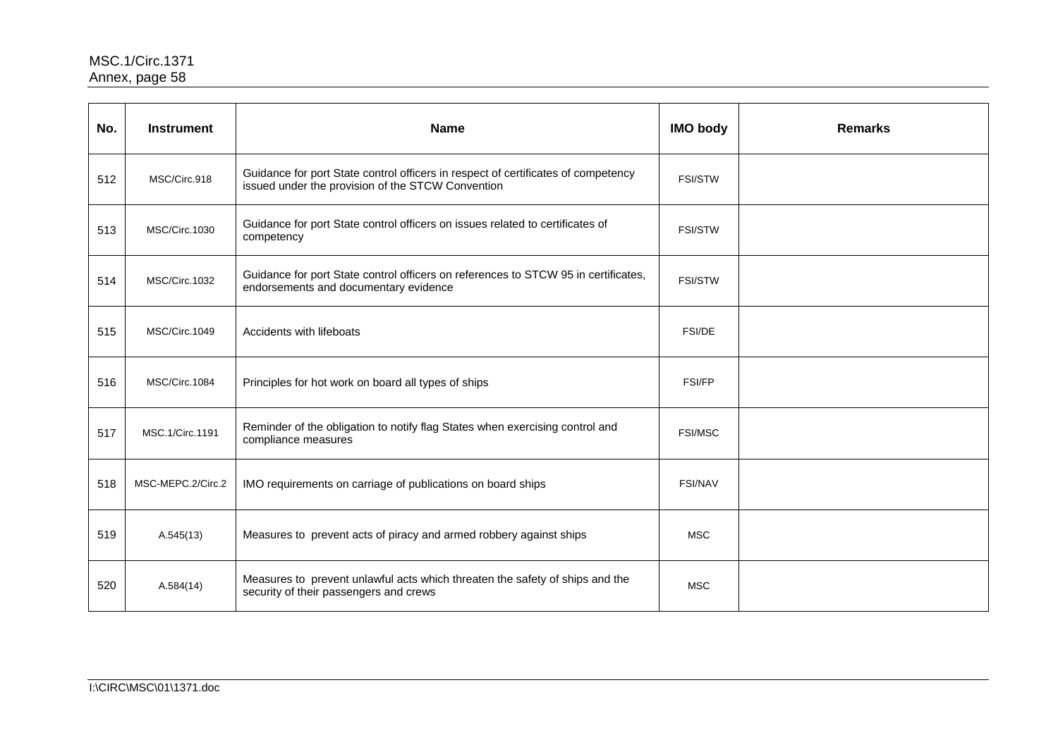| No. | <b>Instrument</b> | <b>Name</b>                                                                                                                            | <b>IMO body</b> | <b>Remarks</b> |
|-----|-------------------|----------------------------------------------------------------------------------------------------------------------------------------|-----------------|----------------|
| 512 | MSC/Circ.918      | Guidance for port State control officers in respect of certificates of competency<br>issued under the provision of the STCW Convention | <b>FSI/STW</b>  |                |
| 513 | MSC/Circ.1030     | Guidance for port State control officers on issues related to certificates of<br>competency                                            | <b>FSI/STW</b>  |                |
| 514 | MSC/Circ.1032     | Guidance for port State control officers on references to STCW 95 in certificates,<br>endorsements and documentary evidence            | <b>FSI/STW</b>  |                |
| 515 | MSC/Circ.1049     | Accidents with lifeboats                                                                                                               | <b>FSI/DE</b>   |                |
| 516 | MSC/Circ.1084     | Principles for hot work on board all types of ships                                                                                    | <b>FSI/FP</b>   |                |
| 517 | MSC.1/Circ.1191   | Reminder of the obligation to notify flag States when exercising control and<br>compliance measures                                    | <b>FSI/MSC</b>  |                |
| 518 | MSC-MEPC.2/Circ.2 | IMO requirements on carriage of publications on board ships                                                                            | <b>FSI/NAV</b>  |                |
| 519 | A.545(13)         | Measures to prevent acts of piracy and armed robbery against ships                                                                     | <b>MSC</b>      |                |
| 520 | A.584(14)         | Measures to prevent unlawful acts which threaten the safety of ships and the<br>security of their passengers and crews                 | <b>MSC</b>      |                |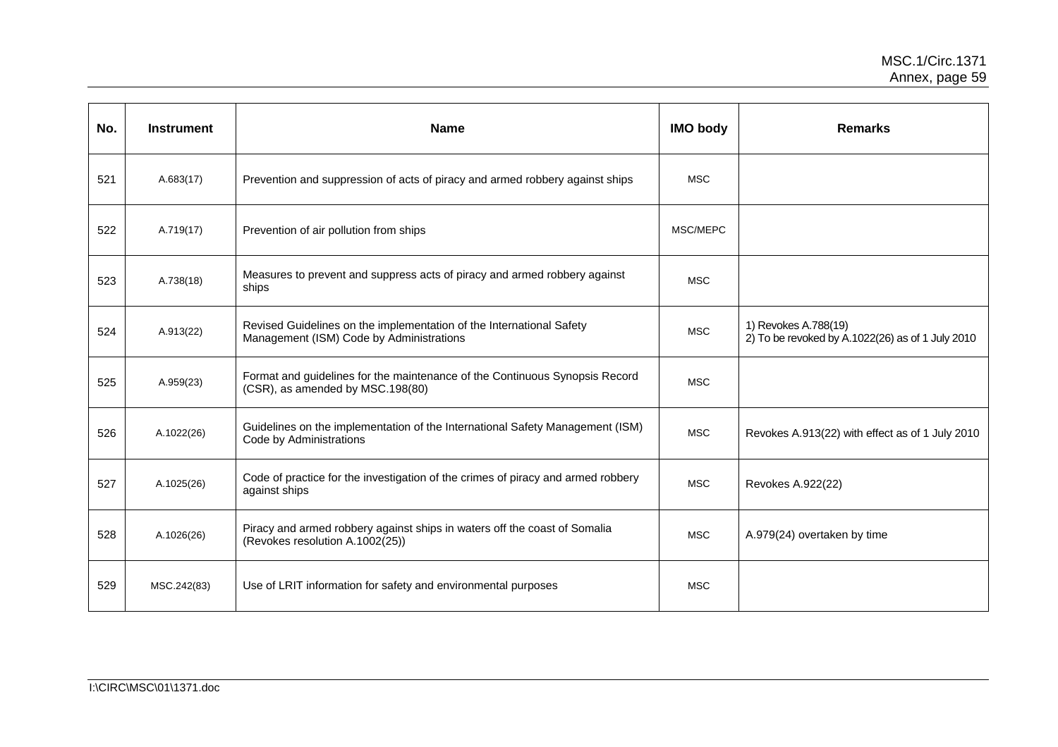| No. | <b>Instrument</b> | <b>Name</b>                                                                                                      | <b>IMO body</b> | <b>Remarks</b>                                                           |
|-----|-------------------|------------------------------------------------------------------------------------------------------------------|-----------------|--------------------------------------------------------------------------|
| 521 | A.683(17)         | Prevention and suppression of acts of piracy and armed robbery against ships                                     | <b>MSC</b>      |                                                                          |
| 522 | A.719(17)         | Prevention of air pollution from ships                                                                           | MSC/MEPC        |                                                                          |
| 523 | A.738(18)         | Measures to prevent and suppress acts of piracy and armed robbery against<br>ships                               | <b>MSC</b>      |                                                                          |
| 524 | A.913(22)         | Revised Guidelines on the implementation of the International Safety<br>Management (ISM) Code by Administrations | <b>MSC</b>      | 1) Revokes A.788(19)<br>2) To be revoked by A.1022(26) as of 1 July 2010 |
| 525 | A.959(23)         | Format and guidelines for the maintenance of the Continuous Synopsis Record<br>(CSR), as amended by MSC.198(80)  | <b>MSC</b>      |                                                                          |
| 526 | A.1022(26)        | Guidelines on the implementation of the International Safety Management (ISM)<br>Code by Administrations         | <b>MSC</b>      | Revokes A.913(22) with effect as of 1 July 2010                          |
| 527 | A.1025(26)        | Code of practice for the investigation of the crimes of piracy and armed robbery<br>against ships                | <b>MSC</b>      | Revokes A.922(22)                                                        |
| 528 | A.1026(26)        | Piracy and armed robbery against ships in waters off the coast of Somalia<br>(Revokes resolution A.1002(25))     | <b>MSC</b>      | A.979(24) overtaken by time                                              |
| 529 | MSC.242(83)       | Use of LRIT information for safety and environmental purposes                                                    | <b>MSC</b>      |                                                                          |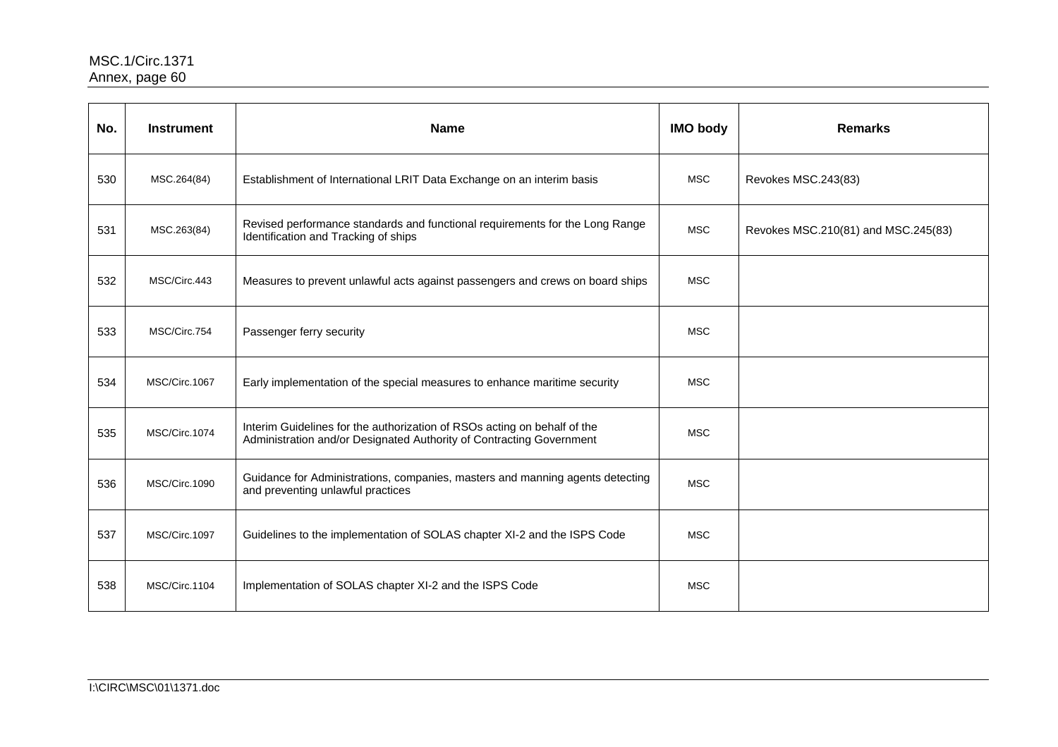| No. | <b>Instrument</b> | <b>Name</b>                                                                                                                                      | <b>IMO body</b> | <b>Remarks</b>                      |
|-----|-------------------|--------------------------------------------------------------------------------------------------------------------------------------------------|-----------------|-------------------------------------|
| 530 | MSC.264(84)       | Establishment of International LRIT Data Exchange on an interim basis                                                                            | <b>MSC</b>      | Revokes MSC.243(83)                 |
| 531 | MSC.263(84)       | Revised performance standards and functional requirements for the Long Range<br>Identification and Tracking of ships                             | <b>MSC</b>      | Revokes MSC.210(81) and MSC.245(83) |
| 532 | MSC/Circ.443      | Measures to prevent unlawful acts against passengers and crews on board ships                                                                    | <b>MSC</b>      |                                     |
| 533 | MSC/Circ.754      | Passenger ferry security                                                                                                                         | <b>MSC</b>      |                                     |
| 534 | MSC/Circ.1067     | Early implementation of the special measures to enhance maritime security                                                                        | <b>MSC</b>      |                                     |
| 535 | MSC/Circ.1074     | Interim Guidelines for the authorization of RSOs acting on behalf of the<br>Administration and/or Designated Authority of Contracting Government | <b>MSC</b>      |                                     |
| 536 | MSC/Circ.1090     | Guidance for Administrations, companies, masters and manning agents detecting<br>and preventing unlawful practices                               | <b>MSC</b>      |                                     |
| 537 | MSC/Circ.1097     | Guidelines to the implementation of SOLAS chapter XI-2 and the ISPS Code                                                                         | <b>MSC</b>      |                                     |
| 538 | MSC/Circ.1104     | Implementation of SOLAS chapter XI-2 and the ISPS Code                                                                                           | <b>MSC</b>      |                                     |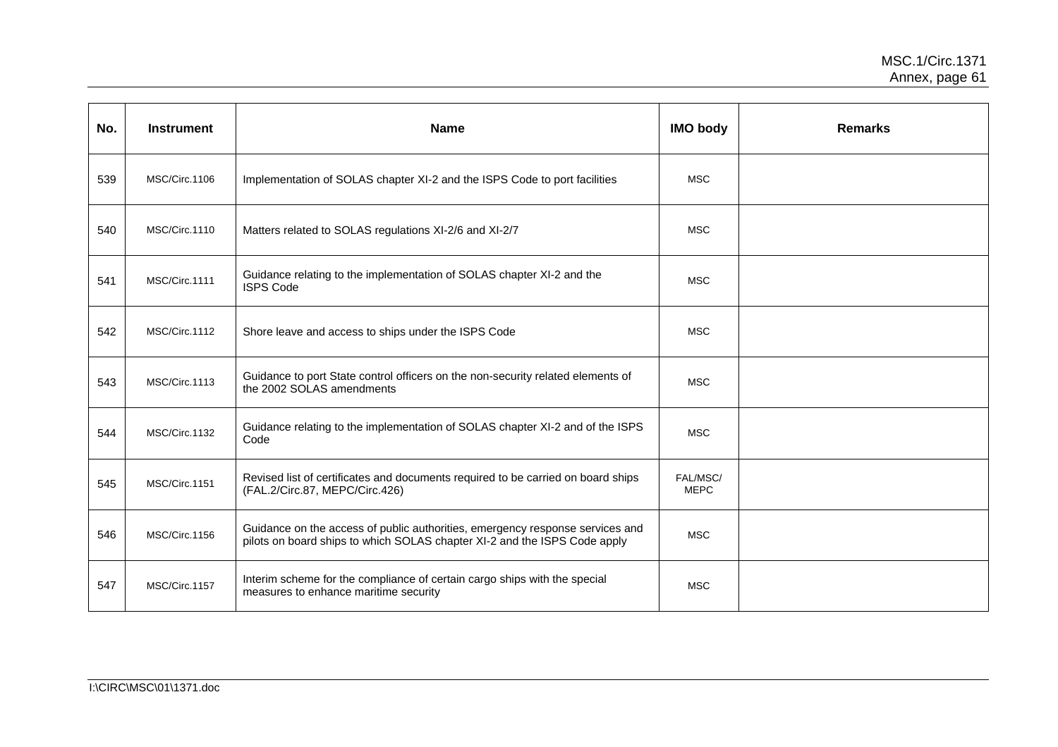| No. | <b>Instrument</b> | <b>Name</b>                                                                                                                                                | <b>IMO body</b>         | <b>Remarks</b> |
|-----|-------------------|------------------------------------------------------------------------------------------------------------------------------------------------------------|-------------------------|----------------|
| 539 | MSC/Circ.1106     | Implementation of SOLAS chapter XI-2 and the ISPS Code to port facilities                                                                                  | <b>MSC</b>              |                |
| 540 | MSC/Circ.1110     | Matters related to SOLAS regulations XI-2/6 and XI-2/7                                                                                                     | <b>MSC</b>              |                |
| 541 | MSC/Circ.1111     | Guidance relating to the implementation of SOLAS chapter XI-2 and the<br><b>ISPS Code</b>                                                                  | <b>MSC</b>              |                |
| 542 | MSC/Circ.1112     | Shore leave and access to ships under the ISPS Code                                                                                                        | <b>MSC</b>              |                |
| 543 | MSC/Circ.1113     | Guidance to port State control officers on the non-security related elements of<br>the 2002 SOLAS amendments                                               | <b>MSC</b>              |                |
| 544 | MSC/Circ.1132     | Guidance relating to the implementation of SOLAS chapter XI-2 and of the ISPS<br>Code                                                                      | <b>MSC</b>              |                |
| 545 | MSC/Circ.1151     | Revised list of certificates and documents required to be carried on board ships<br>(FAL.2/Circ.87, MEPC/Circ.426)                                         | FAL/MSC/<br><b>MEPC</b> |                |
| 546 | MSC/Circ.1156     | Guidance on the access of public authorities, emergency response services and<br>pilots on board ships to which SOLAS chapter XI-2 and the ISPS Code apply | <b>MSC</b>              |                |
| 547 | MSC/Circ.1157     | Interim scheme for the compliance of certain cargo ships with the special<br>measures to enhance maritime security                                         | <b>MSC</b>              |                |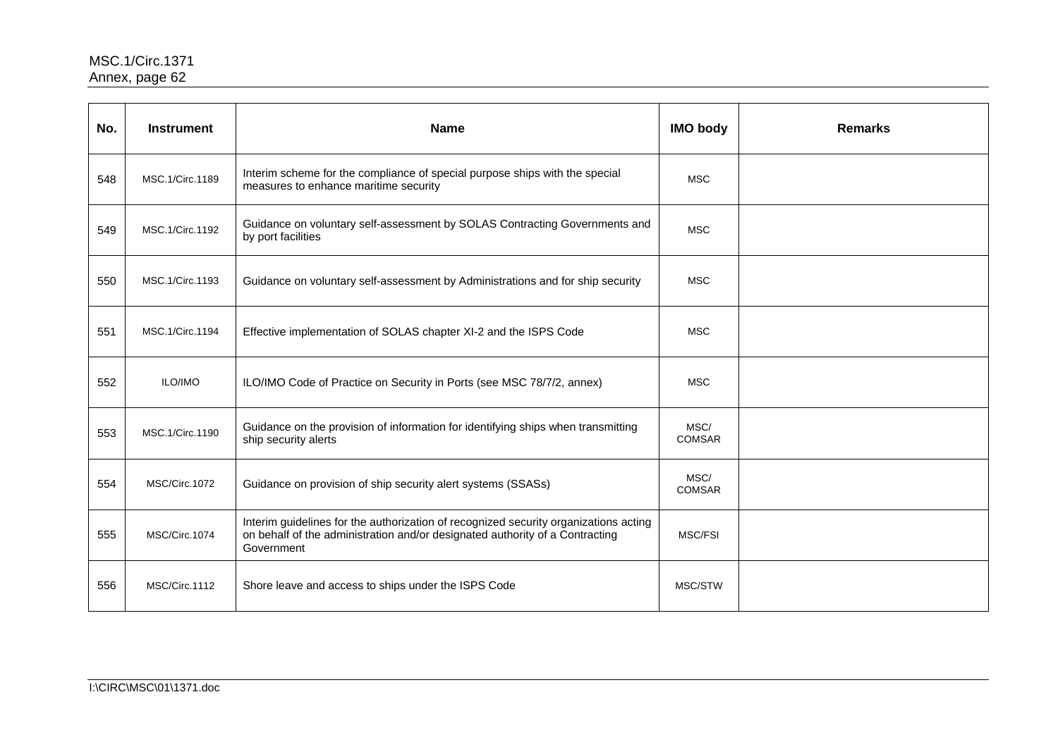| No. | <b>Instrument</b> | <b>Name</b>                                                                                                                                                                        | <b>IMO body</b>       | <b>Remarks</b> |
|-----|-------------------|------------------------------------------------------------------------------------------------------------------------------------------------------------------------------------|-----------------------|----------------|
| 548 | MSC.1/Circ.1189   | Interim scheme for the compliance of special purpose ships with the special<br>measures to enhance maritime security                                                               | <b>MSC</b>            |                |
| 549 | MSC.1/Circ.1192   | Guidance on voluntary self-assessment by SOLAS Contracting Governments and<br>by port facilities                                                                                   | <b>MSC</b>            |                |
| 550 | MSC.1/Circ.1193   | Guidance on voluntary self-assessment by Administrations and for ship security                                                                                                     | <b>MSC</b>            |                |
| 551 | MSC.1/Circ.1194   | Effective implementation of SOLAS chapter XI-2 and the ISPS Code                                                                                                                   | <b>MSC</b>            |                |
| 552 | ILO/IMO           | ILO/IMO Code of Practice on Security in Ports (see MSC 78/7/2, annex)                                                                                                              | <b>MSC</b>            |                |
| 553 | MSC.1/Circ.1190   | Guidance on the provision of information for identifying ships when transmitting<br>ship security alerts                                                                           | MSC/<br><b>COMSAR</b> |                |
| 554 | MSC/Circ.1072     | Guidance on provision of ship security alert systems (SSASs)                                                                                                                       | MSC/<br><b>COMSAR</b> |                |
| 555 | MSC/Circ.1074     | Interim guidelines for the authorization of recognized security organizations acting<br>on behalf of the administration and/or designated authority of a Contracting<br>Government | MSC/FSI               |                |
| 556 | MSC/Circ.1112     | Shore leave and access to ships under the ISPS Code                                                                                                                                | MSC/STW               |                |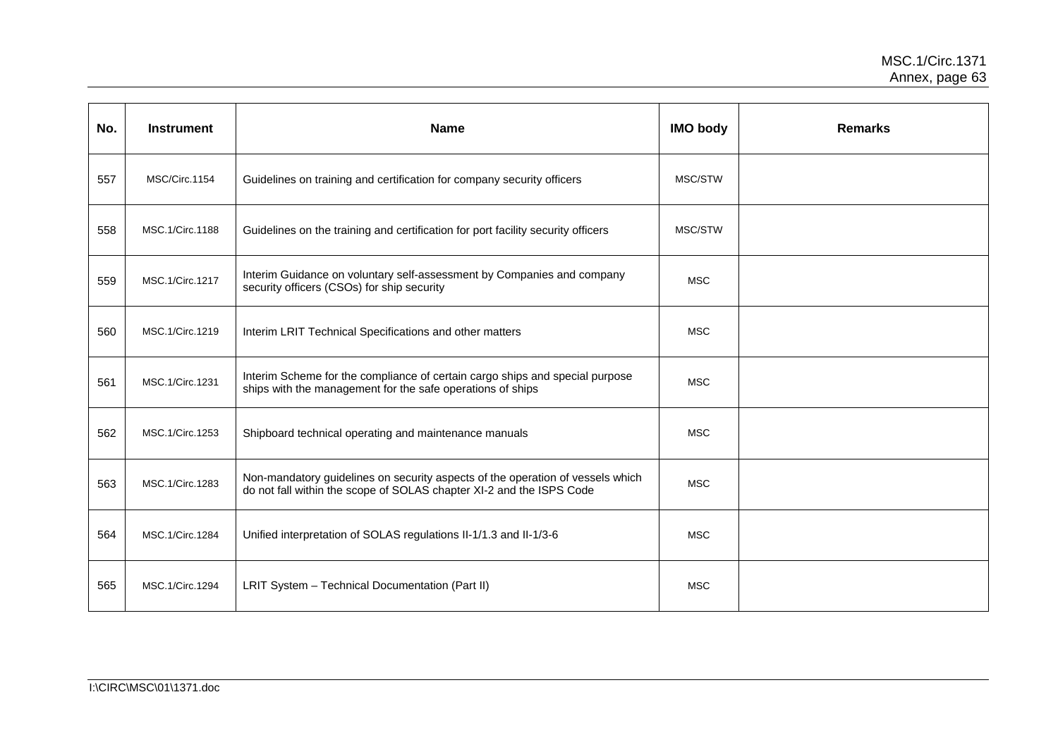| No. | <b>Instrument</b> | <b>Name</b>                                                                                                                                            | <b>IMO body</b> | <b>Remarks</b> |
|-----|-------------------|--------------------------------------------------------------------------------------------------------------------------------------------------------|-----------------|----------------|
| 557 | MSC/Circ.1154     | Guidelines on training and certification for company security officers                                                                                 | MSC/STW         |                |
| 558 | MSC.1/Circ.1188   | Guidelines on the training and certification for port facility security officers                                                                       | MSC/STW         |                |
| 559 | MSC.1/Circ.1217   | Interim Guidance on voluntary self-assessment by Companies and company<br>security officers (CSOs) for ship security                                   | <b>MSC</b>      |                |
| 560 | MSC.1/Circ.1219   | Interim LRIT Technical Specifications and other matters                                                                                                | <b>MSC</b>      |                |
| 561 | MSC.1/Circ.1231   | Interim Scheme for the compliance of certain cargo ships and special purpose<br>ships with the management for the safe operations of ships             | <b>MSC</b>      |                |
| 562 | MSC.1/Circ.1253   | Shipboard technical operating and maintenance manuals                                                                                                  | <b>MSC</b>      |                |
| 563 | MSC.1/Circ.1283   | Non-mandatory guidelines on security aspects of the operation of vessels which<br>do not fall within the scope of SOLAS chapter XI-2 and the ISPS Code | <b>MSC</b>      |                |
| 564 | MSC.1/Circ.1284   | Unified interpretation of SOLAS regulations II-1/1.3 and II-1/3-6                                                                                      | <b>MSC</b>      |                |
| 565 | MSC.1/Circ.1294   | LRIT System - Technical Documentation (Part II)                                                                                                        | <b>MSC</b>      |                |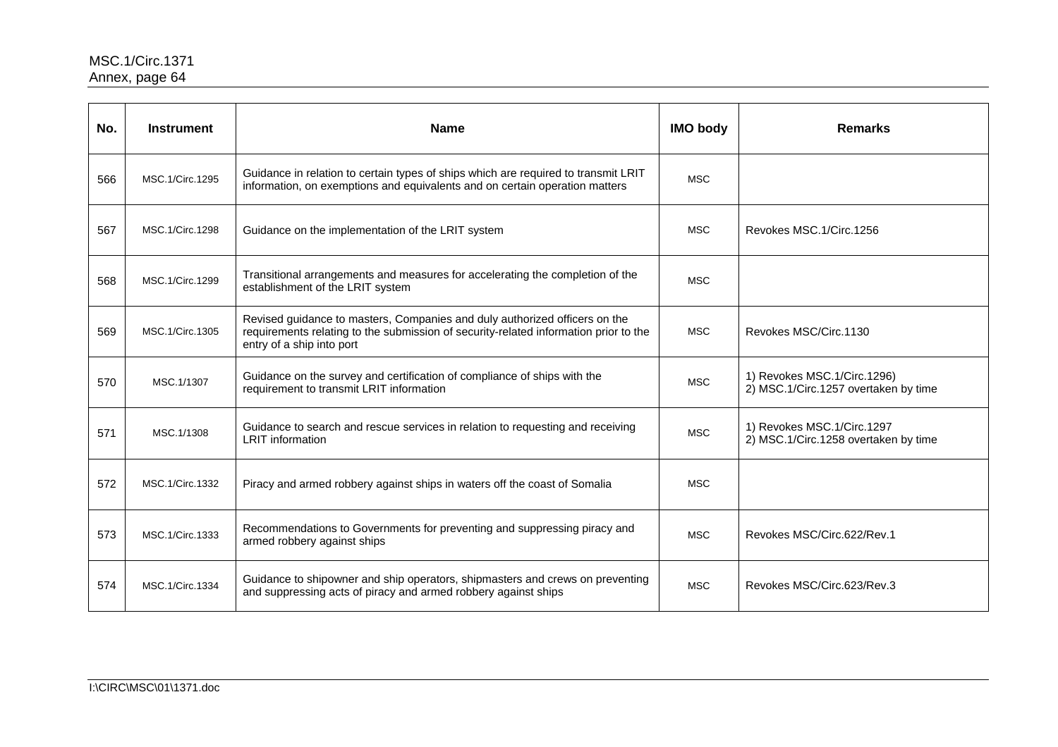| No. | <b>Instrument</b> | <b>Name</b>                                                                                                                                                                                     | <b>IMO body</b> | <b>Remarks</b>                                                      |
|-----|-------------------|-------------------------------------------------------------------------------------------------------------------------------------------------------------------------------------------------|-----------------|---------------------------------------------------------------------|
| 566 | MSC.1/Circ.1295   | Guidance in relation to certain types of ships which are required to transmit LRIT<br>information, on exemptions and equivalents and on certain operation matters                               | <b>MSC</b>      |                                                                     |
| 567 | MSC.1/Circ.1298   | Guidance on the implementation of the LRIT system                                                                                                                                               | <b>MSC</b>      | Revokes MSC.1/Circ.1256                                             |
| 568 | MSC.1/Circ.1299   | Transitional arrangements and measures for accelerating the completion of the<br>establishment of the LRIT system                                                                               | <b>MSC</b>      |                                                                     |
| 569 | MSC.1/Circ.1305   | Revised guidance to masters, Companies and duly authorized officers on the<br>requirements relating to the submission of security-related information prior to the<br>entry of a ship into port | <b>MSC</b>      | Revokes MSC/Circ.1130                                               |
| 570 | MSC.1/1307        | Guidance on the survey and certification of compliance of ships with the<br>requirement to transmit LRIT information                                                                            | <b>MSC</b>      | 1) Revokes MSC.1/Circ.1296)<br>2) MSC.1/Circ.1257 overtaken by time |
| 571 | MSC.1/1308        | Guidance to search and rescue services in relation to requesting and receiving<br><b>LRIT</b> information                                                                                       | <b>MSC</b>      | 1) Revokes MSC.1/Circ.1297<br>2) MSC.1/Circ.1258 overtaken by time  |
| 572 | MSC.1/Circ.1332   | Piracy and armed robbery against ships in waters off the coast of Somalia                                                                                                                       | <b>MSC</b>      |                                                                     |
| 573 | MSC.1/Circ.1333   | Recommendations to Governments for preventing and suppressing piracy and<br>armed robbery against ships                                                                                         | <b>MSC</b>      | Revokes MSC/Circ.622/Rev.1                                          |
| 574 | MSC.1/Circ.1334   | Guidance to shipowner and ship operators, shipmasters and crews on preventing<br>and suppressing acts of piracy and armed robbery against ships                                                 | <b>MSC</b>      | Revokes MSC/Circ.623/Rev.3                                          |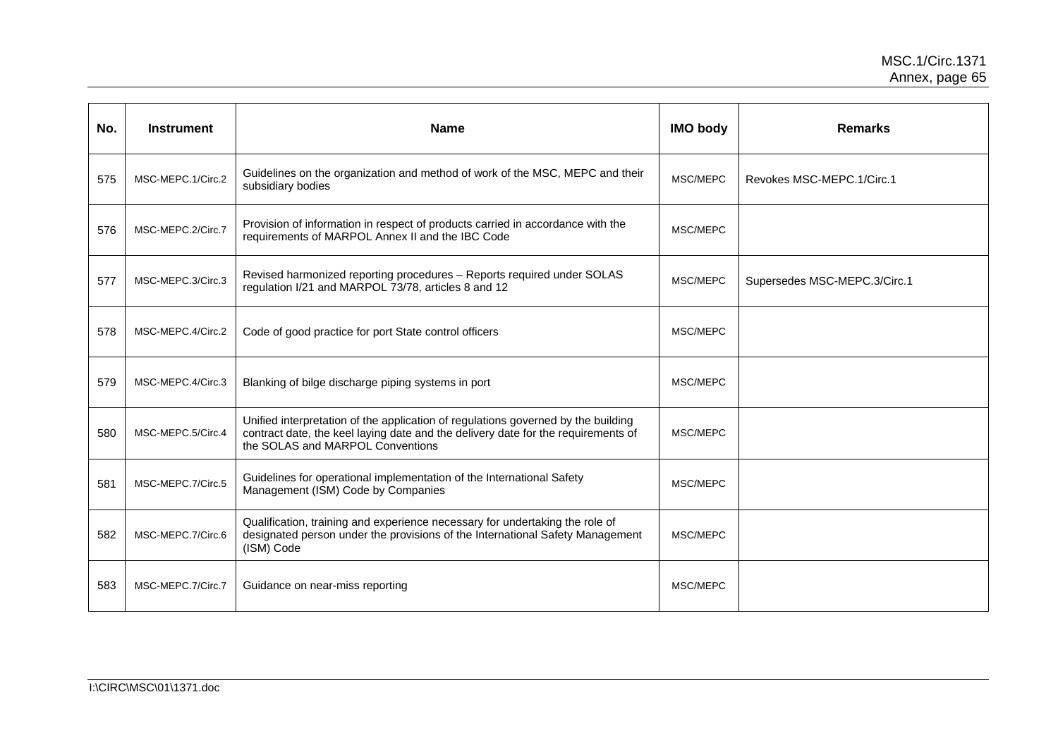| No. | <b>Instrument</b> | <b>Name</b>                                                                                                                                                                                                | <b>IMO body</b> | <b>Remarks</b>               |
|-----|-------------------|------------------------------------------------------------------------------------------------------------------------------------------------------------------------------------------------------------|-----------------|------------------------------|
| 575 | MSC-MEPC.1/Circ.2 | Guidelines on the organization and method of work of the MSC, MEPC and their<br>subsidiary bodies                                                                                                          | MSC/MEPC        | Revokes MSC-MEPC.1/Circ.1    |
| 576 | MSC-MEPC.2/Circ.7 | Provision of information in respect of products carried in accordance with the<br>requirements of MARPOL Annex II and the IBC Code                                                                         | MSC/MEPC        |                              |
| 577 | MSC-MEPC.3/Circ.3 | Revised harmonized reporting procedures - Reports required under SOLAS<br>regulation I/21 and MARPOL 73/78, articles 8 and 12                                                                              | MSC/MEPC        | Supersedes MSC-MEPC.3/Circ.1 |
| 578 | MSC-MEPC.4/Circ.2 | Code of good practice for port State control officers                                                                                                                                                      | MSC/MEPC        |                              |
| 579 | MSC-MEPC.4/Circ.3 | Blanking of bilge discharge piping systems in port                                                                                                                                                         | MSC/MEPC        |                              |
| 580 | MSC-MEPC.5/Circ.4 | Unified interpretation of the application of regulations governed by the building<br>contract date, the keel laying date and the delivery date for the requirements of<br>the SOLAS and MARPOL Conventions | MSC/MEPC        |                              |
| 581 | MSC-MEPC.7/Circ.5 | Guidelines for operational implementation of the International Safety<br>Management (ISM) Code by Companies                                                                                                | MSC/MEPC        |                              |
| 582 | MSC-MEPC.7/Circ.6 | Qualification, training and experience necessary for undertaking the role of<br>designated person under the provisions of the International Safety Management<br>(ISM) Code                                | MSC/MEPC        |                              |
| 583 | MSC-MEPC.7/Circ.7 | Guidance on near-miss reporting                                                                                                                                                                            | MSC/MEPC        |                              |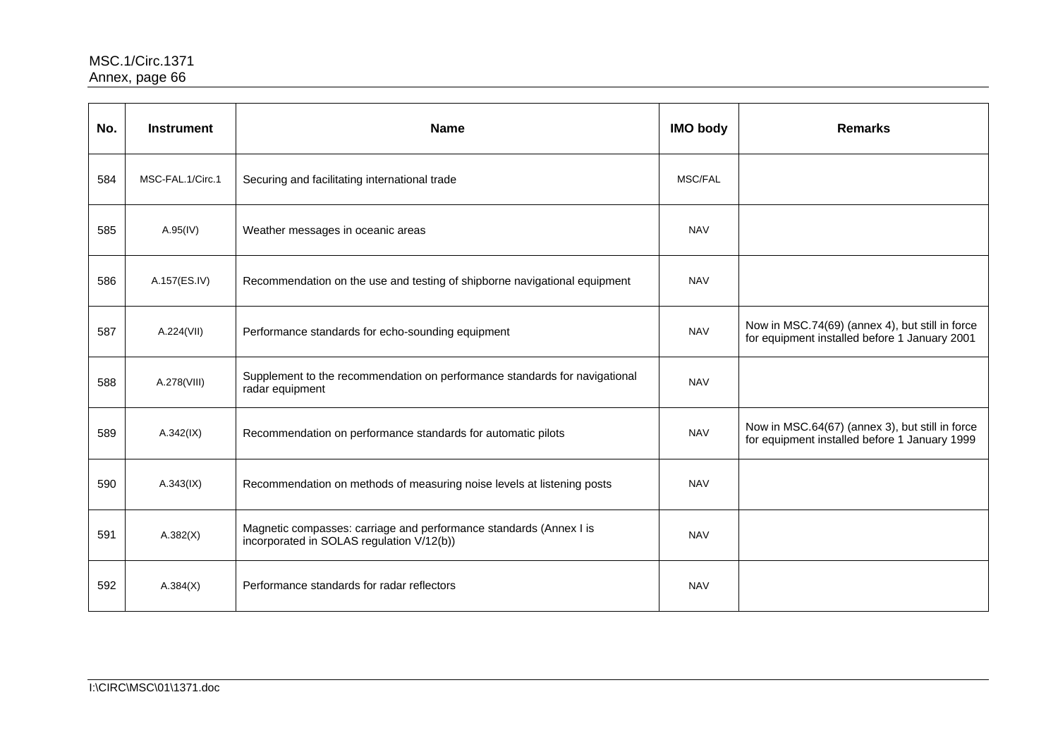| No. | <b>Instrument</b> | <b>Name</b>                                                                                                     | <b>IMO body</b> | <b>Remarks</b>                                                                                   |
|-----|-------------------|-----------------------------------------------------------------------------------------------------------------|-----------------|--------------------------------------------------------------------------------------------------|
| 584 | MSC-FAL.1/Circ.1  | Securing and facilitating international trade                                                                   | MSC/FAL         |                                                                                                  |
| 585 | A.95(IV)          | Weather messages in oceanic areas                                                                               | <b>NAV</b>      |                                                                                                  |
| 586 | A.157(ES.IV)      | Recommendation on the use and testing of shipborne navigational equipment                                       | <b>NAV</b>      |                                                                                                  |
| 587 | A.224(VII)        | Performance standards for echo-sounding equipment                                                               | <b>NAV</b>      | Now in MSC.74(69) (annex 4), but still in force<br>for equipment installed before 1 January 2001 |
| 588 | A.278(VIII)       | Supplement to the recommendation on performance standards for navigational<br>radar equipment                   | <b>NAV</b>      |                                                                                                  |
| 589 | A.342(IX)         | Recommendation on performance standards for automatic pilots                                                    | <b>NAV</b>      | Now in MSC.64(67) (annex 3), but still in force<br>for equipment installed before 1 January 1999 |
| 590 | A.343(IX)         | Recommendation on methods of measuring noise levels at listening posts                                          | <b>NAV</b>      |                                                                                                  |
| 591 | A.382(X)          | Magnetic compasses: carriage and performance standards (Annex I is<br>incorporated in SOLAS regulation V/12(b)) | <b>NAV</b>      |                                                                                                  |
| 592 | A.384(X)          | Performance standards for radar reflectors                                                                      | <b>NAV</b>      |                                                                                                  |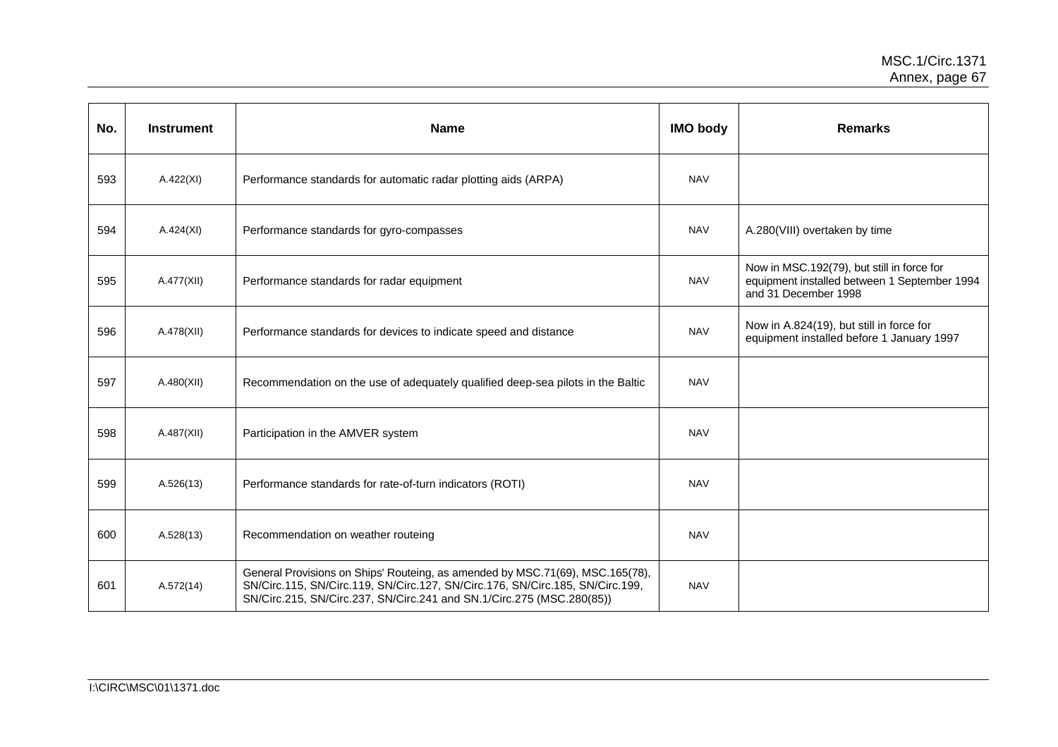| No. | <b>Instrument</b> | <b>Name</b>                                                                                                                                                                                                                             | <b>IMO body</b> | <b>Remarks</b>                                                                                                     |
|-----|-------------------|-----------------------------------------------------------------------------------------------------------------------------------------------------------------------------------------------------------------------------------------|-----------------|--------------------------------------------------------------------------------------------------------------------|
| 593 | A.422(XI)         | Performance standards for automatic radar plotting aids (ARPA)                                                                                                                                                                          | <b>NAV</b>      |                                                                                                                    |
| 594 | A.424(XI)         | Performance standards for gyro-compasses                                                                                                                                                                                                | <b>NAV</b>      | A.280(VIII) overtaken by time                                                                                      |
| 595 | A.477(XII)        | Performance standards for radar equipment                                                                                                                                                                                               | <b>NAV</b>      | Now in MSC.192(79), but still in force for<br>equipment installed between 1 September 1994<br>and 31 December 1998 |
| 596 | A.478(XII)        | Performance standards for devices to indicate speed and distance                                                                                                                                                                        | <b>NAV</b>      | Now in A.824(19), but still in force for<br>equipment installed before 1 January 1997                              |
| 597 | A.480(XII)        | Recommendation on the use of adequately qualified deep-sea pilots in the Baltic                                                                                                                                                         | <b>NAV</b>      |                                                                                                                    |
| 598 | A.487(XII)        | Participation in the AMVER system                                                                                                                                                                                                       | <b>NAV</b>      |                                                                                                                    |
| 599 | A.526(13)         | Performance standards for rate-of-turn indicators (ROTI)                                                                                                                                                                                | <b>NAV</b>      |                                                                                                                    |
| 600 | A.528(13)         | Recommendation on weather routeing                                                                                                                                                                                                      | <b>NAV</b>      |                                                                                                                    |
| 601 | A.572(14)         | General Provisions on Ships' Routeing, as amended by MSC.71(69), MSC.165(78),<br>SN/Circ.115, SN/Circ.119, SN/Circ.127, SN/Circ.176, SN/Circ.185, SN/Circ.199,<br>SN/Circ.215, SN/Circ.237, SN/Circ.241 and SN.1/Circ.275 (MSC.280(85)) | <b>NAV</b>      |                                                                                                                    |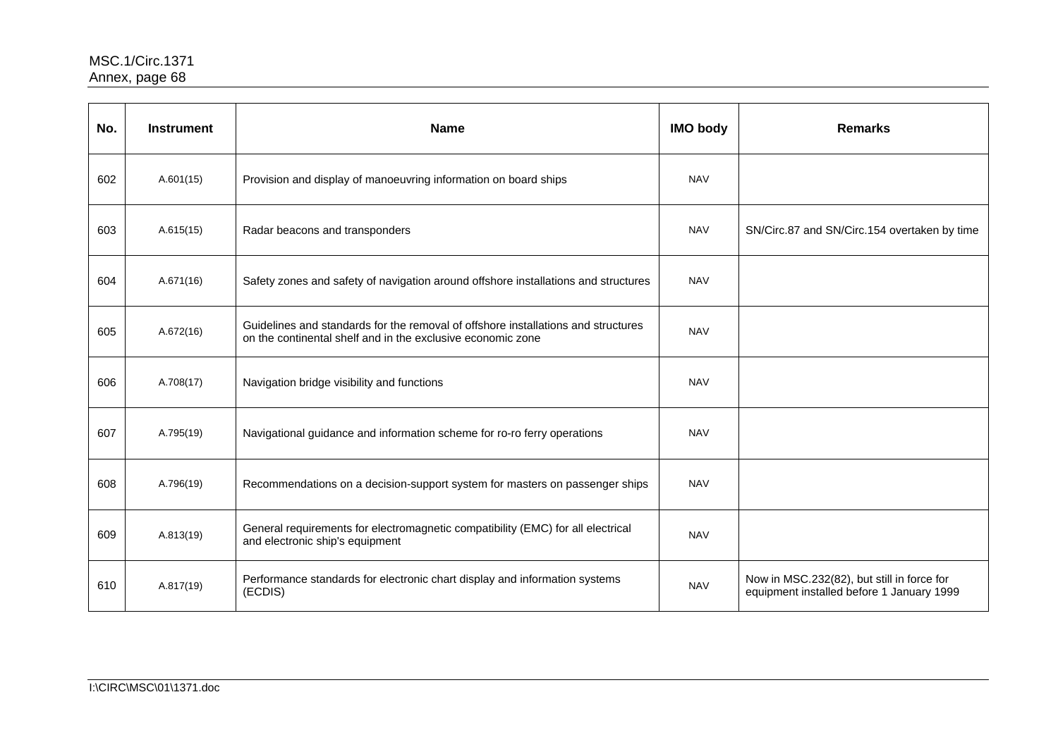| No. | <b>Instrument</b> | <b>Name</b>                                                                                                                                      | <b>IMO body</b> | <b>Remarks</b>                                                                          |
|-----|-------------------|--------------------------------------------------------------------------------------------------------------------------------------------------|-----------------|-----------------------------------------------------------------------------------------|
| 602 | A.601(15)         | Provision and display of manoeuvring information on board ships                                                                                  | <b>NAV</b>      |                                                                                         |
| 603 | A.615(15)         | Radar beacons and transponders                                                                                                                   | <b>NAV</b>      | SN/Circ.87 and SN/Circ.154 overtaken by time                                            |
| 604 | A.671(16)         | Safety zones and safety of navigation around offshore installations and structures                                                               | <b>NAV</b>      |                                                                                         |
| 605 | A.672(16)         | Guidelines and standards for the removal of offshore installations and structures<br>on the continental shelf and in the exclusive economic zone | <b>NAV</b>      |                                                                                         |
| 606 | A.708(17)         | Navigation bridge visibility and functions                                                                                                       | <b>NAV</b>      |                                                                                         |
| 607 | A.795(19)         | Navigational guidance and information scheme for ro-ro ferry operations                                                                          | <b>NAV</b>      |                                                                                         |
| 608 | A.796(19)         | Recommendations on a decision-support system for masters on passenger ships                                                                      | <b>NAV</b>      |                                                                                         |
| 609 | A.813(19)         | General requirements for electromagnetic compatibility (EMC) for all electrical<br>and electronic ship's equipment                               | <b>NAV</b>      |                                                                                         |
| 610 | A.817(19)         | Performance standards for electronic chart display and information systems<br>(ECDIS)                                                            | <b>NAV</b>      | Now in MSC.232(82), but still in force for<br>equipment installed before 1 January 1999 |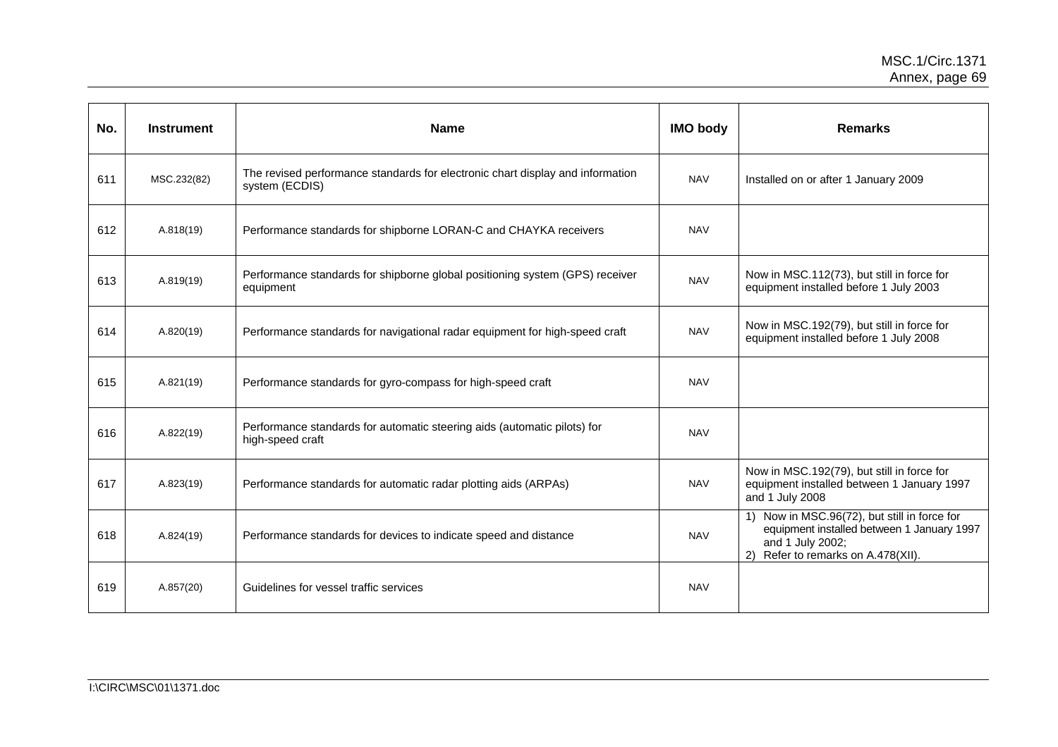| No. | <b>Instrument</b> | <b>Name</b>                                                                                      | <b>IMO body</b> | <b>Remarks</b>                                                                                                                                       |
|-----|-------------------|--------------------------------------------------------------------------------------------------|-----------------|------------------------------------------------------------------------------------------------------------------------------------------------------|
| 611 | MSC.232(82)       | The revised performance standards for electronic chart display and information<br>system (ECDIS) | <b>NAV</b>      | Installed on or after 1 January 2009                                                                                                                 |
| 612 | A.818(19)         | Performance standards for shipborne LORAN-C and CHAYKA receivers                                 | <b>NAV</b>      |                                                                                                                                                      |
| 613 | A.819(19)         | Performance standards for shipborne global positioning system (GPS) receiver<br>equipment        | <b>NAV</b>      | Now in MSC.112(73), but still in force for<br>equipment installed before 1 July 2003                                                                 |
| 614 | A.820(19)         | Performance standards for navigational radar equipment for high-speed craft                      | <b>NAV</b>      | Now in MSC.192(79), but still in force for<br>equipment installed before 1 July 2008                                                                 |
| 615 | A.821(19)         | Performance standards for gyro-compass for high-speed craft                                      | <b>NAV</b>      |                                                                                                                                                      |
| 616 | A.822(19)         | Performance standards for automatic steering aids (automatic pilots) for<br>high-speed craft     | <b>NAV</b>      |                                                                                                                                                      |
| 617 | A.823(19)         | Performance standards for automatic radar plotting aids (ARPAs)                                  | <b>NAV</b>      | Now in MSC.192(79), but still in force for<br>equipment installed between 1 January 1997<br>and 1 July 2008                                          |
| 618 | A.824(19)         | Performance standards for devices to indicate speed and distance                                 | <b>NAV</b>      | 1) Now in MSC.96(72), but still in force for<br>equipment installed between 1 January 1997<br>and 1 July 2002;<br>2) Refer to remarks on A.478(XII). |
| 619 | A.857(20)         | Guidelines for vessel traffic services                                                           | <b>NAV</b>      |                                                                                                                                                      |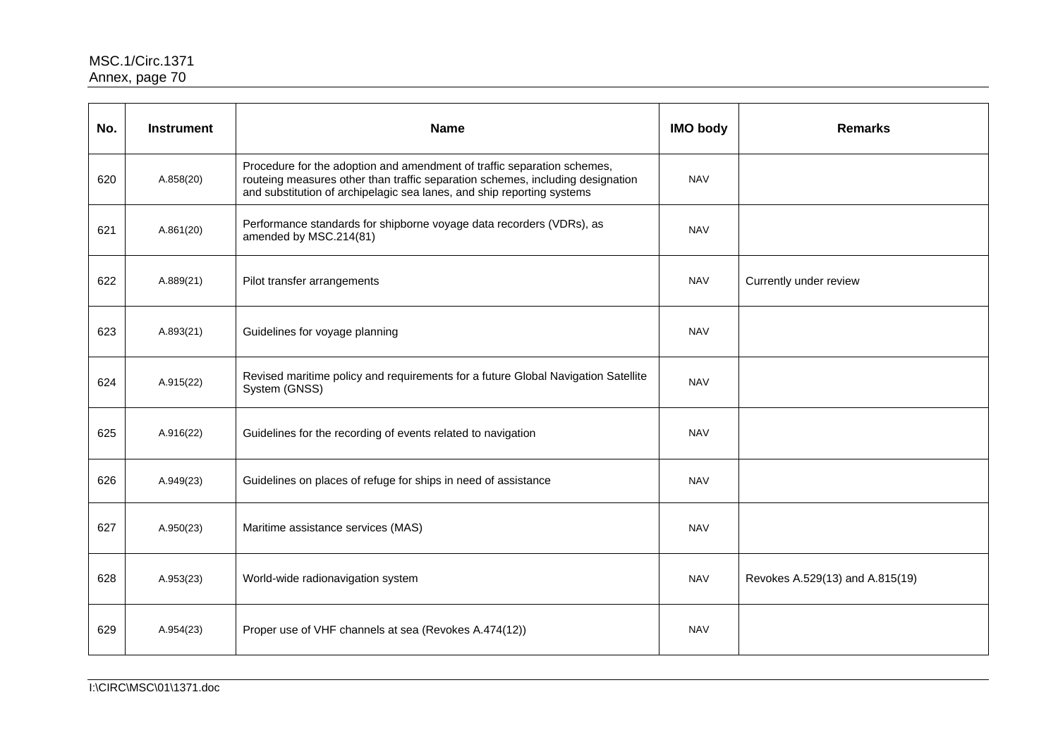| No. | <b>Instrument</b> | <b>Name</b>                                                                                                                                                                                                                         | <b>IMO body</b> | <b>Remarks</b>                  |
|-----|-------------------|-------------------------------------------------------------------------------------------------------------------------------------------------------------------------------------------------------------------------------------|-----------------|---------------------------------|
| 620 | A.858(20)         | Procedure for the adoption and amendment of traffic separation schemes,<br>routeing measures other than traffic separation schemes, including designation<br>and substitution of archipelagic sea lanes, and ship reporting systems | <b>NAV</b>      |                                 |
| 621 | A.861(20)         | Performance standards for shipborne voyage data recorders (VDRs), as<br>amended by MSC.214(81)                                                                                                                                      | <b>NAV</b>      |                                 |
| 622 | A.889(21)         | Pilot transfer arrangements                                                                                                                                                                                                         | <b>NAV</b>      | Currently under review          |
| 623 | A.893(21)         | Guidelines for voyage planning                                                                                                                                                                                                      | <b>NAV</b>      |                                 |
| 624 | A.915(22)         | Revised maritime policy and requirements for a future Global Navigation Satellite<br>System (GNSS)                                                                                                                                  | <b>NAV</b>      |                                 |
| 625 | A.916(22)         | Guidelines for the recording of events related to navigation                                                                                                                                                                        | <b>NAV</b>      |                                 |
| 626 | A.949(23)         | Guidelines on places of refuge for ships in need of assistance                                                                                                                                                                      | <b>NAV</b>      |                                 |
| 627 | A.950(23)         | Maritime assistance services (MAS)                                                                                                                                                                                                  | <b>NAV</b>      |                                 |
| 628 | A.953(23)         | World-wide radionavigation system                                                                                                                                                                                                   | <b>NAV</b>      | Revokes A.529(13) and A.815(19) |
| 629 | A.954(23)         | Proper use of VHF channels at sea (Revokes A.474(12))                                                                                                                                                                               | <b>NAV</b>      |                                 |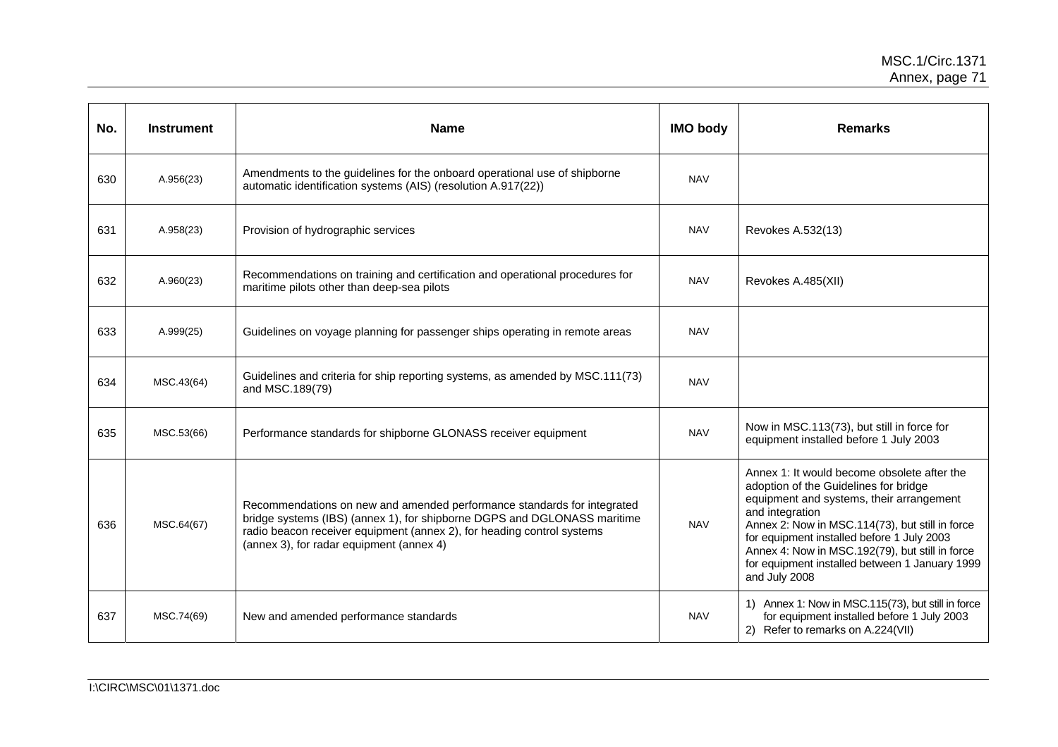| No. | <b>Instrument</b> | <b>Name</b>                                                                                                                                                                                                                                                               | <b>IMO body</b> | <b>Remarks</b>                                                                                                                                                                                                                                                                                                                                                             |
|-----|-------------------|---------------------------------------------------------------------------------------------------------------------------------------------------------------------------------------------------------------------------------------------------------------------------|-----------------|----------------------------------------------------------------------------------------------------------------------------------------------------------------------------------------------------------------------------------------------------------------------------------------------------------------------------------------------------------------------------|
| 630 | A.956(23)         | Amendments to the guidelines for the onboard operational use of shipborne<br>automatic identification systems (AIS) (resolution A.917(22))                                                                                                                                | <b>NAV</b>      |                                                                                                                                                                                                                                                                                                                                                                            |
| 631 | A.958(23)         | Provision of hydrographic services                                                                                                                                                                                                                                        | <b>NAV</b>      | Revokes A.532(13)                                                                                                                                                                                                                                                                                                                                                          |
| 632 | A.960(23)         | Recommendations on training and certification and operational procedures for<br>maritime pilots other than deep-sea pilots                                                                                                                                                | <b>NAV</b>      | Revokes A.485(XII)                                                                                                                                                                                                                                                                                                                                                         |
| 633 | A.999(25)         | Guidelines on voyage planning for passenger ships operating in remote areas                                                                                                                                                                                               | <b>NAV</b>      |                                                                                                                                                                                                                                                                                                                                                                            |
| 634 | MSC.43(64)        | Guidelines and criteria for ship reporting systems, as amended by MSC.111(73)<br>and MSC.189(79)                                                                                                                                                                          | <b>NAV</b>      |                                                                                                                                                                                                                                                                                                                                                                            |
| 635 | MSC.53(66)        | Performance standards for shipborne GLONASS receiver equipment                                                                                                                                                                                                            | <b>NAV</b>      | Now in MSC.113(73), but still in force for<br>equipment installed before 1 July 2003                                                                                                                                                                                                                                                                                       |
| 636 | MSC.64(67)        | Recommendations on new and amended performance standards for integrated<br>bridge systems (IBS) (annex 1), for shipborne DGPS and DGLONASS maritime<br>radio beacon receiver equipment (annex 2), for heading control systems<br>(annex 3), for radar equipment (annex 4) | <b>NAV</b>      | Annex 1: It would become obsolete after the<br>adoption of the Guidelines for bridge<br>equipment and systems, their arrangement<br>and integration<br>Annex 2: Now in MSC.114(73), but still in force<br>for equipment installed before 1 July 2003<br>Annex 4: Now in MSC.192(79), but still in force<br>for equipment installed between 1 January 1999<br>and July 2008 |
| 637 | MSC.74(69)        | New and amended performance standards                                                                                                                                                                                                                                     | <b>NAV</b>      | 1) Annex 1: Now in MSC.115(73), but still in force<br>for equipment installed before 1 July 2003<br>2) Refer to remarks on A.224(VII)                                                                                                                                                                                                                                      |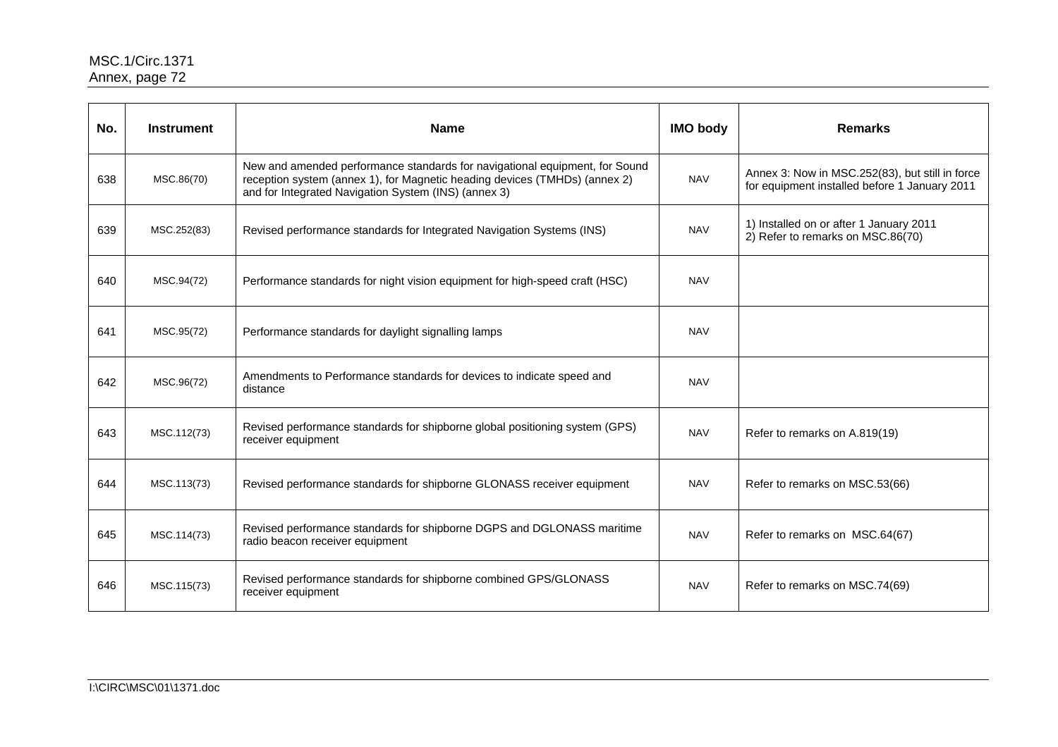| No. | <b>Instrument</b> | <b>Name</b>                                                                                                                                                                                                       | <b>IMO body</b> | <b>Remarks</b>                                                                                   |
|-----|-------------------|-------------------------------------------------------------------------------------------------------------------------------------------------------------------------------------------------------------------|-----------------|--------------------------------------------------------------------------------------------------|
| 638 | MSC.86(70)        | New and amended performance standards for navigational equipment, for Sound<br>reception system (annex 1), for Magnetic heading devices (TMHDs) (annex 2)<br>and for Integrated Navigation System (INS) (annex 3) | <b>NAV</b>      | Annex 3: Now in MSC.252(83), but still in force<br>for equipment installed before 1 January 2011 |
| 639 | MSC.252(83)       | Revised performance standards for Integrated Navigation Systems (INS)                                                                                                                                             | <b>NAV</b>      | 1) Installed on or after 1 January 2011<br>2) Refer to remarks on MSC.86(70)                     |
| 640 | MSC.94(72)        | Performance standards for night vision equipment for high-speed craft (HSC)                                                                                                                                       | <b>NAV</b>      |                                                                                                  |
| 641 | MSC.95(72)        | Performance standards for daylight signalling lamps                                                                                                                                                               | <b>NAV</b>      |                                                                                                  |
| 642 | MSC.96(72)        | Amendments to Performance standards for devices to indicate speed and<br>distance                                                                                                                                 | <b>NAV</b>      |                                                                                                  |
| 643 | MSC.112(73)       | Revised performance standards for shipborne global positioning system (GPS)<br>receiver equipment                                                                                                                 | <b>NAV</b>      | Refer to remarks on A.819(19)                                                                    |
| 644 | MSC.113(73)       | Revised performance standards for shipborne GLONASS receiver equipment                                                                                                                                            | <b>NAV</b>      | Refer to remarks on MSC.53(66)                                                                   |
| 645 | MSC.114(73)       | Revised performance standards for shipborne DGPS and DGLONASS maritime<br>radio beacon receiver equipment                                                                                                         | <b>NAV</b>      | Refer to remarks on MSC.64(67)                                                                   |
| 646 | MSC.115(73)       | Revised performance standards for shipborne combined GPS/GLONASS<br>receiver equipment                                                                                                                            | <b>NAV</b>      | Refer to remarks on MSC.74(69)                                                                   |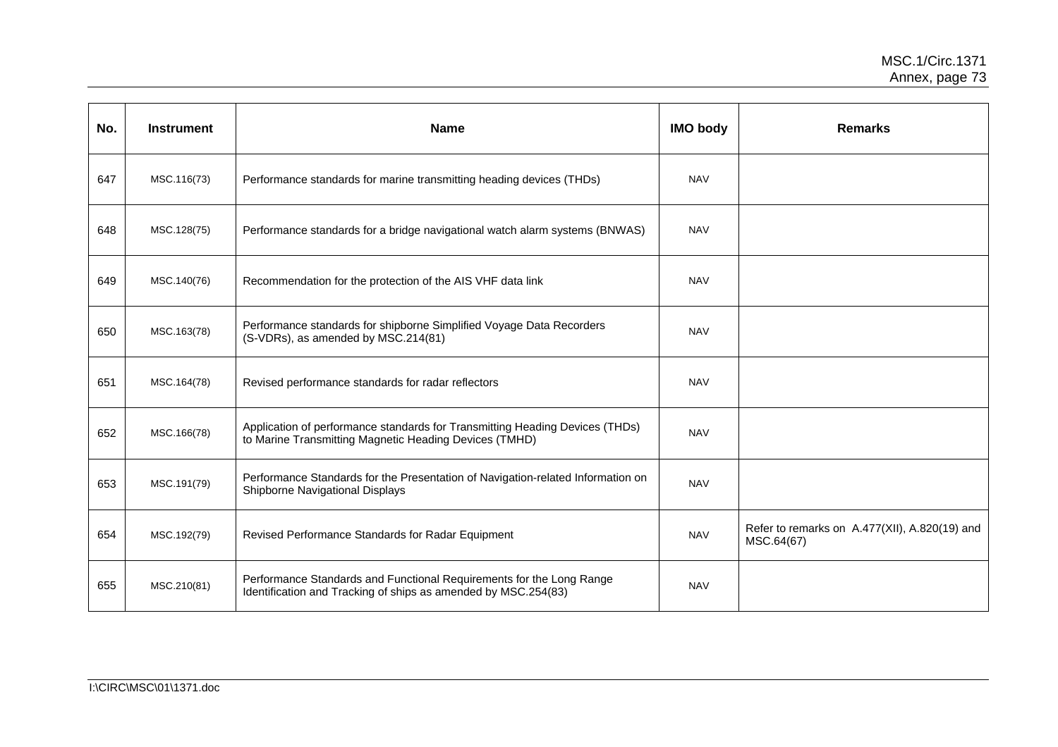| No. | <b>Instrument</b> | <b>Name</b>                                                                                                                            | <b>IMO body</b> | <b>Remarks</b>                                              |
|-----|-------------------|----------------------------------------------------------------------------------------------------------------------------------------|-----------------|-------------------------------------------------------------|
| 647 | MSC.116(73)       | Performance standards for marine transmitting heading devices (THDs)                                                                   | <b>NAV</b>      |                                                             |
| 648 | MSC.128(75)       | Performance standards for a bridge navigational watch alarm systems (BNWAS)                                                            | <b>NAV</b>      |                                                             |
| 649 | MSC.140(76)       | Recommendation for the protection of the AIS VHF data link                                                                             | <b>NAV</b>      |                                                             |
| 650 | MSC.163(78)       | Performance standards for shipborne Simplified Voyage Data Recorders<br>(S-VDRs), as amended by MSC.214(81)                            | <b>NAV</b>      |                                                             |
| 651 | MSC.164(78)       | Revised performance standards for radar reflectors                                                                                     | <b>NAV</b>      |                                                             |
| 652 | MSC.166(78)       | Application of performance standards for Transmitting Heading Devices (THDs)<br>to Marine Transmitting Magnetic Heading Devices (TMHD) | <b>NAV</b>      |                                                             |
| 653 | MSC.191(79)       | Performance Standards for the Presentation of Navigation-related Information on<br>Shipborne Navigational Displays                     | <b>NAV</b>      |                                                             |
| 654 | MSC.192(79)       | Revised Performance Standards for Radar Equipment                                                                                      | <b>NAV</b>      | Refer to remarks on A.477(XII), A.820(19) and<br>MSC.64(67) |
| 655 | MSC.210(81)       | Performance Standards and Functional Requirements for the Long Range<br>Identification and Tracking of ships as amended by MSC.254(83) | <b>NAV</b>      |                                                             |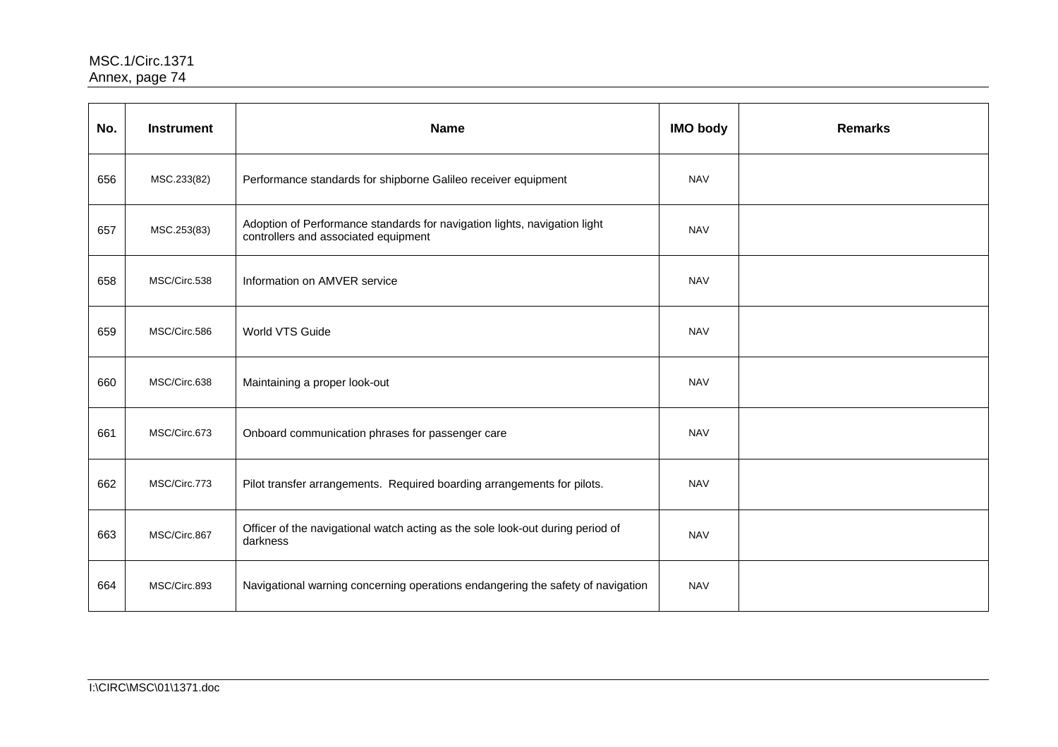| No. | <b>Instrument</b> | <b>Name</b>                                                                                                       | <b>IMO body</b> | <b>Remarks</b> |
|-----|-------------------|-------------------------------------------------------------------------------------------------------------------|-----------------|----------------|
| 656 | MSC.233(82)       | Performance standards for shipborne Galileo receiver equipment                                                    | <b>NAV</b>      |                |
| 657 | MSC.253(83)       | Adoption of Performance standards for navigation lights, navigation light<br>controllers and associated equipment | <b>NAV</b>      |                |
| 658 | MSC/Circ.538      | Information on AMVER service                                                                                      | <b>NAV</b>      |                |
| 659 | MSC/Circ.586      | World VTS Guide                                                                                                   | <b>NAV</b>      |                |
| 660 | MSC/Circ.638      | Maintaining a proper look-out                                                                                     | <b>NAV</b>      |                |
| 661 | MSC/Circ.673      | Onboard communication phrases for passenger care                                                                  | <b>NAV</b>      |                |
| 662 | MSC/Circ.773      | Pilot transfer arrangements. Required boarding arrangements for pilots.                                           | <b>NAV</b>      |                |
| 663 | MSC/Circ.867      | Officer of the navigational watch acting as the sole look-out during period of<br>darkness                        | <b>NAV</b>      |                |
| 664 | MSC/Circ.893      | Navigational warning concerning operations endangering the safety of navigation                                   | <b>NAV</b>      |                |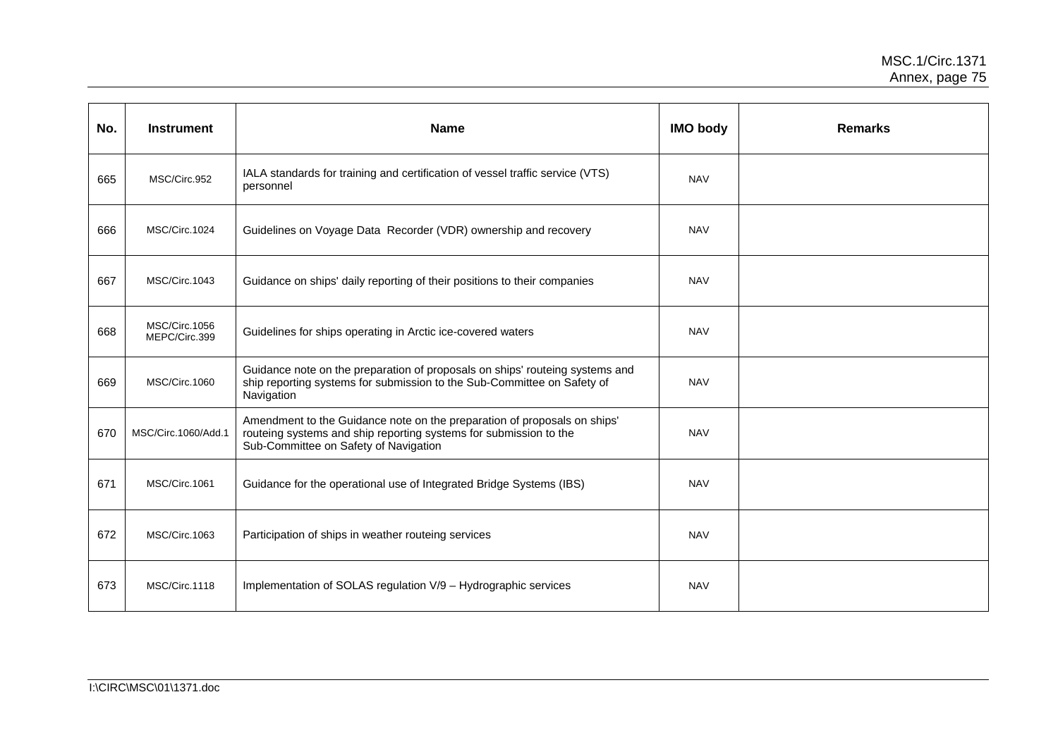| No. | <b>Instrument</b>              | <b>Name</b>                                                                                                                                                                            | <b>IMO body</b> | <b>Remarks</b> |
|-----|--------------------------------|----------------------------------------------------------------------------------------------------------------------------------------------------------------------------------------|-----------------|----------------|
| 665 | MSC/Circ.952                   | IALA standards for training and certification of vessel traffic service (VTS)<br>personnel                                                                                             | <b>NAV</b>      |                |
| 666 | MSC/Circ.1024                  | Guidelines on Voyage Data Recorder (VDR) ownership and recovery                                                                                                                        | <b>NAV</b>      |                |
| 667 | MSC/Circ.1043                  | Guidance on ships' daily reporting of their positions to their companies                                                                                                               | <b>NAV</b>      |                |
| 668 | MSC/Circ.1056<br>MEPC/Circ.399 | Guidelines for ships operating in Arctic ice-covered waters                                                                                                                            | <b>NAV</b>      |                |
| 669 | MSC/Circ.1060                  | Guidance note on the preparation of proposals on ships' routeing systems and<br>ship reporting systems for submission to the Sub-Committee on Safety of<br>Navigation                  | <b>NAV</b>      |                |
| 670 | MSC/Circ.1060/Add.1            | Amendment to the Guidance note on the preparation of proposals on ships'<br>routeing systems and ship reporting systems for submission to the<br>Sub-Committee on Safety of Navigation | <b>NAV</b>      |                |
| 671 | MSC/Circ.1061                  | Guidance for the operational use of Integrated Bridge Systems (IBS)                                                                                                                    | <b>NAV</b>      |                |
| 672 | MSC/Circ.1063                  | Participation of ships in weather routeing services                                                                                                                                    | <b>NAV</b>      |                |
| 673 | MSC/Circ.1118                  | Implementation of SOLAS regulation V/9 - Hydrographic services                                                                                                                         | <b>NAV</b>      |                |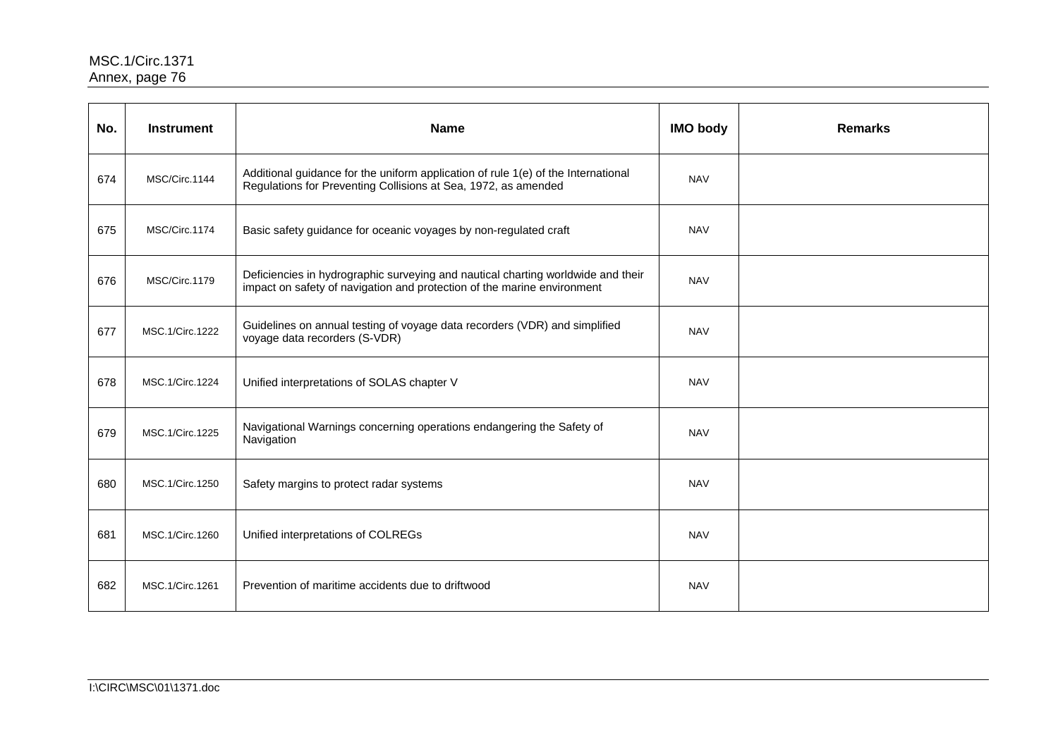| No. | <b>Instrument</b> | <b>Name</b>                                                                                                                                                 | <b>IMO body</b> | <b>Remarks</b> |
|-----|-------------------|-------------------------------------------------------------------------------------------------------------------------------------------------------------|-----------------|----------------|
| 674 | MSC/Circ.1144     | Additional guidance for the uniform application of rule 1(e) of the International<br>Regulations for Preventing Collisions at Sea, 1972, as amended         | <b>NAV</b>      |                |
| 675 | MSC/Circ.1174     | Basic safety guidance for oceanic voyages by non-regulated craft                                                                                            | <b>NAV</b>      |                |
| 676 | MSC/Circ.1179     | Deficiencies in hydrographic surveying and nautical charting worldwide and their<br>impact on safety of navigation and protection of the marine environment | <b>NAV</b>      |                |
| 677 | MSC.1/Circ.1222   | Guidelines on annual testing of voyage data recorders (VDR) and simplified<br>voyage data recorders (S-VDR)                                                 | <b>NAV</b>      |                |
| 678 | MSC.1/Circ.1224   | Unified interpretations of SOLAS chapter V                                                                                                                  | <b>NAV</b>      |                |
| 679 | MSC.1/Circ.1225   | Navigational Warnings concerning operations endangering the Safety of<br>Navigation                                                                         | <b>NAV</b>      |                |
| 680 | MSC.1/Circ.1250   | Safety margins to protect radar systems                                                                                                                     | <b>NAV</b>      |                |
| 681 | MSC.1/Circ.1260   | Unified interpretations of COLREGs                                                                                                                          | <b>NAV</b>      |                |
| 682 | MSC.1/Circ.1261   | Prevention of maritime accidents due to driftwood                                                                                                           | <b>NAV</b>      |                |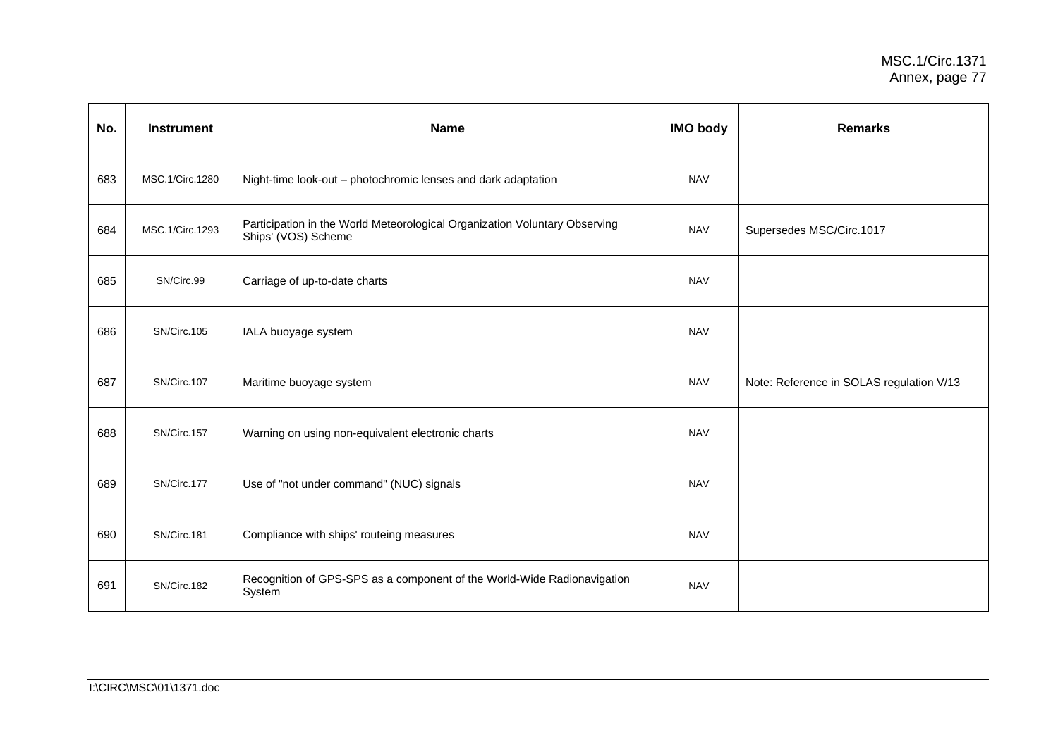| No. | <b>Instrument</b> | <b>Name</b>                                                                                       | <b>IMO body</b> | <b>Remarks</b>                           |
|-----|-------------------|---------------------------------------------------------------------------------------------------|-----------------|------------------------------------------|
| 683 | MSC.1/Circ.1280   | Night-time look-out - photochromic lenses and dark adaptation                                     | <b>NAV</b>      |                                          |
| 684 | MSC.1/Circ.1293   | Participation in the World Meteorological Organization Voluntary Observing<br>Ships' (VOS) Scheme | <b>NAV</b>      | Supersedes MSC/Circ.1017                 |
| 685 | SN/Circ.99        | Carriage of up-to-date charts                                                                     | <b>NAV</b>      |                                          |
| 686 | SN/Circ.105       | IALA buoyage system                                                                               | <b>NAV</b>      |                                          |
| 687 | SN/Circ.107       | Maritime buoyage system                                                                           | <b>NAV</b>      | Note: Reference in SOLAS regulation V/13 |
| 688 | SN/Circ.157       | Warning on using non-equivalent electronic charts                                                 | <b>NAV</b>      |                                          |
| 689 | SN/Circ.177       | Use of "not under command" (NUC) signals                                                          | <b>NAV</b>      |                                          |
| 690 | SN/Circ.181       | Compliance with ships' routeing measures                                                          | <b>NAV</b>      |                                          |
| 691 | SN/Circ.182       | Recognition of GPS-SPS as a component of the World-Wide Radionavigation<br>System                 | <b>NAV</b>      |                                          |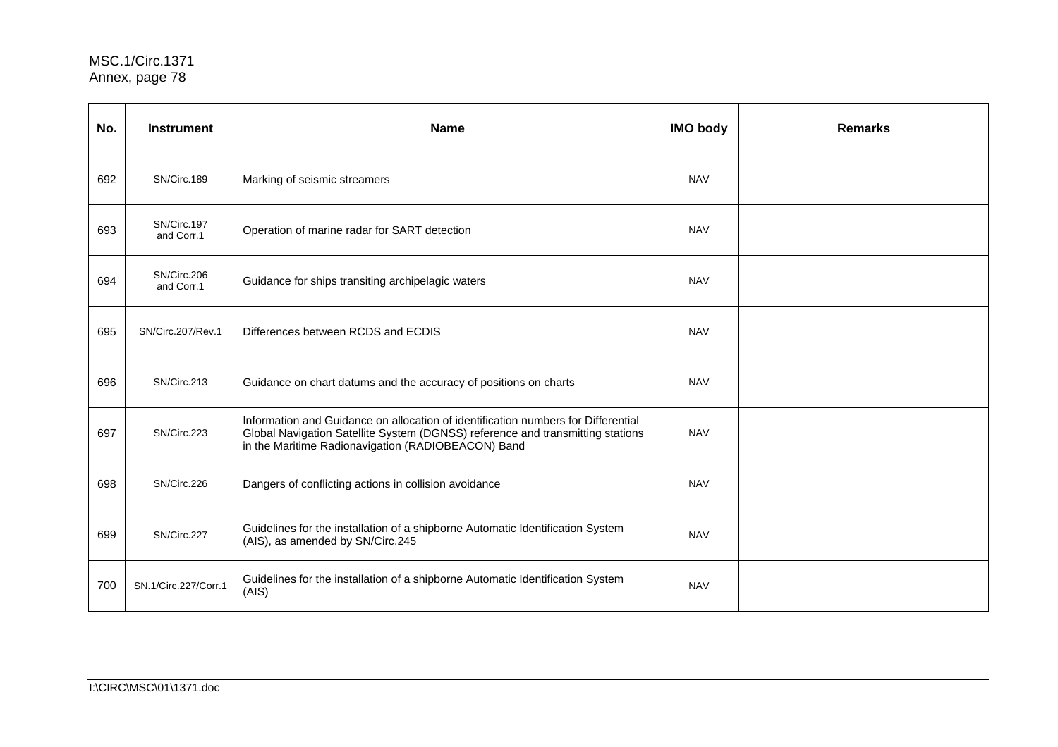| No. | <b>Instrument</b>         | <b>Name</b>                                                                                                                                                                                                               | <b>IMO body</b> | <b>Remarks</b> |
|-----|---------------------------|---------------------------------------------------------------------------------------------------------------------------------------------------------------------------------------------------------------------------|-----------------|----------------|
| 692 | SN/Circ.189               | Marking of seismic streamers                                                                                                                                                                                              | <b>NAV</b>      |                |
| 693 | SN/Circ.197<br>and Corr.1 | Operation of marine radar for SART detection                                                                                                                                                                              | <b>NAV</b>      |                |
| 694 | SN/Circ.206<br>and Corr.1 | Guidance for ships transiting archipelagic waters                                                                                                                                                                         | <b>NAV</b>      |                |
| 695 | SN/Circ.207/Rev.1         | Differences between RCDS and ECDIS                                                                                                                                                                                        | <b>NAV</b>      |                |
| 696 | SN/Circ.213               | Guidance on chart datums and the accuracy of positions on charts                                                                                                                                                          | <b>NAV</b>      |                |
| 697 | SN/Circ.223               | Information and Guidance on allocation of identification numbers for Differential<br>Global Navigation Satellite System (DGNSS) reference and transmitting stations<br>in the Maritime Radionavigation (RADIOBEACON) Band | <b>NAV</b>      |                |
| 698 | SN/Circ.226               | Dangers of conflicting actions in collision avoidance                                                                                                                                                                     | <b>NAV</b>      |                |
| 699 | SN/Circ.227               | Guidelines for the installation of a shipborne Automatic Identification System<br>(AIS), as amended by SN/Circ.245                                                                                                        | <b>NAV</b>      |                |
| 700 | SN.1/Circ.227/Corr.1      | Guidelines for the installation of a shipborne Automatic Identification System<br>(AIS)                                                                                                                                   | <b>NAV</b>      |                |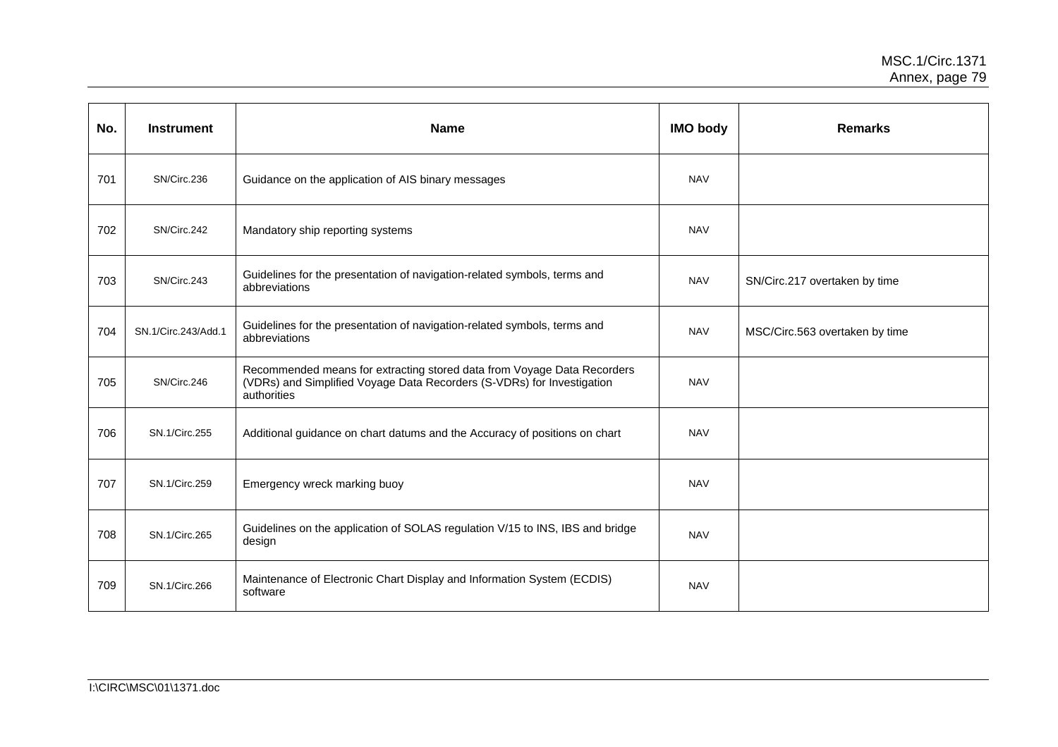| No. | <b>Instrument</b>   | <b>Name</b>                                                                                                                                                      | <b>IMO body</b> | <b>Remarks</b>                 |
|-----|---------------------|------------------------------------------------------------------------------------------------------------------------------------------------------------------|-----------------|--------------------------------|
| 701 | SN/Circ.236         | Guidance on the application of AIS binary messages                                                                                                               | <b>NAV</b>      |                                |
| 702 | SN/Circ.242         | Mandatory ship reporting systems                                                                                                                                 | <b>NAV</b>      |                                |
| 703 | SN/Circ.243         | Guidelines for the presentation of navigation-related symbols, terms and<br>abbreviations                                                                        | <b>NAV</b>      | SN/Circ.217 overtaken by time  |
| 704 | SN.1/Circ.243/Add.1 | Guidelines for the presentation of navigation-related symbols, terms and<br>abbreviations                                                                        | <b>NAV</b>      | MSC/Circ.563 overtaken by time |
| 705 | SN/Circ.246         | Recommended means for extracting stored data from Voyage Data Recorders<br>(VDRs) and Simplified Voyage Data Recorders (S-VDRs) for Investigation<br>authorities | <b>NAV</b>      |                                |
| 706 | SN.1/Circ.255       | Additional guidance on chart datums and the Accuracy of positions on chart                                                                                       | <b>NAV</b>      |                                |
| 707 | SN.1/Circ.259       | Emergency wreck marking buoy                                                                                                                                     | <b>NAV</b>      |                                |
| 708 | SN.1/Circ.265       | Guidelines on the application of SOLAS regulation V/15 to INS, IBS and bridge<br>design                                                                          | <b>NAV</b>      |                                |
| 709 | SN.1/Circ.266       | Maintenance of Electronic Chart Display and Information System (ECDIS)<br>software                                                                               | <b>NAV</b>      |                                |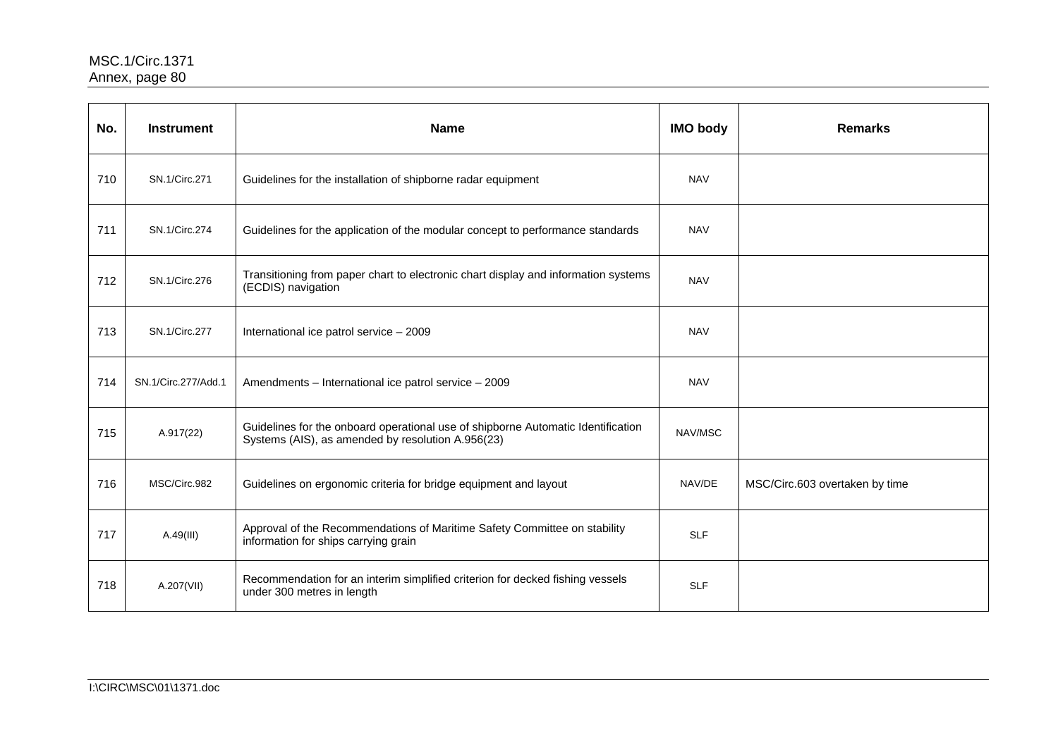| No. | <b>Instrument</b>   | <b>Name</b>                                                                                                                           | <b>IMO body</b> | <b>Remarks</b>                 |
|-----|---------------------|---------------------------------------------------------------------------------------------------------------------------------------|-----------------|--------------------------------|
| 710 | SN.1/Circ.271       | Guidelines for the installation of shipborne radar equipment                                                                          | <b>NAV</b>      |                                |
| 711 | SN.1/Circ.274       | Guidelines for the application of the modular concept to performance standards                                                        | <b>NAV</b>      |                                |
| 712 | SN.1/Circ.276       | Transitioning from paper chart to electronic chart display and information systems<br>(ECDIS) navigation                              | <b>NAV</b>      |                                |
| 713 | SN.1/Circ.277       | International ice patrol service - 2009                                                                                               | <b>NAV</b>      |                                |
| 714 | SN.1/Circ.277/Add.1 | Amendments - International ice patrol service - 2009                                                                                  | <b>NAV</b>      |                                |
| 715 | A.917(22)           | Guidelines for the onboard operational use of shipborne Automatic Identification<br>Systems (AIS), as amended by resolution A.956(23) | NAV/MSC         |                                |
| 716 | MSC/Circ.982        | Guidelines on ergonomic criteria for bridge equipment and layout                                                                      | NAV/DE          | MSC/Circ.603 overtaken by time |
| 717 | A.49(III)           | Approval of the Recommendations of Maritime Safety Committee on stability<br>information for ships carrying grain                     | <b>SLF</b>      |                                |
| 718 | A.207(VII)          | Recommendation for an interim simplified criterion for decked fishing vessels<br>under 300 metres in length                           | <b>SLF</b>      |                                |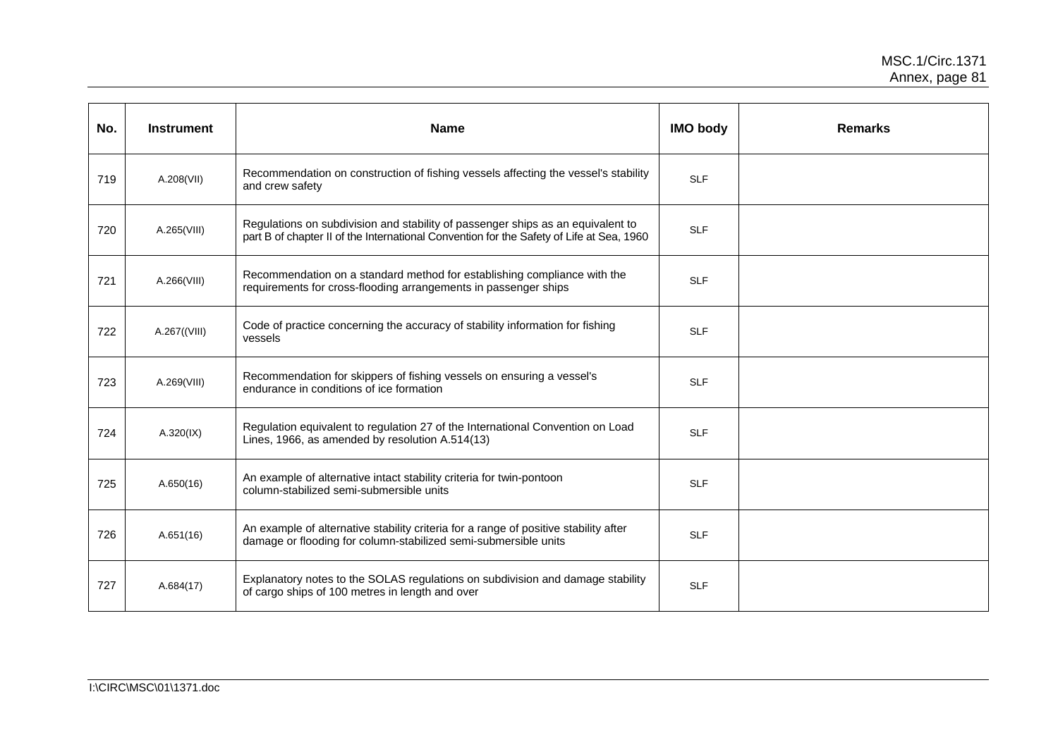| No. | <b>Instrument</b> | <b>Name</b>                                                                                                                                                                 | <b>IMO body</b> | <b>Remarks</b> |
|-----|-------------------|-----------------------------------------------------------------------------------------------------------------------------------------------------------------------------|-----------------|----------------|
| 719 | A.208(VII)        | Recommendation on construction of fishing vessels affecting the vessel's stability<br>and crew safety                                                                       | <b>SLF</b>      |                |
| 720 | A.265(VIII)       | Regulations on subdivision and stability of passenger ships as an equivalent to<br>part B of chapter II of the International Convention for the Safety of Life at Sea, 1960 | <b>SLF</b>      |                |
| 721 | A.266(VIII)       | Recommendation on a standard method for establishing compliance with the<br>requirements for cross-flooding arrangements in passenger ships                                 | <b>SLF</b>      |                |
| 722 | A.267((VIII)      | Code of practice concerning the accuracy of stability information for fishing<br>vessels                                                                                    | <b>SLF</b>      |                |
| 723 | A.269(VIII)       | Recommendation for skippers of fishing vessels on ensuring a vessel's<br>endurance in conditions of ice formation                                                           | <b>SLF</b>      |                |
| 724 | A.320(IX)         | Regulation equivalent to regulation 27 of the International Convention on Load<br>Lines, 1966, as amended by resolution A.514(13)                                           | <b>SLF</b>      |                |
| 725 | A.650(16)         | An example of alternative intact stability criteria for twin-pontoon<br>column-stabilized semi-submersible units                                                            | <b>SLF</b>      |                |
| 726 | A.651(16)         | An example of alternative stability criteria for a range of positive stability after<br>damage or flooding for column-stabilized semi-submersible units                     | <b>SLF</b>      |                |
| 727 | A.684(17)         | Explanatory notes to the SOLAS regulations on subdivision and damage stability<br>of cargo ships of 100 metres in length and over                                           | <b>SLF</b>      |                |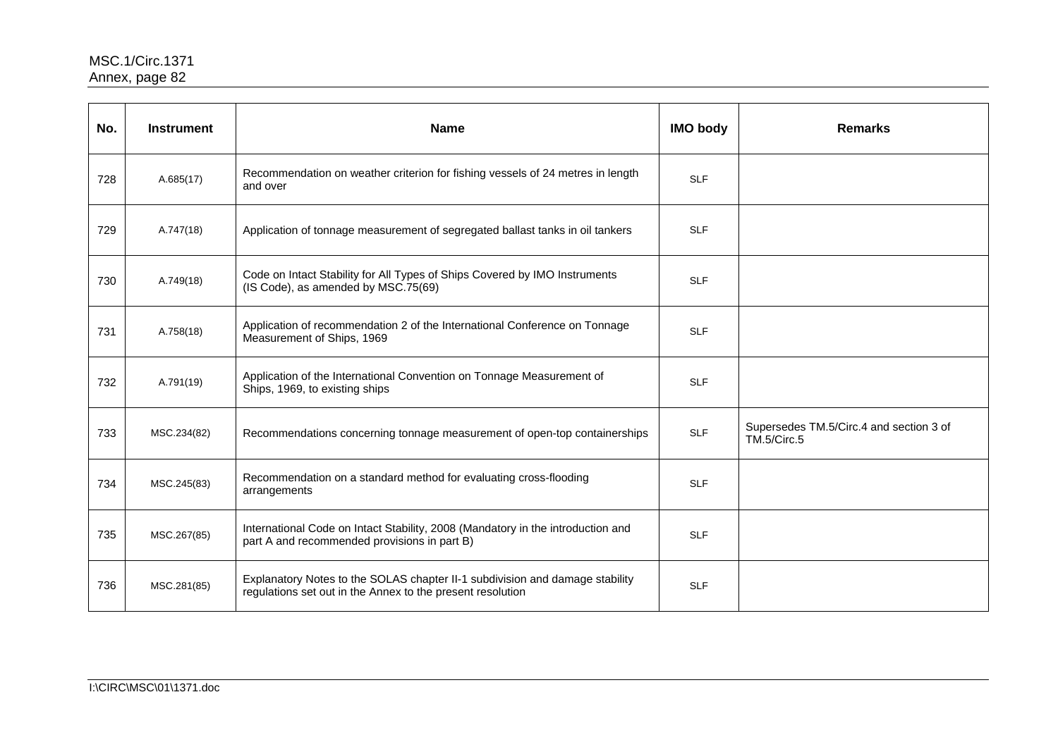| No. | <b>Instrument</b> | <b>Name</b>                                                                                                                                | <b>IMO body</b> | <b>Remarks</b>                                         |
|-----|-------------------|--------------------------------------------------------------------------------------------------------------------------------------------|-----------------|--------------------------------------------------------|
| 728 | A.685(17)         | Recommendation on weather criterion for fishing vessels of 24 metres in length<br>and over                                                 | <b>SLF</b>      |                                                        |
| 729 | A.747(18)         | Application of tonnage measurement of segregated ballast tanks in oil tankers                                                              | <b>SLF</b>      |                                                        |
| 730 | A.749(18)         | Code on Intact Stability for All Types of Ships Covered by IMO Instruments<br>(IS Code), as amended by MSC.75(69)                          | <b>SLF</b>      |                                                        |
| 731 | A.758(18)         | Application of recommendation 2 of the International Conference on Tonnage<br>Measurement of Ships, 1969                                   | <b>SLF</b>      |                                                        |
| 732 | A.791(19)         | Application of the International Convention on Tonnage Measurement of<br>Ships, 1969, to existing ships                                    | <b>SLF</b>      |                                                        |
| 733 | MSC.234(82)       | Recommendations concerning tonnage measurement of open-top containerships                                                                  | <b>SLF</b>      | Supersedes TM.5/Circ.4 and section 3 of<br>TM.5/Circ.5 |
| 734 | MSC.245(83)       | Recommendation on a standard method for evaluating cross-flooding<br>arrangements                                                          | <b>SLF</b>      |                                                        |
| 735 | MSC.267(85)       | International Code on Intact Stability, 2008 (Mandatory in the introduction and<br>part A and recommended provisions in part B)            | <b>SLF</b>      |                                                        |
| 736 | MSC.281(85)       | Explanatory Notes to the SOLAS chapter II-1 subdivision and damage stability<br>regulations set out in the Annex to the present resolution | <b>SLF</b>      |                                                        |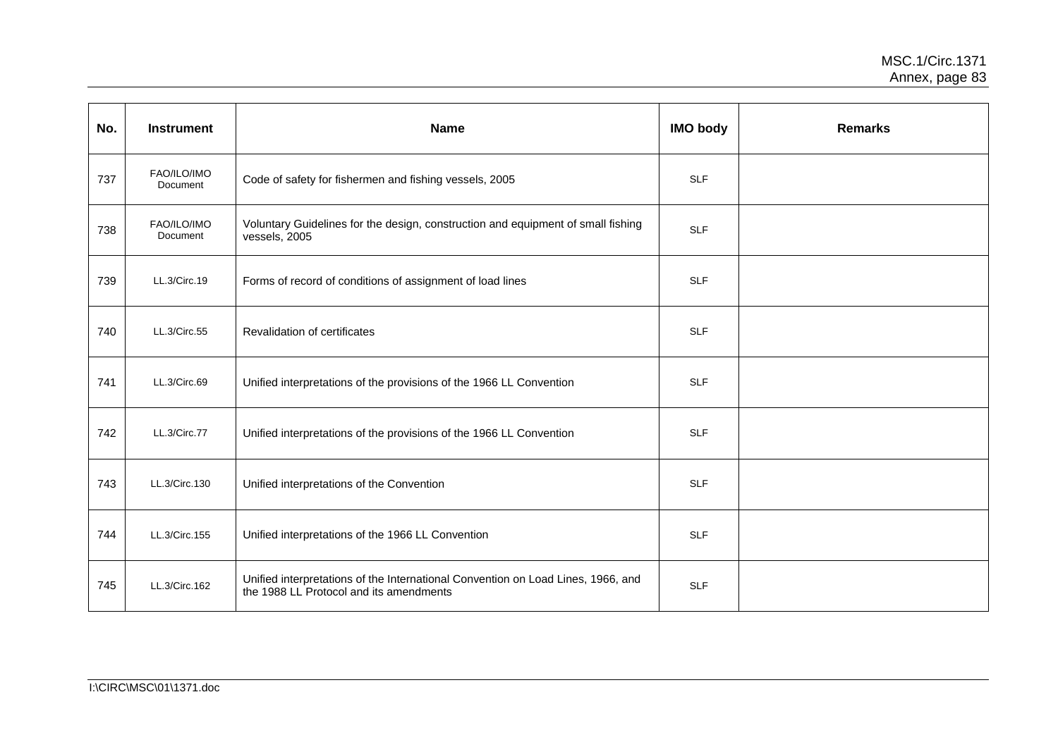| No. | <b>Instrument</b>       | <b>Name</b>                                                                                                                 | <b>IMO body</b> | <b>Remarks</b> |
|-----|-------------------------|-----------------------------------------------------------------------------------------------------------------------------|-----------------|----------------|
| 737 | FAO/ILO/IMO<br>Document | Code of safety for fishermen and fishing vessels, 2005                                                                      | <b>SLF</b>      |                |
| 738 | FAO/ILO/IMO<br>Document | Voluntary Guidelines for the design, construction and equipment of small fishing<br>vessels, 2005                           | <b>SLF</b>      |                |
| 739 | LL.3/Circ.19            | Forms of record of conditions of assignment of load lines                                                                   | <b>SLF</b>      |                |
| 740 | LL.3/Circ.55            | Revalidation of certificates                                                                                                | <b>SLF</b>      |                |
| 741 | LL.3/Circ.69            | Unified interpretations of the provisions of the 1966 LL Convention                                                         | <b>SLF</b>      |                |
| 742 | LL.3/Circ.77            | Unified interpretations of the provisions of the 1966 LL Convention                                                         | <b>SLF</b>      |                |
| 743 | LL.3/Circ.130           | Unified interpretations of the Convention                                                                                   | <b>SLF</b>      |                |
| 744 | LL.3/Circ.155           | Unified interpretations of the 1966 LL Convention                                                                           | <b>SLF</b>      |                |
| 745 | LL.3/Circ.162           | Unified interpretations of the International Convention on Load Lines, 1966, and<br>the 1988 LL Protocol and its amendments | <b>SLF</b>      |                |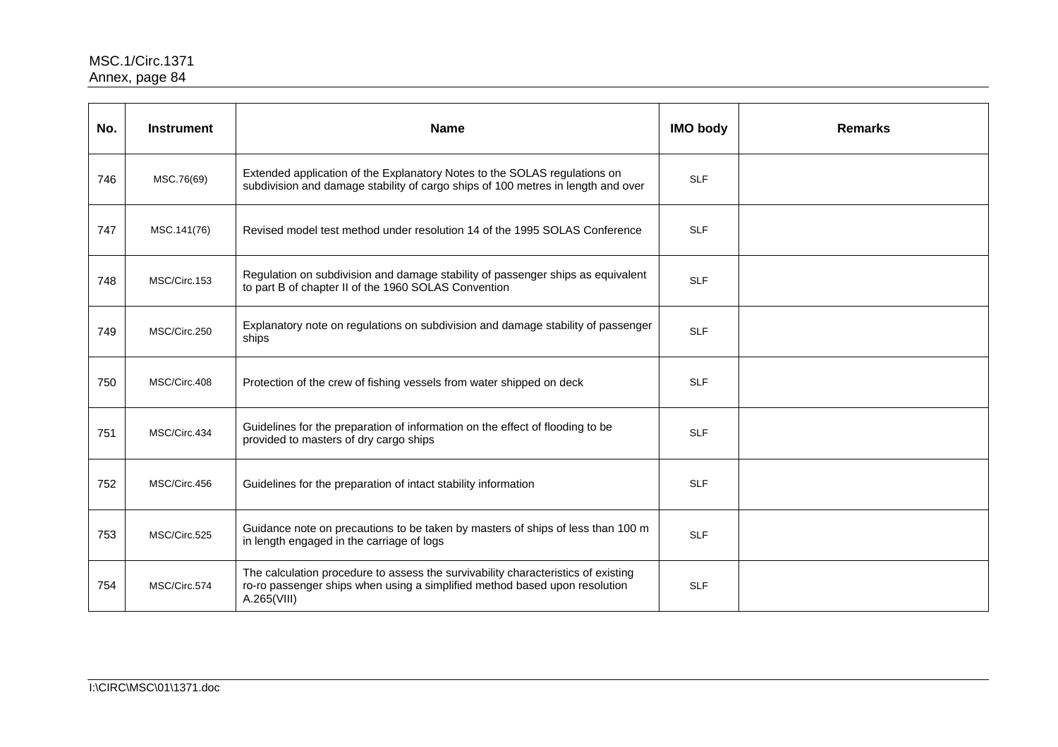| No. | <b>Instrument</b> | <b>Name</b>                                                                                                                                                                    | <b>IMO body</b> | <b>Remarks</b> |
|-----|-------------------|--------------------------------------------------------------------------------------------------------------------------------------------------------------------------------|-----------------|----------------|
| 746 | MSC.76(69)        | Extended application of the Explanatory Notes to the SOLAS regulations on<br>subdivision and damage stability of cargo ships of 100 metres in length and over                  | <b>SLF</b>      |                |
| 747 | MSC.141(76)       | Revised model test method under resolution 14 of the 1995 SOLAS Conference                                                                                                     | <b>SLF</b>      |                |
| 748 | MSC/Circ.153      | Regulation on subdivision and damage stability of passenger ships as equivalent<br>to part B of chapter II of the 1960 SOLAS Convention                                        | <b>SLF</b>      |                |
| 749 | MSC/Circ.250      | Explanatory note on regulations on subdivision and damage stability of passenger<br>ships                                                                                      | <b>SLF</b>      |                |
| 750 | MSC/Circ.408      | Protection of the crew of fishing vessels from water shipped on deck                                                                                                           | <b>SLF</b>      |                |
| 751 | MSC/Circ.434      | Guidelines for the preparation of information on the effect of flooding to be<br>provided to masters of dry cargo ships                                                        | <b>SLF</b>      |                |
| 752 | MSC/Circ.456      | Guidelines for the preparation of intact stability information                                                                                                                 | <b>SLF</b>      |                |
| 753 | MSC/Circ.525      | Guidance note on precautions to be taken by masters of ships of less than 100 m<br>in length engaged in the carriage of logs                                                   | <b>SLF</b>      |                |
| 754 | MSC/Circ.574      | The calculation procedure to assess the survivability characteristics of existing<br>ro-ro passenger ships when using a simplified method based upon resolution<br>A.265(VIII) | <b>SLF</b>      |                |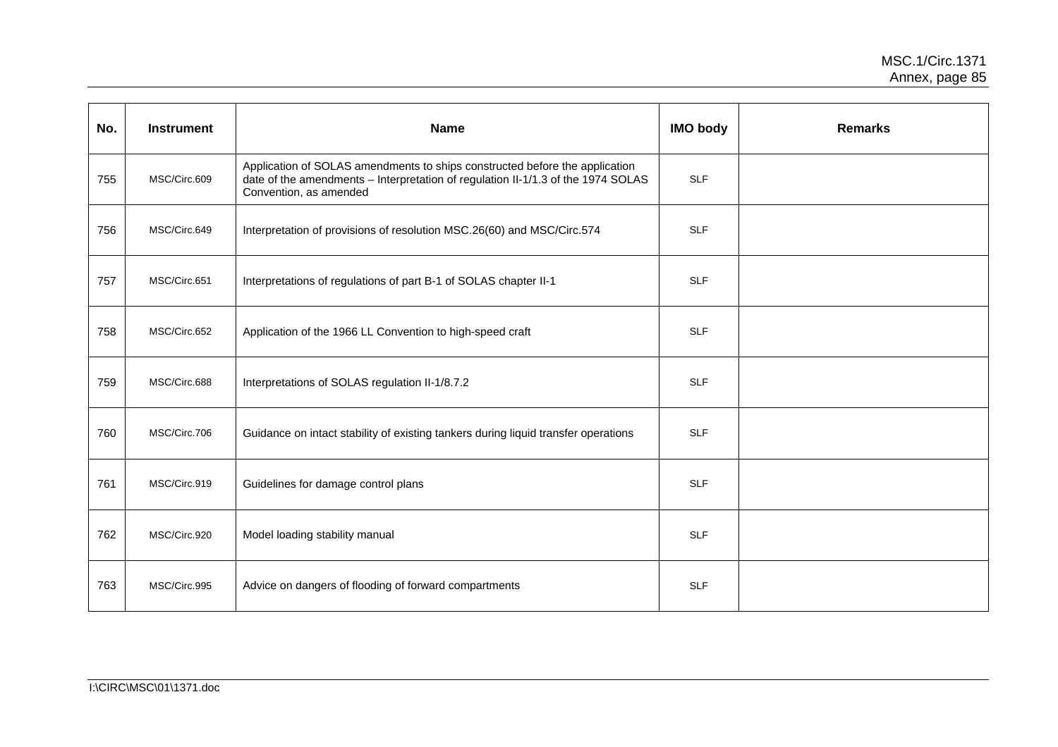| No. | <b>Instrument</b> | <b>Name</b>                                                                                                                                                                               | <b>IMO body</b> | <b>Remarks</b> |
|-----|-------------------|-------------------------------------------------------------------------------------------------------------------------------------------------------------------------------------------|-----------------|----------------|
| 755 | MSC/Circ.609      | Application of SOLAS amendments to ships constructed before the application<br>date of the amendments - Interpretation of regulation II-1/1.3 of the 1974 SOLAS<br>Convention, as amended | <b>SLF</b>      |                |
| 756 | MSC/Circ.649      | Interpretation of provisions of resolution MSC.26(60) and MSC/Circ.574                                                                                                                    | <b>SLF</b>      |                |
| 757 | MSC/Circ.651      | Interpretations of regulations of part B-1 of SOLAS chapter II-1                                                                                                                          | <b>SLF</b>      |                |
| 758 | MSC/Circ.652      | Application of the 1966 LL Convention to high-speed craft                                                                                                                                 | <b>SLF</b>      |                |
| 759 | MSC/Circ.688      | Interpretations of SOLAS regulation II-1/8.7.2                                                                                                                                            | <b>SLF</b>      |                |
| 760 | MSC/Circ.706      | Guidance on intact stability of existing tankers during liquid transfer operations                                                                                                        | <b>SLF</b>      |                |
| 761 | MSC/Circ.919      | Guidelines for damage control plans                                                                                                                                                       | <b>SLF</b>      |                |
| 762 | MSC/Circ.920      | Model loading stability manual                                                                                                                                                            | <b>SLF</b>      |                |
| 763 | MSC/Circ.995      | Advice on dangers of flooding of forward compartments                                                                                                                                     | <b>SLF</b>      |                |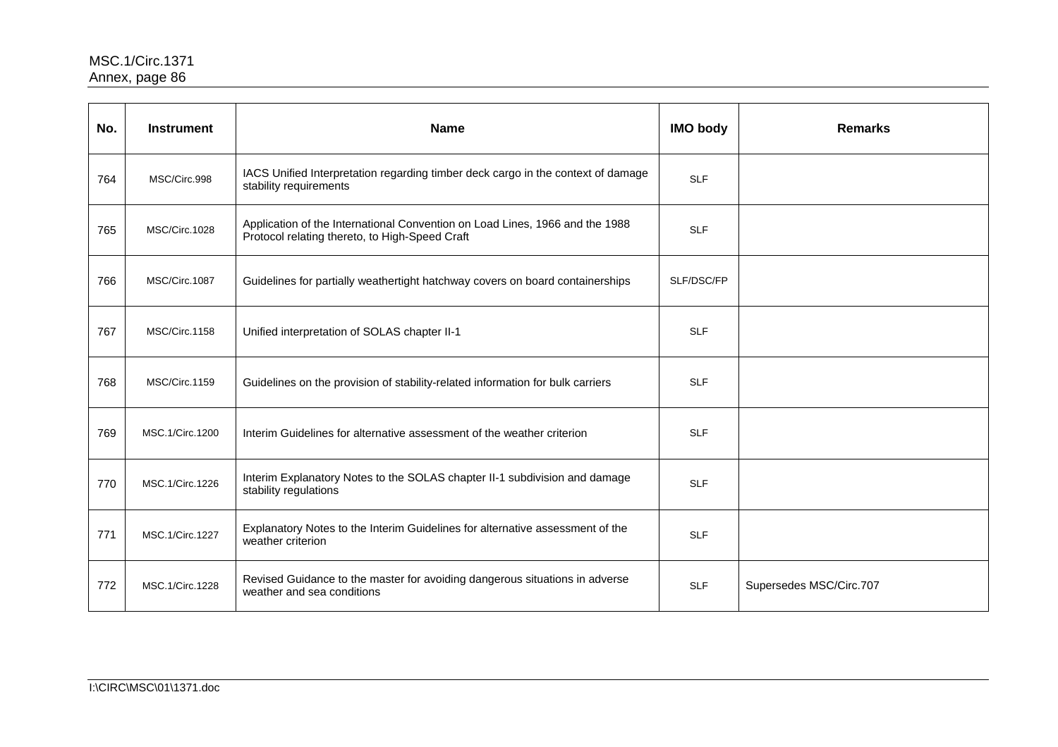| No. | <b>Instrument</b> | <b>Name</b>                                                                                                                    | <b>IMO body</b> | <b>Remarks</b>          |
|-----|-------------------|--------------------------------------------------------------------------------------------------------------------------------|-----------------|-------------------------|
| 764 | MSC/Circ.998      | IACS Unified Interpretation regarding timber deck cargo in the context of damage<br>stability requirements                     | <b>SLF</b>      |                         |
| 765 | MSC/Circ.1028     | Application of the International Convention on Load Lines, 1966 and the 1988<br>Protocol relating thereto, to High-Speed Craft | <b>SLF</b>      |                         |
| 766 | MSC/Circ.1087     | Guidelines for partially weathertight hatchway covers on board containerships                                                  | SLF/DSC/FP      |                         |
| 767 | MSC/Circ.1158     | Unified interpretation of SOLAS chapter II-1                                                                                   | <b>SLF</b>      |                         |
| 768 | MSC/Circ.1159     | Guidelines on the provision of stability-related information for bulk carriers                                                 | <b>SLF</b>      |                         |
| 769 | MSC.1/Circ.1200   | Interim Guidelines for alternative assessment of the weather criterion                                                         | <b>SLF</b>      |                         |
| 770 | MSC.1/Circ.1226   | Interim Explanatory Notes to the SOLAS chapter II-1 subdivision and damage<br>stability regulations                            | <b>SLF</b>      |                         |
| 771 | MSC.1/Circ.1227   | Explanatory Notes to the Interim Guidelines for alternative assessment of the<br>weather criterion                             | <b>SLF</b>      |                         |
| 772 | MSC.1/Circ.1228   | Revised Guidance to the master for avoiding dangerous situations in adverse<br>weather and sea conditions                      | <b>SLF</b>      | Supersedes MSC/Circ.707 |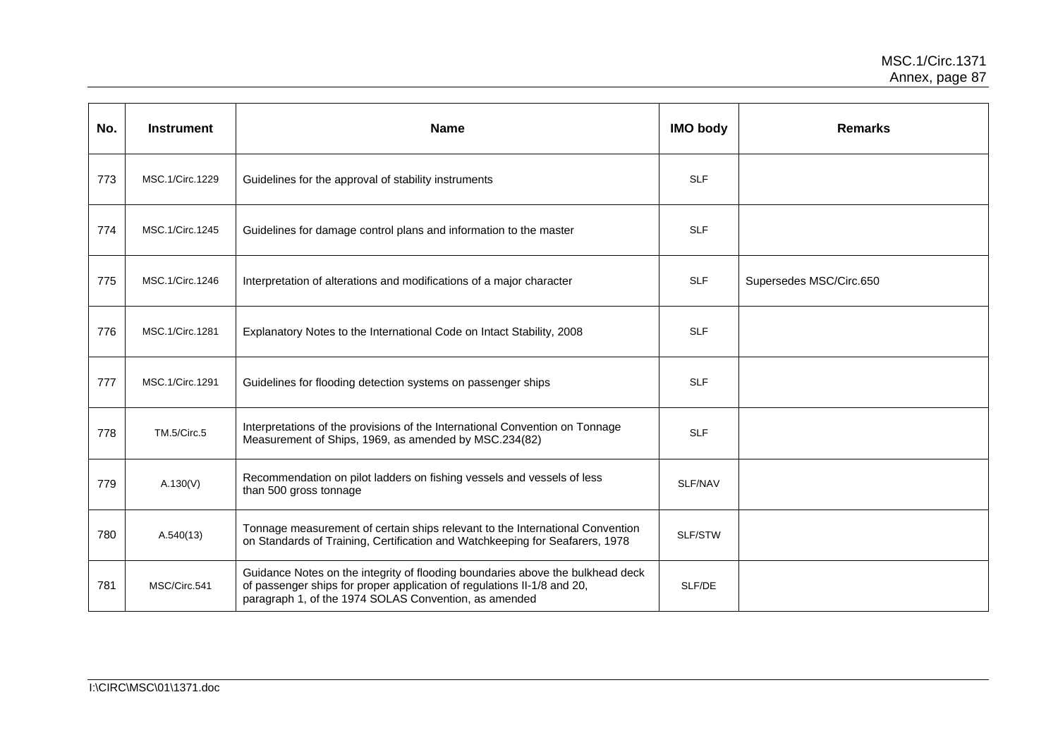| No. | <b>Instrument</b> | <b>Name</b>                                                                                                                                                                                                        | <b>IMO body</b> | <b>Remarks</b>          |
|-----|-------------------|--------------------------------------------------------------------------------------------------------------------------------------------------------------------------------------------------------------------|-----------------|-------------------------|
| 773 | MSC.1/Circ.1229   | Guidelines for the approval of stability instruments                                                                                                                                                               | <b>SLF</b>      |                         |
| 774 | MSC.1/Circ.1245   | Guidelines for damage control plans and information to the master                                                                                                                                                  | <b>SLF</b>      |                         |
| 775 | MSC.1/Circ.1246   | Interpretation of alterations and modifications of a major character                                                                                                                                               | <b>SLF</b>      | Supersedes MSC/Circ.650 |
| 776 | MSC.1/Circ.1281   | Explanatory Notes to the International Code on Intact Stability, 2008                                                                                                                                              | <b>SLF</b>      |                         |
| 777 | MSC.1/Circ.1291   | Guidelines for flooding detection systems on passenger ships                                                                                                                                                       | <b>SLF</b>      |                         |
| 778 | TM.5/Circ.5       | Interpretations of the provisions of the International Convention on Tonnage<br>Measurement of Ships, 1969, as amended by MSC.234(82)                                                                              | <b>SLF</b>      |                         |
| 779 | A.130(V)          | Recommendation on pilot ladders on fishing vessels and vessels of less<br>than 500 gross tonnage                                                                                                                   | SLF/NAV         |                         |
| 780 | A.540(13)         | Tonnage measurement of certain ships relevant to the International Convention<br>on Standards of Training, Certification and Watchkeeping for Seafarers, 1978                                                      | SLF/STW         |                         |
| 781 | MSC/Circ.541      | Guidance Notes on the integrity of flooding boundaries above the bulkhead deck<br>of passenger ships for proper application of regulations II-1/8 and 20,<br>paragraph 1, of the 1974 SOLAS Convention, as amended | SLF/DE          |                         |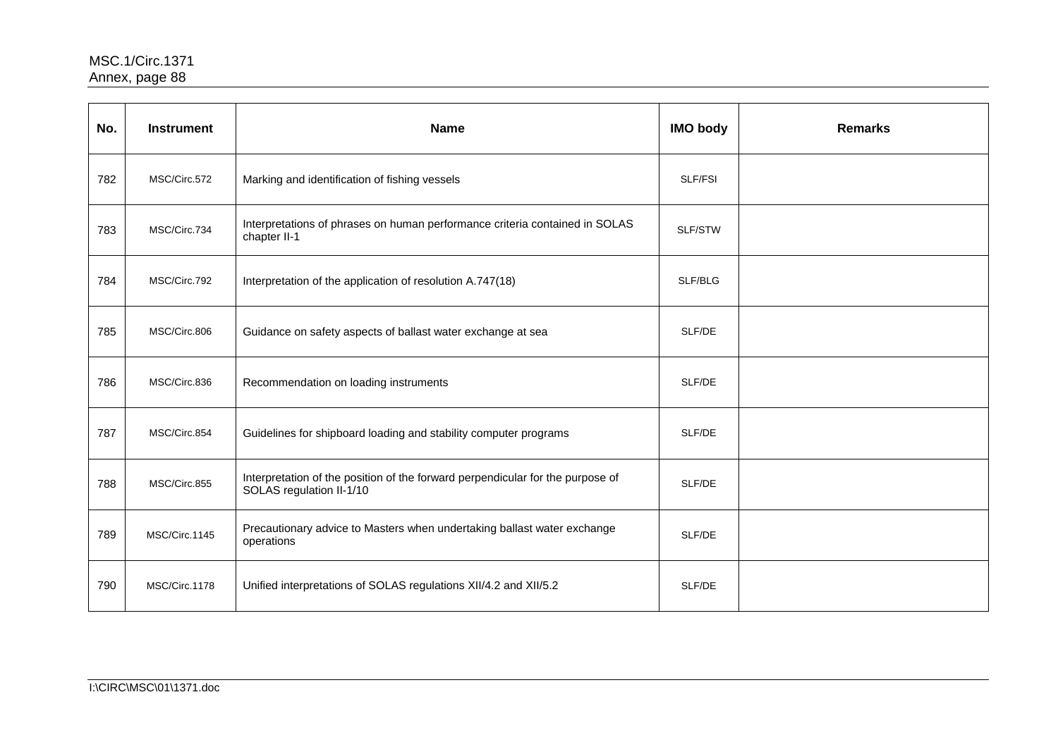| No. | <b>Instrument</b> | <b>Name</b>                                                                                                | <b>IMO body</b> | <b>Remarks</b> |
|-----|-------------------|------------------------------------------------------------------------------------------------------------|-----------------|----------------|
| 782 | MSC/Circ.572      | Marking and identification of fishing vessels                                                              | SLF/FSI         |                |
| 783 | MSC/Circ.734      | Interpretations of phrases on human performance criteria contained in SOLAS<br>chapter II-1                | SLF/STW         |                |
| 784 | MSC/Circ.792      | Interpretation of the application of resolution A.747(18)                                                  | SLF/BLG         |                |
| 785 | MSC/Circ.806      | Guidance on safety aspects of ballast water exchange at sea                                                | SLF/DE          |                |
| 786 | MSC/Circ.836      | Recommendation on loading instruments                                                                      | SLF/DE          |                |
| 787 | MSC/Circ.854      | Guidelines for shipboard loading and stability computer programs                                           | SLF/DE          |                |
| 788 | MSC/Circ.855      | Interpretation of the position of the forward perpendicular for the purpose of<br>SOLAS regulation II-1/10 | SLF/DE          |                |
| 789 | MSC/Circ.1145     | Precautionary advice to Masters when undertaking ballast water exchange<br>operations                      | SLF/DE          |                |
| 790 | MSC/Circ.1178     | Unified interpretations of SOLAS regulations XII/4.2 and XII/5.2                                           | SLF/DE          |                |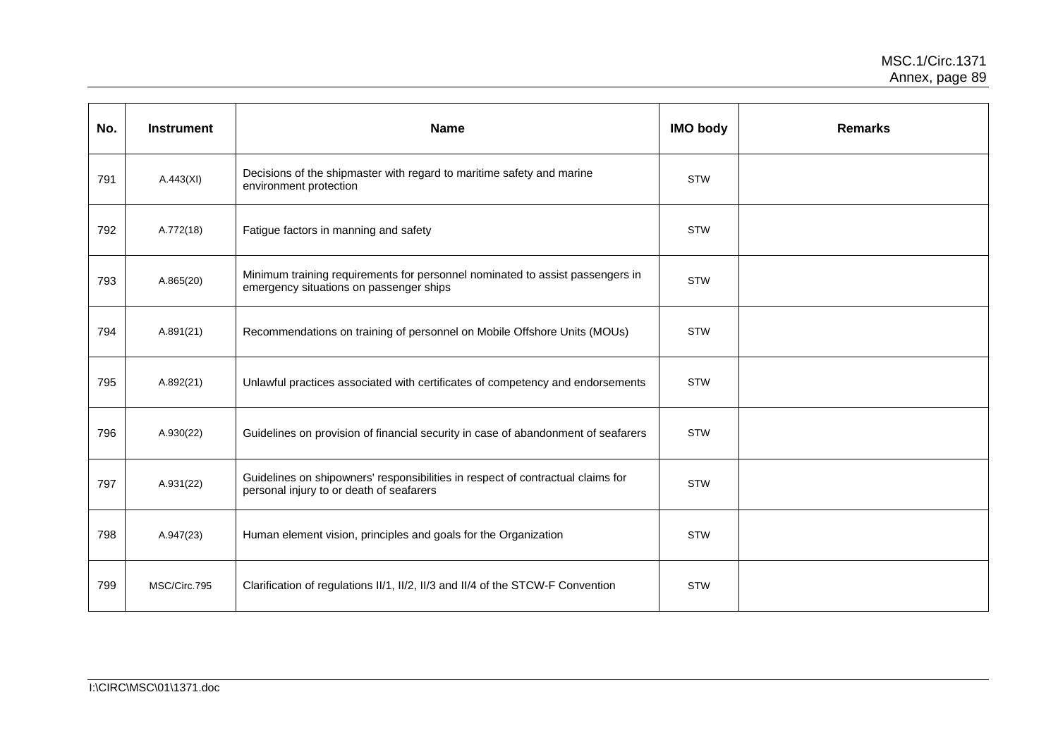| No. | <b>Instrument</b> | <b>Name</b>                                                                                                                 | <b>IMO body</b> | <b>Remarks</b> |
|-----|-------------------|-----------------------------------------------------------------------------------------------------------------------------|-----------------|----------------|
| 791 | A.443(XI)         | Decisions of the shipmaster with regard to maritime safety and marine<br>environment protection                             | <b>STW</b>      |                |
| 792 | A.772(18)         | Fatigue factors in manning and safety                                                                                       | <b>STW</b>      |                |
| 793 | A.865(20)         | Minimum training requirements for personnel nominated to assist passengers in<br>emergency situations on passenger ships    | <b>STW</b>      |                |
| 794 | A.891(21)         | Recommendations on training of personnel on Mobile Offshore Units (MOUs)                                                    | <b>STW</b>      |                |
| 795 | A.892(21)         | Unlawful practices associated with certificates of competency and endorsements                                              | <b>STW</b>      |                |
| 796 | A.930(22)         | Guidelines on provision of financial security in case of abandonment of seafarers                                           | <b>STW</b>      |                |
| 797 | A.931(22)         | Guidelines on shipowners' responsibilities in respect of contractual claims for<br>personal injury to or death of seafarers | <b>STW</b>      |                |
| 798 | A.947(23)         | Human element vision, principles and goals for the Organization                                                             | <b>STW</b>      |                |
| 799 | MSC/Circ.795      | Clarification of regulations II/1, II/2, II/3 and II/4 of the STCW-F Convention                                             | <b>STW</b>      |                |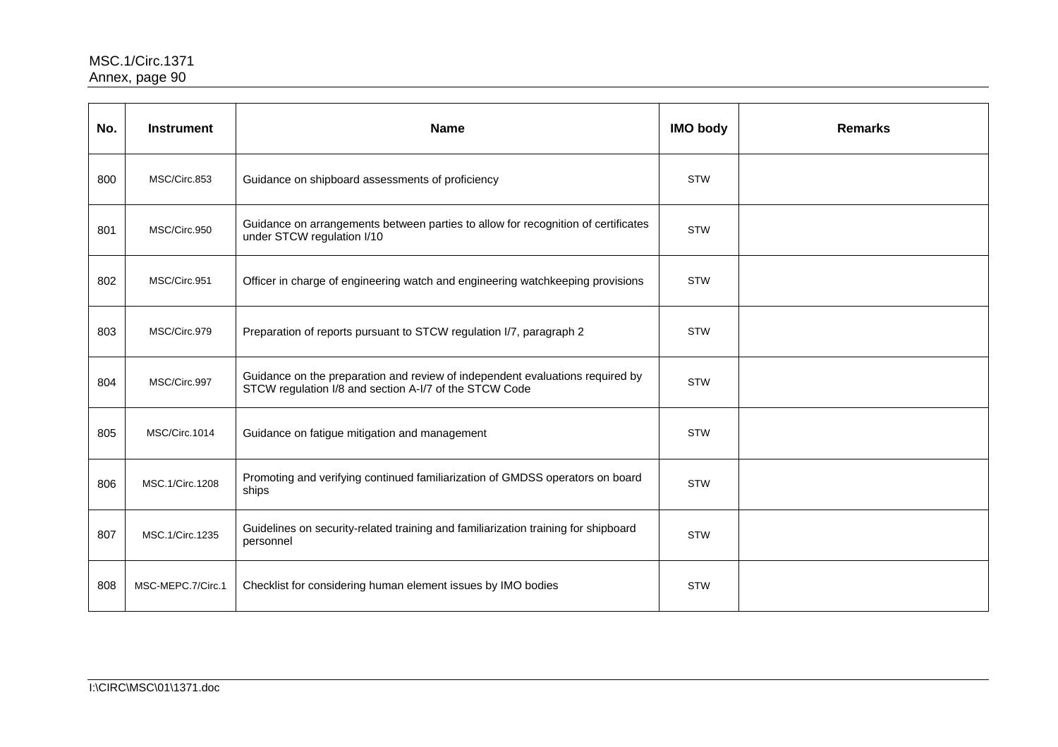| No. | <b>Instrument</b> | <b>Name</b>                                                                                                                             | <b>IMO body</b> | <b>Remarks</b> |
|-----|-------------------|-----------------------------------------------------------------------------------------------------------------------------------------|-----------------|----------------|
| 800 | MSC/Circ.853      | Guidance on shipboard assessments of proficiency                                                                                        | <b>STW</b>      |                |
| 801 | MSC/Circ.950      | Guidance on arrangements between parties to allow for recognition of certificates<br>under STCW regulation I/10                         | <b>STW</b>      |                |
| 802 | MSC/Circ.951      | Officer in charge of engineering watch and engineering watchkeeping provisions                                                          | <b>STW</b>      |                |
| 803 | MSC/Circ.979      | Preparation of reports pursuant to STCW regulation I/7, paragraph 2                                                                     | <b>STW</b>      |                |
| 804 | MSC/Circ.997      | Guidance on the preparation and review of independent evaluations required by<br>STCW regulation I/8 and section A-I/7 of the STCW Code | <b>STW</b>      |                |
| 805 | MSC/Circ.1014     | Guidance on fatigue mitigation and management                                                                                           | <b>STW</b>      |                |
| 806 | MSC.1/Circ.1208   | Promoting and verifying continued familiarization of GMDSS operators on board<br>ships                                                  | <b>STW</b>      |                |
| 807 | MSC.1/Circ.1235   | Guidelines on security-related training and familiarization training for shipboard<br>personnel                                         | <b>STW</b>      |                |
| 808 | MSC-MEPC.7/Circ.1 | Checklist for considering human element issues by IMO bodies                                                                            | <b>STW</b>      |                |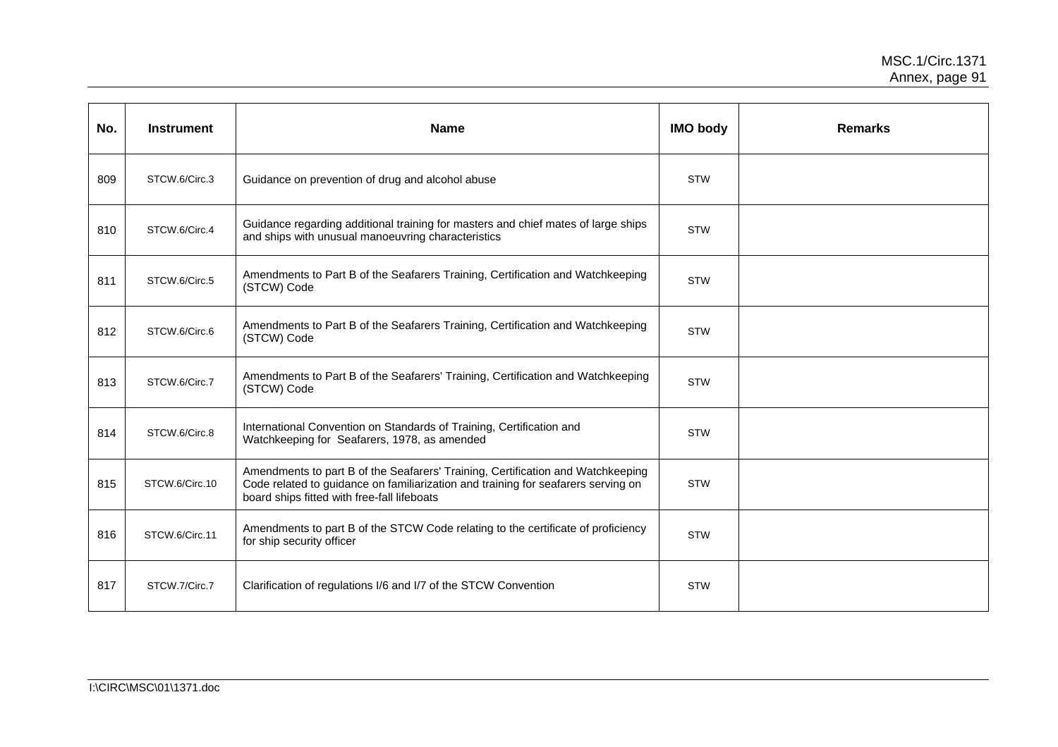| No. | <b>Instrument</b> | <b>Name</b>                                                                                                                                                                                                         | <b>IMO body</b> | <b>Remarks</b> |
|-----|-------------------|---------------------------------------------------------------------------------------------------------------------------------------------------------------------------------------------------------------------|-----------------|----------------|
| 809 | STCW.6/Circ.3     | Guidance on prevention of drug and alcohol abuse                                                                                                                                                                    | <b>STW</b>      |                |
| 810 | STCW.6/Circ.4     | Guidance regarding additional training for masters and chief mates of large ships<br>and ships with unusual manoeuvring characteristics                                                                             | <b>STW</b>      |                |
| 811 | STCW.6/Circ.5     | Amendments to Part B of the Seafarers Training, Certification and Watchkeeping<br>(STCW) Code                                                                                                                       | <b>STW</b>      |                |
| 812 | STCW.6/Circ.6     | Amendments to Part B of the Seafarers Training, Certification and Watchkeeping<br>(STCW) Code                                                                                                                       | <b>STW</b>      |                |
| 813 | STCW.6/Circ.7     | Amendments to Part B of the Seafarers' Training, Certification and Watchkeeping<br>(STCW) Code                                                                                                                      | <b>STW</b>      |                |
| 814 | STCW.6/Circ.8     | International Convention on Standards of Training, Certification and<br>Watchkeeping for Seafarers, 1978, as amended                                                                                                | <b>STW</b>      |                |
| 815 | STCW.6/Circ.10    | Amendments to part B of the Seafarers' Training, Certification and Watchkeeping<br>Code related to guidance on familiarization and training for seafarers serving on<br>board ships fitted with free-fall lifeboats | <b>STW</b>      |                |
| 816 | STCW.6/Circ.11    | Amendments to part B of the STCW Code relating to the certificate of proficiency<br>for ship security officer                                                                                                       | <b>STW</b>      |                |
| 817 | STCW.7/Circ.7     | Clarification of regulations I/6 and I/7 of the STCW Convention                                                                                                                                                     | <b>STW</b>      |                |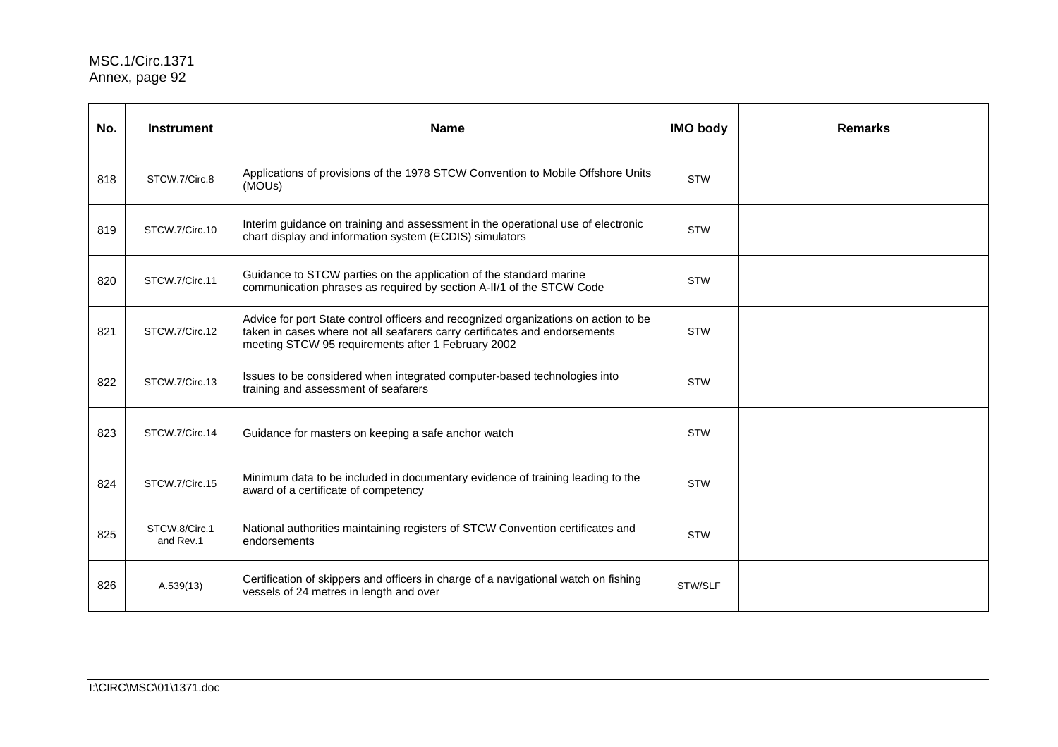| No. | <b>Instrument</b>          | <b>Name</b>                                                                                                                                                                                                             | <b>IMO body</b> | <b>Remarks</b> |
|-----|----------------------------|-------------------------------------------------------------------------------------------------------------------------------------------------------------------------------------------------------------------------|-----------------|----------------|
| 818 | STCW.7/Circ.8              | Applications of provisions of the 1978 STCW Convention to Mobile Offshore Units<br>(MOUs)                                                                                                                               | <b>STW</b>      |                |
| 819 | STCW.7/Circ.10             | Interim guidance on training and assessment in the operational use of electronic<br>chart display and information system (ECDIS) simulators                                                                             | <b>STW</b>      |                |
| 820 | STCW.7/Circ.11             | Guidance to STCW parties on the application of the standard marine<br>communication phrases as required by section A-II/1 of the STCW Code                                                                              | <b>STW</b>      |                |
| 821 | STCW.7/Circ.12             | Advice for port State control officers and recognized organizations on action to be<br>taken in cases where not all seafarers carry certificates and endorsements<br>meeting STCW 95 requirements after 1 February 2002 | <b>STW</b>      |                |
| 822 | STCW.7/Circ.13             | Issues to be considered when integrated computer-based technologies into<br>training and assessment of seafarers                                                                                                        | <b>STW</b>      |                |
| 823 | STCW.7/Circ.14             | Guidance for masters on keeping a safe anchor watch                                                                                                                                                                     | <b>STW</b>      |                |
| 824 | STCW.7/Circ.15             | Minimum data to be included in documentary evidence of training leading to the<br>award of a certificate of competency                                                                                                  | <b>STW</b>      |                |
| 825 | STCW.8/Circ.1<br>and Rev.1 | National authorities maintaining registers of STCW Convention certificates and<br>endorsements                                                                                                                          | <b>STW</b>      |                |
| 826 | A.539(13)                  | Certification of skippers and officers in charge of a navigational watch on fishing<br>vessels of 24 metres in length and over                                                                                          | STW/SLF         |                |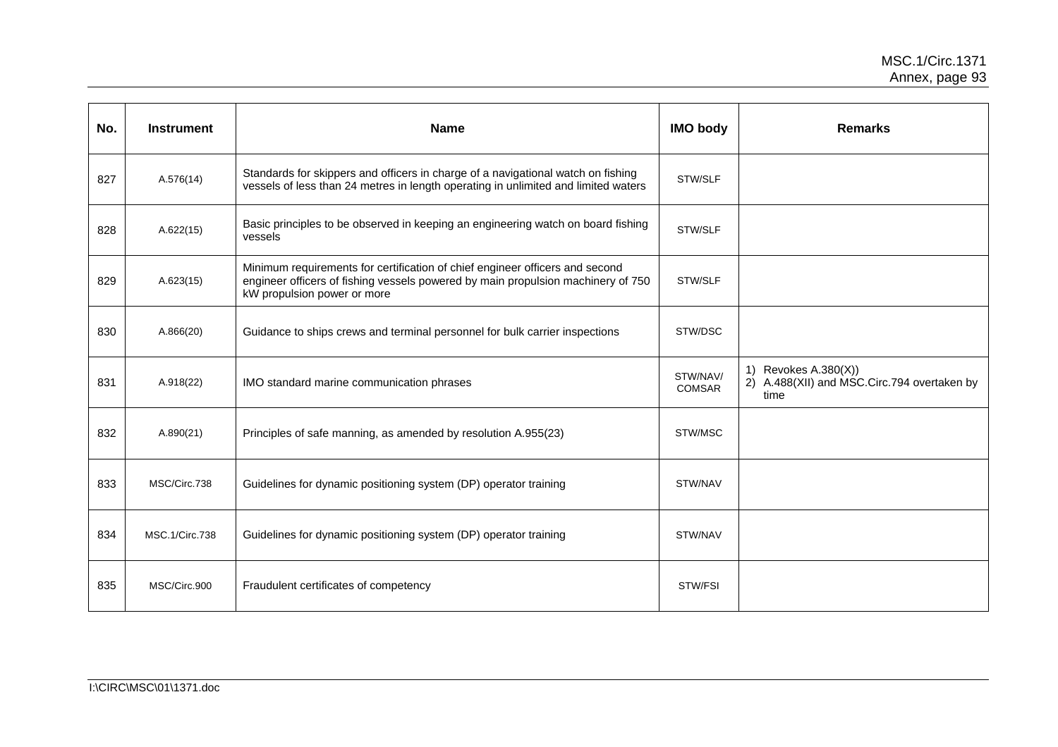| No. | <b>Instrument</b> | <b>Name</b>                                                                                                                                                                                     | <b>IMO body</b>           | <b>Remarks</b>                                                              |
|-----|-------------------|-------------------------------------------------------------------------------------------------------------------------------------------------------------------------------------------------|---------------------------|-----------------------------------------------------------------------------|
| 827 | A.576(14)         | Standards for skippers and officers in charge of a navigational watch on fishing<br>vessels of less than 24 metres in length operating in unlimited and limited waters                          | STW/SLF                   |                                                                             |
| 828 | A.622(15)         | Basic principles to be observed in keeping an engineering watch on board fishing<br>vessels                                                                                                     | STW/SLF                   |                                                                             |
| 829 | A.623(15)         | Minimum requirements for certification of chief engineer officers and second<br>engineer officers of fishing vessels powered by main propulsion machinery of 750<br>kW propulsion power or more | STW/SLF                   |                                                                             |
| 830 | A.866(20)         | Guidance to ships crews and terminal personnel for bulk carrier inspections                                                                                                                     | STW/DSC                   |                                                                             |
| 831 | A.918(22)         | IMO standard marine communication phrases                                                                                                                                                       | STW/NAV/<br><b>COMSAR</b> | 1) Revokes A.380(X))<br>2) A.488(XII) and MSC.Circ.794 overtaken by<br>time |
| 832 | A.890(21)         | Principles of safe manning, as amended by resolution A.955(23)                                                                                                                                  | STW/MSC                   |                                                                             |
| 833 | MSC/Circ.738      | Guidelines for dynamic positioning system (DP) operator training                                                                                                                                | STW/NAV                   |                                                                             |
| 834 | MSC.1/Circ.738    | Guidelines for dynamic positioning system (DP) operator training                                                                                                                                | STW/NAV                   |                                                                             |
| 835 | MSC/Circ.900      | Fraudulent certificates of competency                                                                                                                                                           | STW/FSI                   |                                                                             |